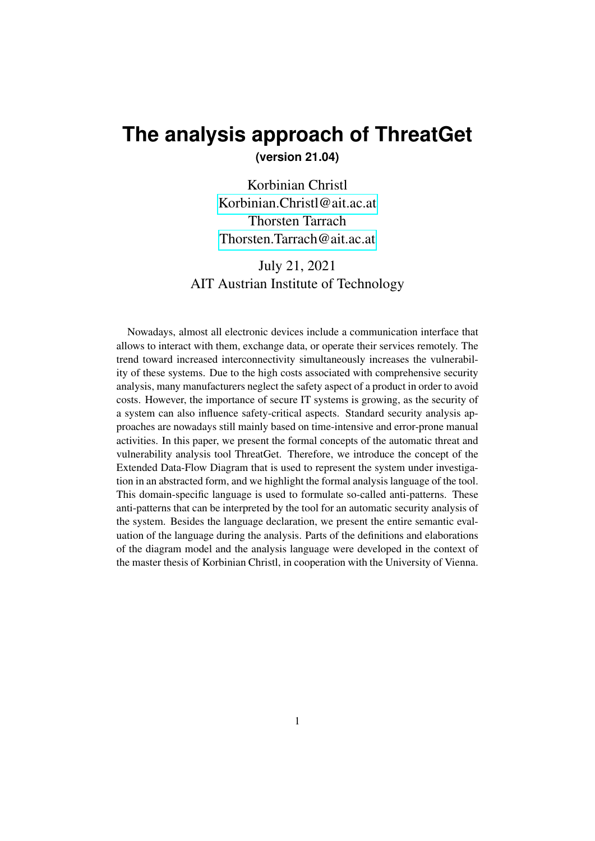# <span id="page-0-0"></span>**The analysis approach of ThreatGet**

**(version 21.04)**

Korbinian Christl [Korbinian.Christl@ait.ac.at](mailto:Korbinian.Christl@ait.ac.at) Thorsten Tarrach [Thorsten.Tarrach@ait.ac.at](mailto:Thorsten.Tarrach@ait.ac.at)

# July 21, 2021 AIT Austrian Institute of Technology

Nowadays, almost all electronic devices include a communication interface that allows to interact with them, exchange data, or operate their services remotely. The trend toward increased interconnectivity simultaneously increases the vulnerability of these systems. Due to the high costs associated with comprehensive security analysis, many manufacturers neglect the safety aspect of a product in order to avoid costs. However, the importance of secure IT systems is growing, as the security of a system can also influence safety-critical aspects. Standard security analysis approaches are nowadays still mainly based on time-intensive and error-prone manual activities. In this paper, we present the formal concepts of the automatic threat and vulnerability analysis tool ThreatGet. Therefore, we introduce the concept of the Extended Data-Flow Diagram that is used to represent the system under investigation in an abstracted form, and we highlight the formal analysis language of the tool. This domain-specific language is used to formulate so-called anti-patterns. These anti-patterns that can be interpreted by the tool for an automatic security analysis of the system. Besides the language declaration, we present the entire semantic evaluation of the language during the analysis. Parts of the definitions and elaborations of the diagram model and the analysis language were developed in the context of the master thesis of Korbinian Christl, in cooperation with the University of Vienna.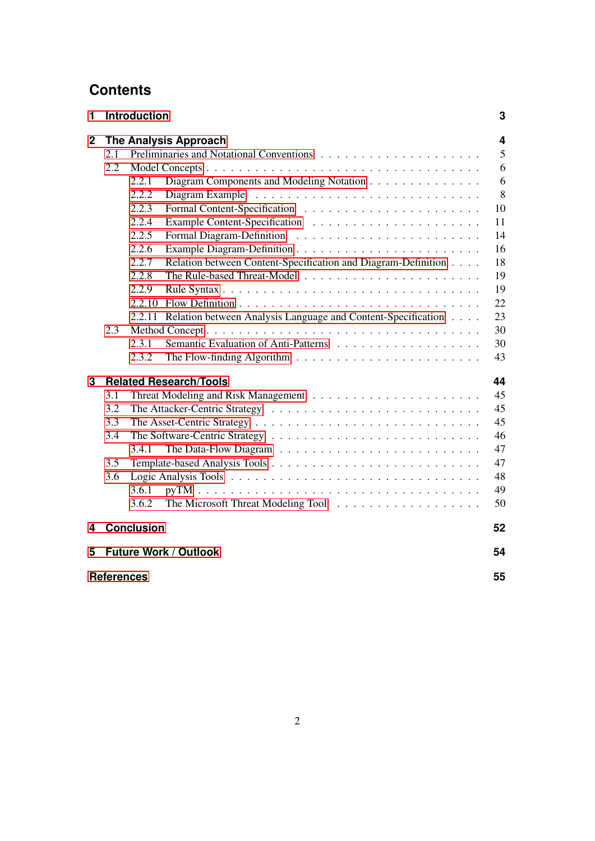# **Contents**

| 1              |                   | <b>Introduction</b> |                                                                                      | 3                       |  |
|----------------|-------------------|---------------------|--------------------------------------------------------------------------------------|-------------------------|--|
| $\overline{2}$ |                   |                     | <b>The Analysis Approach</b>                                                         | $\overline{\mathbf{4}}$ |  |
|                | 2.1               |                     |                                                                                      | 5                       |  |
|                | 2.2               |                     |                                                                                      | 6                       |  |
|                |                   | 2.2.1               | Diagram Components and Modeling Notation                                             | 6                       |  |
|                |                   | 2.2.2               |                                                                                      | 8                       |  |
|                |                   | 2.2.3               |                                                                                      | 10                      |  |
|                |                   | 2.2.4               |                                                                                      | 11                      |  |
|                |                   | 2.2.5               |                                                                                      | 14                      |  |
|                |                   | 2.2.6               |                                                                                      | 16                      |  |
|                |                   | 2.2.7               | Relation between Content-Specification and Diagram-Definition                        | 18                      |  |
|                |                   | 2.2.8               |                                                                                      | 19                      |  |
|                |                   | 2.2.9               |                                                                                      | 19                      |  |
|                |                   | 2.2.10              |                                                                                      | 22                      |  |
|                |                   | 2.2.11              | Relation between Analysis Language and Content-Specification                         | 23                      |  |
|                | 2.3               |                     |                                                                                      |                         |  |
|                |                   | 2.3.1               |                                                                                      | 30                      |  |
|                |                   | 2.3.2               | The Flow-finding Algorithm $\ldots \ldots \ldots \ldots \ldots \ldots \ldots \ldots$ | 43                      |  |
| 3              |                   |                     | <b>Related Research/Tools</b>                                                        | 44                      |  |
|                | 3.1               |                     |                                                                                      | 45                      |  |
|                | 3.2               |                     |                                                                                      | 45                      |  |
|                | 3.3<br>45         |                     |                                                                                      |                         |  |
|                | 3.4               |                     |                                                                                      | 46                      |  |
|                |                   | 3.4.1               |                                                                                      | 47                      |  |
|                | 3.5               |                     |                                                                                      | 47                      |  |
|                | 3.6               |                     |                                                                                      | 48                      |  |
|                |                   | 3.6.1               |                                                                                      | 49                      |  |
|                |                   | 3.6.2               |                                                                                      | 50                      |  |
| 4              |                   | <b>Conclusion</b>   |                                                                                      | 52                      |  |
| 5              |                   |                     | <b>Future Work / Outlook</b>                                                         | 54                      |  |
|                | <b>References</b> |                     |                                                                                      | 55                      |  |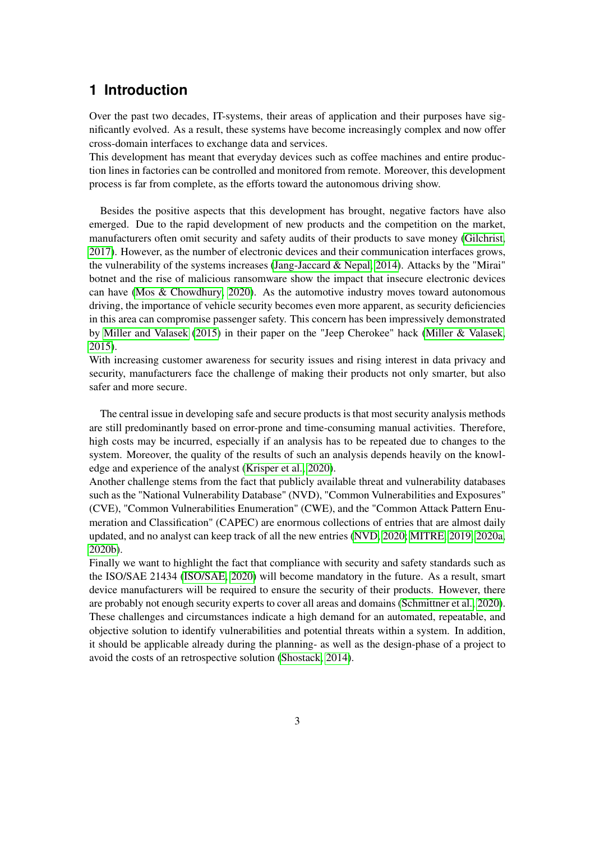# <span id="page-2-0"></span>**1 Introduction**

Over the past two decades, IT-systems, their areas of application and their purposes have significantly evolved. As a result, these systems have become increasingly complex and now offer cross-domain interfaces to exchange data and services.

This development has meant that everyday devices such as coffee machines and entire production lines in factories can be controlled and monitored from remote. Moreover, this development process is far from complete, as the efforts toward the autonomous driving show.

Besides the positive aspects that this development has brought, negative factors have also emerged. Due to the rapid development of new products and the competition on the market, manufacturers often omit security and safety audits of their products to save money [\(Gilchrist,](#page-54-1) [2017\)](#page-54-1). However, as the number of electronic devices and their communication interfaces grows, the vulnerability of the systems increases (Jang-Jaccard  $& Nepal, 2014$ ). Attacks by the "Mirai" botnet and the rise of malicious ransomware show the impact that insecure electronic devices can have [\(Mos & Chowdhury, 2020\)](#page-55-0). As the automotive industry moves toward autonomous driving, the importance of vehicle security becomes even more apparent, as security deficiencies in this area can compromise passenger safety. This concern has been impressively demonstrated by [Miller and Valasek](#page-55-1) [\(2015\)](#page-55-1) in their paper on the "Jeep Cherokee" hack [\(Miller & Valasek,](#page-55-1) [2015\)](#page-55-1).

With increasing customer awareness for security issues and rising interest in data privacy and security, manufacturers face the challenge of making their products not only smarter, but also safer and more secure.

The central issue in developing safe and secure products is that most security analysis methods are still predominantly based on error-prone and time-consuming manual activities. Therefore, high costs may be incurred, especially if an analysis has to be repeated due to changes to the system. Moreover, the quality of the results of such an analysis depends heavily on the knowledge and experience of the analyst [\(Krisper et al., 2020\)](#page-55-2).

Another challenge stems from the fact that publicly available threat and vulnerability databases such as the "National Vulnerability Database" (NVD), "Common Vulnerabilities and Exposures" (CVE), "Common Vulnerabilities Enumeration" (CWE), and the "Common Attack Pattern Enumeration and Classification" (CAPEC) are enormous collections of entries that are almost daily updated, and no analyst can keep track of all the new entries [\(NVD, 2020;](#page-55-3) [MITRE, 2019,](#page-55-4) [2020a,](#page-55-5) [2020b\)](#page-55-6).

Finally we want to highlight the fact that compliance with security and safety standards such as the ISO/SAE 21434 [\(ISO/SAE, 2020\)](#page-54-3) will become mandatory in the future. As a result, smart device manufacturers will be required to ensure the security of their products. However, there are probably not enough security experts to cover all areas and domains [\(Schmittner et al., 2020\)](#page-55-7). These challenges and circumstances indicate a high demand for an automated, repeatable, and objective solution to identify vulnerabilities and potential threats within a system. In addition, it should be applicable already during the planning- as well as the design-phase of a project to avoid the costs of an retrospective solution [\(Shostack, 2014\)](#page-56-0).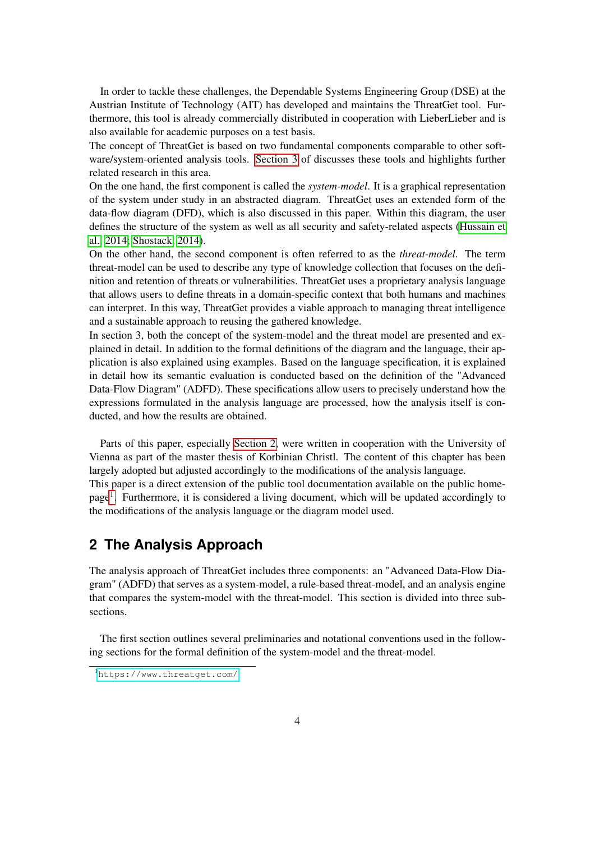In order to tackle these challenges, the Dependable Systems Engineering Group (DSE) at the Austrian Institute of Technology (AIT) has developed and maintains the ThreatGet tool. Furthermore, this tool is already commercially distributed in cooperation with LieberLieber and is also available for academic purposes on a test basis.

The concept of ThreatGet is based on two fundamental components comparable to other software/system-oriented analysis tools. [Section 3](#page-43-0) of discusses these tools and highlights further related research in this area.

On the one hand, the first component is called the *system-model*. It is a graphical representation of the system under study in an abstracted diagram. ThreatGet uses an extended form of the data-flow diagram (DFD), which is also discussed in this paper. Within this diagram, the user defines the structure of the system as well as all security and safety-related aspects [\(Hussain et](#page-54-4) [al., 2014;](#page-54-4) [Shostack, 2014\)](#page-56-0).

On the other hand, the second component is often referred to as the *threat-model*. The term threat-model can be used to describe any type of knowledge collection that focuses on the definition and retention of threats or vulnerabilities. ThreatGet uses a proprietary analysis language that allows users to define threats in a domain-specific context that both humans and machines can interpret. In this way, ThreatGet provides a viable approach to managing threat intelligence and a sustainable approach to reusing the gathered knowledge.

In section 3, both the concept of the system-model and the threat model are presented and explained in detail. In addition to the formal definitions of the diagram and the language, their application is also explained using examples. Based on the language specification, it is explained in detail how its semantic evaluation is conducted based on the definition of the "Advanced Data-Flow Diagram" (ADFD). These specifications allow users to precisely understand how the expressions formulated in the analysis language are processed, how the analysis itself is conducted, and how the results are obtained.

Parts of this paper, especially [Section 2,](#page-3-0) were written in cooperation with the University of Vienna as part of the master thesis of Korbinian Christl. The content of this chapter has been largely adopted but adjusted accordingly to the modifications of the analysis language. This paper is a direct extension of the public tool documentation available on the public home-

page<sup>[1](#page-0-0)</sup>. Furthermore, it is considered a living document, which will be updated accordingly to the modifications of the analysis language or the diagram model used.

# <span id="page-3-0"></span>**2 The Analysis Approach**

The analysis approach of ThreatGet includes three components: an "Advanced Data-Flow Diagram" (ADFD) that serves as a system-model, a rule-based threat-model, and an analysis engine that compares the system-model with the threat-model. This section is divided into three subsections.

The first section outlines several preliminaries and notational conventions used in the following sections for the formal definition of the system-model and the threat-model.

<sup>1</sup><https://www.threatget.com/>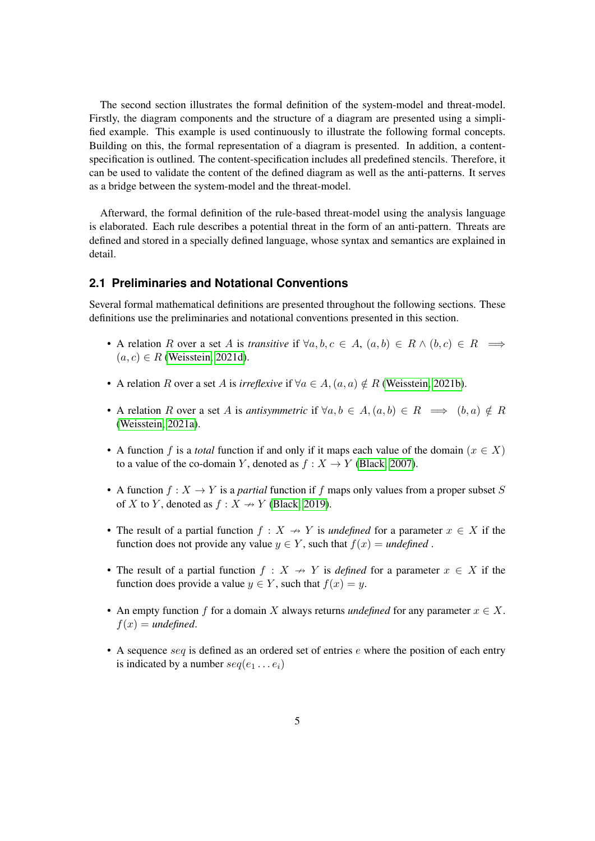The second section illustrates the formal definition of the system-model and threat-model. Firstly, the diagram components and the structure of a diagram are presented using a simplified example. This example is used continuously to illustrate the following formal concepts. Building on this, the formal representation of a diagram is presented. In addition, a contentspecification is outlined. The content-specification includes all predefined stencils. Therefore, it can be used to validate the content of the defined diagram as well as the anti-patterns. It serves as a bridge between the system-model and the threat-model.

Afterward, the formal definition of the rule-based threat-model using the analysis language is elaborated. Each rule describes a potential threat in the form of an anti-pattern. Threats are defined and stored in a specially defined language, whose syntax and semantics are explained in detail.

#### <span id="page-4-0"></span>**2.1 Preliminaries and Notational Conventions**

Several formal mathematical definitions are presented throughout the following sections. These definitions use the preliminaries and notational conventions presented in this section.

- A relation R over a set A is *transitive* if  $\forall a, b, c \in A$ ,  $(a, b) \in R \land (b, c) \in R \implies$  $(a, c) \in R$  [\(Weisstein, 2021d\)](#page-56-1).
- A relation R over a set A is *irreflexive* if  $\forall a \in A$ ,  $(a, a) \notin R$  [\(Weisstein, 2021b\)](#page-56-2).
- A relation R over a set A is *antisymmetric* if  $\forall a, b \in A, (a, b) \in R \implies (b, a) \notin R$ [\(Weisstein, 2021a\)](#page-56-3).
- A function f is a *total* function if and only if it maps each value of the domain ( $x \in X$ ) to a value of the co-domain Y, denoted as  $f : X \to Y$  [\(Black, 2007\)](#page-54-5).
- A function  $f: X \to Y$  is a *partial* function if f maps only values from a proper subset S of X to Y, denoted as  $f: X \rightarrow Y$  [\(Black, 2019\)](#page-54-6).
- The result of a partial function  $f : X \rightarrow Y$  is *undefined* for a parameter  $x \in X$  if the function does not provide any value  $y \in Y$ , such that  $f(x) =$  *undefined*.
- The result of a partial function  $f : X \rightarrow Y$  is *defined* for a parameter  $x \in X$  if the function does provide a value  $y \in Y$ , such that  $f(x) = y$ .
- An empty function f for a domain X always returns *undefined* for any parameter  $x \in X$ .  $f(x) =$  *undefined.*
- A sequence  $seq$  is defined as an ordered set of entries  $e$  where the position of each entry is indicated by a number  $seq(e_1 \dots e_i)$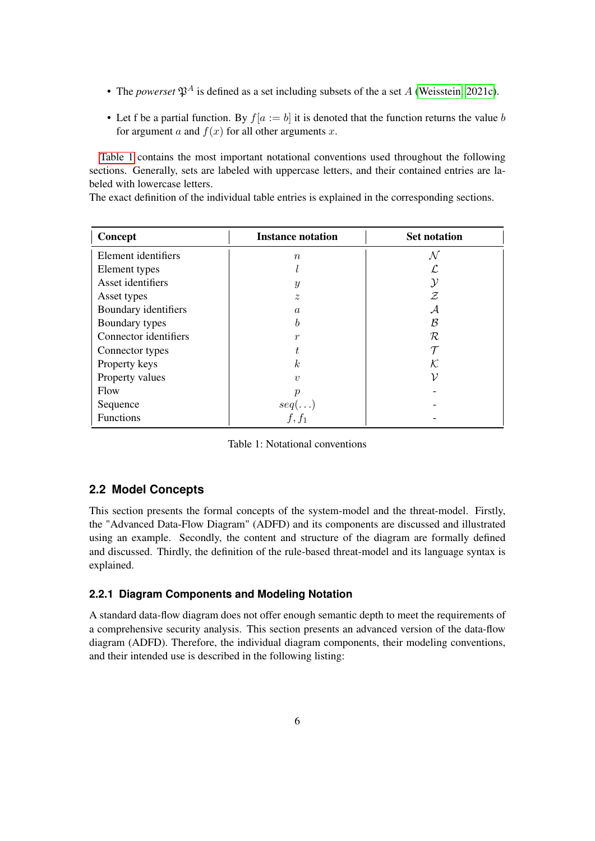- The *powerset*  $\mathfrak{P}^A$  is defined as a set including subsets of the a set A [\(Weisstein, 2021c\)](#page-56-4).
- Let f be a partial function. By  $f[a := b]$  it is denoted that the function returns the value b for argument a and  $f(x)$  for all other arguments x.

[Table 1](#page-5-2) contains the most important notational conventions used throughout the following sections. Generally, sets are labeled with uppercase letters, and their contained entries are labeled with lowercase letters.

The exact definition of the individual table entries is explained in the corresponding sections.

<span id="page-5-2"></span>

| Concept               | <b>Instance notation</b> | <b>Set notation</b> |
|-----------------------|--------------------------|---------------------|
| Element identifiers   | $\boldsymbol{n}$         | ${\cal N}$          |
| Element types         |                          |                     |
| Asset identifiers     | $\boldsymbol{y}$         | $\mathcal Y$        |
| Asset types           | $\boldsymbol{z}$         | Z                   |
| Boundary identifiers  | $\mathfrak{a}$           | $\mathcal A$        |
| Boundary types        | h                        | B                   |
| Connector identifiers | $\boldsymbol{r}$         | R                   |
| Connector types       |                          |                     |
| Property keys         | k <sub>i</sub>           | K.                  |
| Property values       | $\eta$                   | ν                   |
| <b>Flow</b>           | $\boldsymbol{\eta}$      |                     |
| Sequence              | $seq(\ldots)$            |                     |
| Functions             | $f, f_1$                 |                     |

Table 1: Notational conventions

### <span id="page-5-0"></span>**2.2 Model Concepts**

This section presents the formal concepts of the system-model and the threat-model. Firstly, the "Advanced Data-Flow Diagram" (ADFD) and its components are discussed and illustrated using an example. Secondly, the content and structure of the diagram are formally defined and discussed. Thirdly, the definition of the rule-based threat-model and its language syntax is explained.

#### <span id="page-5-1"></span>**2.2.1 Diagram Components and Modeling Notation**

A standard data-flow diagram does not offer enough semantic depth to meet the requirements of a comprehensive security analysis. This section presents an advanced version of the data-flow diagram (ADFD). Therefore, the individual diagram components, their modeling conventions, and their intended use is described in the following listing: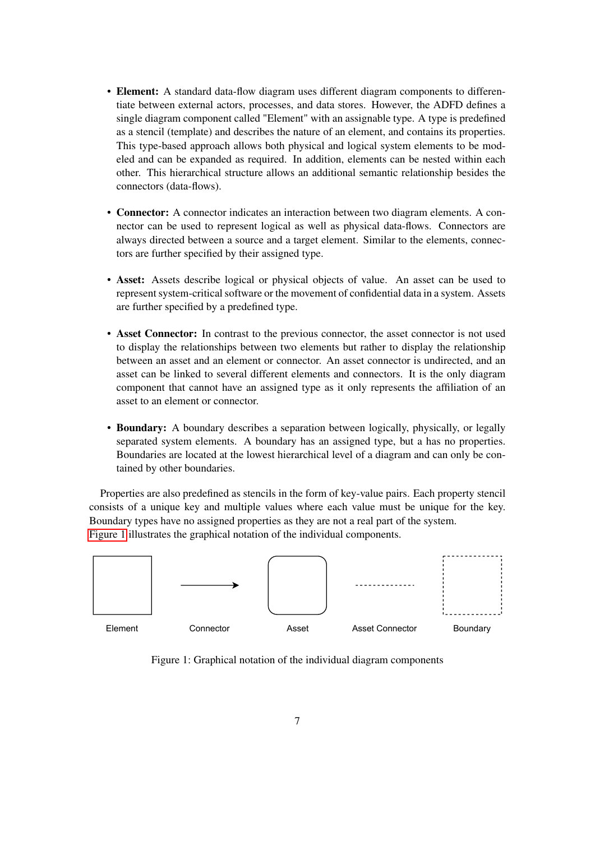- Element: A standard data-flow diagram uses different diagram components to differentiate between external actors, processes, and data stores. However, the ADFD defines a single diagram component called "Element" with an assignable type. A type is predefined as a stencil (template) and describes the nature of an element, and contains its properties. This type-based approach allows both physical and logical system elements to be modeled and can be expanded as required. In addition, elements can be nested within each other. This hierarchical structure allows an additional semantic relationship besides the connectors (data-flows).
- Connector: A connector indicates an interaction between two diagram elements. A connector can be used to represent logical as well as physical data-flows. Connectors are always directed between a source and a target element. Similar to the elements, connectors are further specified by their assigned type.
- Asset: Assets describe logical or physical objects of value. An asset can be used to represent system-critical software or the movement of confidential data in a system. Assets are further specified by a predefined type.
- Asset Connector: In contrast to the previous connector, the asset connector is not used to display the relationships between two elements but rather to display the relationship between an asset and an element or connector. An asset connector is undirected, and an asset can be linked to several different elements and connectors. It is the only diagram component that cannot have an assigned type as it only represents the affiliation of an asset to an element or connector.
- Boundary: A boundary describes a separation between logically, physically, or legally separated system elements. A boundary has an assigned type, but a has no properties. Boundaries are located at the lowest hierarchical level of a diagram and can only be contained by other boundaries.

Properties are also predefined as stencils in the form of key-value pairs. Each property stencil consists of a unique key and multiple values where each value must be unique for the key. Boundary types have no assigned properties as they are not a real part of the system. [Figure 1](#page-6-0) illustrates the graphical notation of the individual components.

<span id="page-6-0"></span>

Figure 1: Graphical notation of the individual diagram components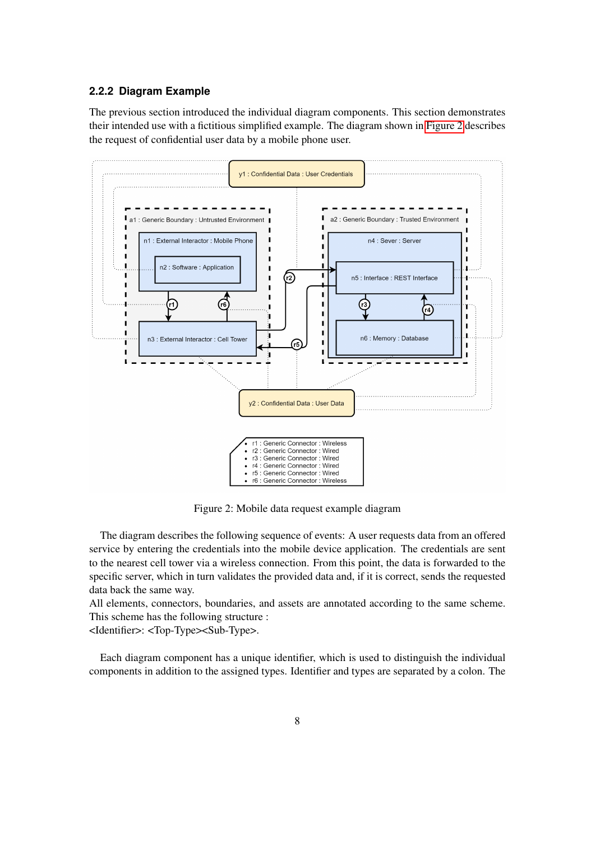#### <span id="page-7-0"></span>**2.2.2 Diagram Example**

The previous section introduced the individual diagram components. This section demonstrates their intended use with a fictitious simplified example. The diagram shown in [Figure 2](#page-7-1) describes the request of confidential user data by a mobile phone user.

<span id="page-7-1"></span>

Figure 2: Mobile data request example diagram

The diagram describes the following sequence of events: A user requests data from an offered service by entering the credentials into the mobile device application. The credentials are sent to the nearest cell tower via a wireless connection. From this point, the data is forwarded to the specific server, which in turn validates the provided data and, if it is correct, sends the requested data back the same way.

All elements, connectors, boundaries, and assets are annotated according to the same scheme. This scheme has the following structure :

<Identifier>: <Top-Type><Sub-Type>.

Each diagram component has a unique identifier, which is used to distinguish the individual components in addition to the assigned types. Identifier and types are separated by a colon. The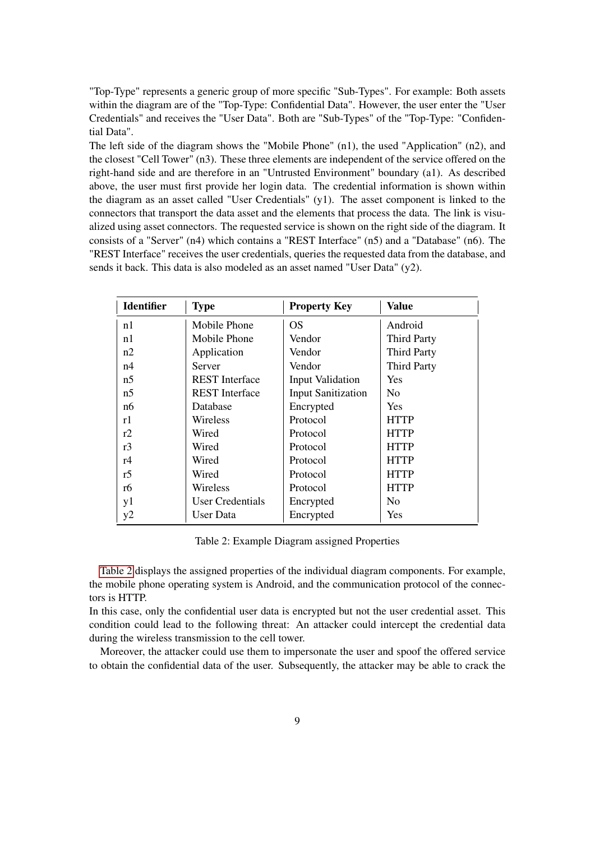"Top-Type" represents a generic group of more specific "Sub-Types". For example: Both assets within the diagram are of the "Top-Type: Confidential Data". However, the user enter the "User Credentials" and receives the "User Data". Both are "Sub-Types" of the "Top-Type: "Confidential Data".

The left side of the diagram shows the "Mobile Phone" (n1), the used "Application" (n2), and the closest "Cell Tower" (n3). These three elements are independent of the service offered on the right-hand side and are therefore in an "Untrusted Environment" boundary (a1). As described above, the user must first provide her login data. The credential information is shown within the diagram as an asset called "User Credentials" (y1). The asset component is linked to the connectors that transport the data asset and the elements that process the data. The link is visualized using asset connectors. The requested service is shown on the right side of the diagram. It consists of a "Server" (n4) which contains a "REST Interface" (n5) and a "Database" (n6). The "REST Interface" receives the user credentials, queries the requested data from the database, and sends it back. This data is also modeled as an asset named "User Data" (y2).

<span id="page-8-0"></span>

| <b>Identifier</b> | <b>Type</b>           | <b>Property Key</b>       | <b>Value</b>       |
|-------------------|-----------------------|---------------------------|--------------------|
| n1                | Mobile Phone          | OS                        | Android            |
| n1                | Mobile Phone          | Vendor                    | <b>Third Party</b> |
| n2                | Application           | Vendor                    | <b>Third Party</b> |
| n4                | Server                | Vendor                    | <b>Third Party</b> |
| n <sub>5</sub>    | <b>REST</b> Interface | <b>Input Validation</b>   | Yes                |
| n <sub>5</sub>    | <b>REST</b> Interface | <b>Input Sanitization</b> | N <sub>0</sub>     |
| n6                | Database              | Encrypted                 | <b>Yes</b>         |
| r1                | Wireless              | Protocol                  | <b>HTTP</b>        |
| r2                | Wired                 | Protocol                  | <b>HTTP</b>        |
| r3                | Wired                 | Protocol                  | <b>HTTP</b>        |
| r <sub>4</sub>    | Wired                 | Protocol                  | <b>HTTP</b>        |
| r5                | Wired                 | Protocol                  | <b>HTTP</b>        |
| r6                | Wireless              | Protocol                  | <b>HTTP</b>        |
| y1                | User Credentials      | Encrypted                 | N <sub>0</sub>     |
| y2                | User Data             | Encrypted                 | Yes                |

Table 2: Example Diagram assigned Properties

[Table 2](#page-8-0) displays the assigned properties of the individual diagram components. For example, the mobile phone operating system is Android, and the communication protocol of the connectors is HTTP.

In this case, only the confidential user data is encrypted but not the user credential asset. This condition could lead to the following threat: An attacker could intercept the credential data during the wireless transmission to the cell tower.

Moreover, the attacker could use them to impersonate the user and spoof the offered service to obtain the confidential data of the user. Subsequently, the attacker may be able to crack the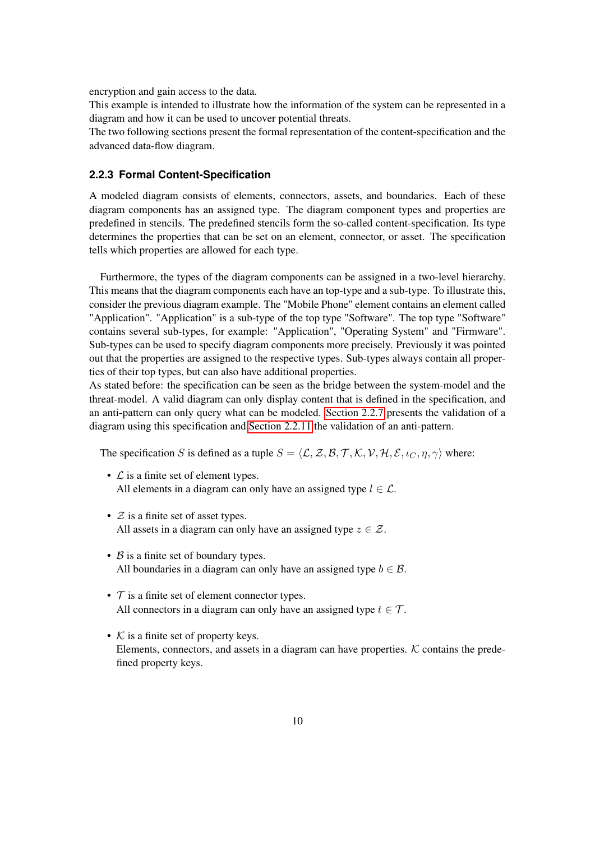encryption and gain access to the data.

This example is intended to illustrate how the information of the system can be represented in a diagram and how it can be used to uncover potential threats.

The two following sections present the formal representation of the content-specification and the advanced data-flow diagram.

#### <span id="page-9-0"></span>**2.2.3 Formal Content-Specification**

A modeled diagram consists of elements, connectors, assets, and boundaries. Each of these diagram components has an assigned type. The diagram component types and properties are predefined in stencils. The predefined stencils form the so-called content-specification. Its type determines the properties that can be set on an element, connector, or asset. The specification tells which properties are allowed for each type.

Furthermore, the types of the diagram components can be assigned in a two-level hierarchy. This means that the diagram components each have an top-type and a sub-type. To illustrate this, consider the previous diagram example. The "Mobile Phone" element contains an element called "Application". "Application" is a sub-type of the top type "Software". The top type "Software" contains several sub-types, for example: "Application", "Operating System" and "Firmware". Sub-types can be used to specify diagram components more precisely. Previously it was pointed out that the properties are assigned to the respective types. Sub-types always contain all properties of their top types, but can also have additional properties.

As stated before: the specification can be seen as the bridge between the system-model and the threat-model. A valid diagram can only display content that is defined in the specification, and an anti-pattern can only query what can be modeled. [Section 2.2.7](#page-17-0) presents the validation of a diagram using this specification and [Section 2.2.11](#page-22-0) the validation of an anti-pattern.

The specification S is defined as a tuple  $S = \langle \mathcal{L}, \mathcal{Z}, \mathcal{B}, \mathcal{T}, \mathcal{K}, \mathcal{V}, \mathcal{H}, \mathcal{E}, \iota_C, \eta, \gamma \rangle$  where:

- $\mathcal L$  is a finite set of element types. All elements in a diagram can only have an assigned type  $l \in \mathcal{L}$ .
- $Z$  is a finite set of asset types. All assets in a diagram can only have an assigned type  $z \in \mathcal{Z}$ .
- $\beta$  is a finite set of boundary types. All boundaries in a diagram can only have an assigned type  $b \in \mathcal{B}$ .
- $\tau$  is a finite set of element connector types. All connectors in a diagram can only have an assigned type  $t \in \mathcal{T}$ .
- $K$  is a finite set of property keys. Elements, connectors, and assets in a diagram can have properties.  $K$  contains the predefined property keys.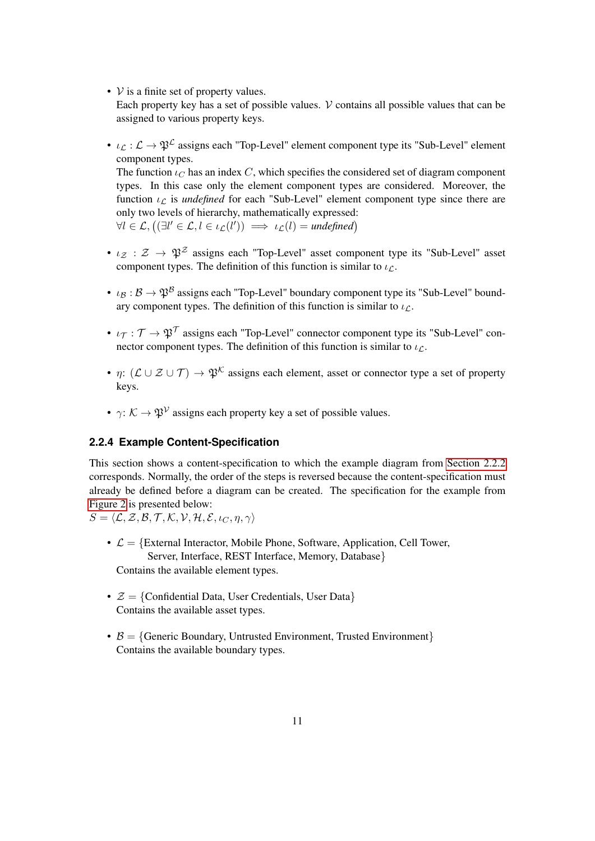•  $V$  is a finite set of property values.

Each property key has a set of possible values.  $\mathcal V$  contains all possible values that can be assigned to various property keys.

•  $\iota_L : \mathcal{L} \to \mathfrak{P}^{\mathcal{L}}$  assigns each "Top-Level" element component type its "Sub-Level" element component types.

The function  $\iota_C$  has an index C, which specifies the considered set of diagram component types. In this case only the element component types are considered. Moreover, the function  $\iota_{\mathcal{L}}$  is *undefined* for each "Sub-Level" element component type since there are only two levels of hierarchy, mathematically expressed:  $\forall l \in \mathcal{L}, ((\exists l' \in \mathcal{L}, l \in \iota_{\mathcal{L}}(l')) \implies \iota_{\mathcal{L}}(l) = \text{undefined})$ 

- $\iota_{\mathcal{Z}} : \mathcal{Z} \to \mathfrak{P}^{\mathcal{Z}}$  assigns each "Top-Level" asset component type its "Sub-Level" asset component types. The definition of this function is similar to  $\iota_{\mathcal{L}}$ .
- $\iota_B : \mathcal{B} \to \mathfrak{P}^B$  assigns each "Top-Level" boundary component type its "Sub-Level" boundary component types. The definition of this function is similar to  $\iota_{\mathcal{L}}$ .
- $\iota_{\mathcal{T}} : \mathcal{T} \to \mathfrak{P}^{\mathcal{T}}$  assigns each "Top-Level" connector component type its "Sub-Level" connector component types. The definition of this function is similar to  $\nu_{\mathcal{L}}$ .
- $\eta: (\mathcal{L} \cup \mathcal{Z} \cup \mathcal{T}) \to \mathfrak{P}^{\mathcal{K}}$  assigns each element, asset or connector type a set of property keys.
- $\gamma: \mathcal{K} \to \mathfrak{P}^{\mathcal{V}}$  assigns each property key a set of possible values.

#### <span id="page-10-0"></span>**2.2.4 Example Content-Specification**

This section shows a content-specification to which the example diagram from [Section 2.2.2](#page-7-0) corresponds. Normally, the order of the steps is reversed because the content-specification must already be defined before a diagram can be created. The specification for the example from [Figure 2](#page-7-1) is presented below:

 $S = \langle \mathcal{L}, \mathcal{Z}, \mathcal{B}, \mathcal{T}, \mathcal{K}, \mathcal{V}, \mathcal{H}, \mathcal{E}, \iota_C, \eta, \gamma \rangle$ 

- $\mathcal{L} = \{\text{External Interestor, Mobile Phone, Software, Application, Cell Tower, }$ Server, Interface, REST Interface, Memory, Database} Contains the available element types.
- $\mathcal{Z} = \{$ Confidential Data, User Credentials, User Data $\}$ Contains the available asset types.
- $\beta = \{$  Generic Boundary, Untrusted Environment, Trusted Environment $\}$ Contains the available boundary types.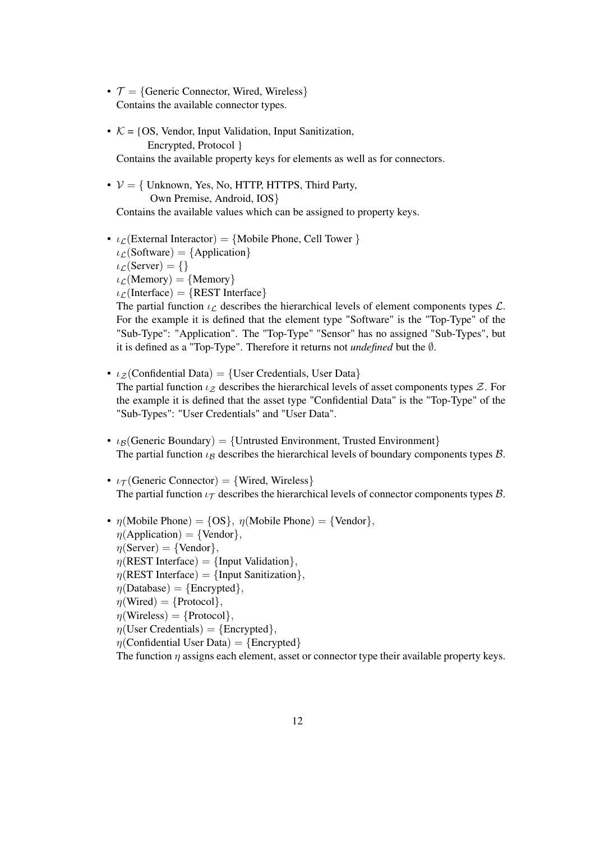- $\mathcal{T} = \{ \text{Generic Connector, Wired, Wireless} \}$ Contains the available connector types.
- $K = \{OS, Vendor, Input Validation, Input Sanitization,$ Encrypted, Protocol } Contains the available property keys for elements as well as for connectors.
- $V = \{$  Unknown, Yes, No, HTTP, HTTPS, Third Party, Own Premise, Android, IOS} Contains the available values which can be assigned to property keys.
- $\iota_{\mathcal{L}}$ (External Interactor) = {Mobile Phone, Cell Tower }  $\iota_{\mathcal{L}}$ (Software) = {Application}  $\iota_{\mathcal{L}}$ (Server) = {}  $\iota_{\mathcal{L}}(\text{Memory}) = \{\text{Memory}\}\$  $\iota_{\mathcal{L}}$ (Interface) = {REST Interface} The partial function  $\iota_{\mathcal{L}}$  describes the hierarchical levels of element components types  $\mathcal{L}$ .

For the example it is defined that the element type "Software" is the "Top-Type" of the "Sub-Type": "Application". The "Top-Type" "Sensor" has no assigned "Sub-Types", but it is defined as a "Top-Type". Therefore it returns not *undefined* but the ∅.

- $\iota_Z$ (Confidential Data) = {User Credentials, User Data} The partial function  $\iota_Z$  describes the hierarchical levels of asset components types  $\mathcal{Z}$ . For the example it is defined that the asset type "Confidential Data" is the "Top-Type" of the "Sub-Types": "User Credentials" and "User Data".
- $\iota_B$ (Generic Boundary) = {Untrusted Environment, Trusted Environment} The partial function  $\iota_B$  describes the hierarchical levels of boundary components types  $\beta$ .
- $\iota_{\mathcal{T}}$  (Generic Connector) = {Wired, Wireless} The partial function  $\iota_{\mathcal{T}}$  describes the hierarchical levels of connector components types  $\beta$ .
- $\eta$ (Mobile Phone) = {OS},  $\eta$ (Mobile Phone) = {Vendor},  $\eta$ (Application) = {Vendor},  $\eta$ (Server) = {Vendor},  $\eta$ (REST Interface) = {Input Validation},  $n(REST Interface) = {Input Sanitization}.$  $n(Database) = {Encroted}.$  $\eta$ (Wired) = {Protocol},  $\eta$ (Wireless) = {Protocol},  $\eta$ (User Credentials) = {Encrypted},  $\eta$ (Confidential User Data) = {Encrypted} The function  $\eta$  assigns each element, asset or connector type their available property keys.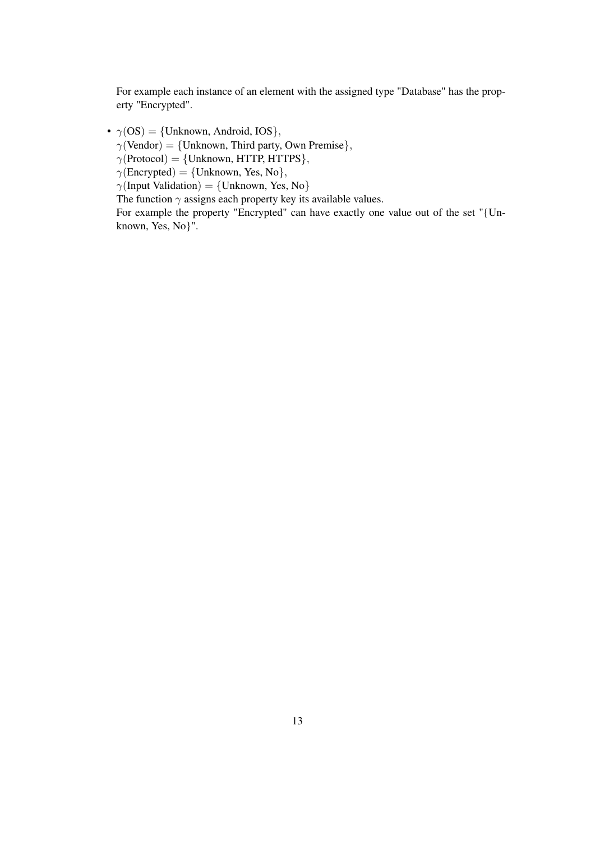For example each instance of an element with the assigned type "Database" has the property "Encrypted".

•  $\gamma$ (OS) = {Unknown, Android, IOS},

 $\gamma$ (Vendor) = {Unknown, Third party, Own Premise},

 $\gamma$ (Protocol) = {Unknown, HTTP, HTTPS},

 $\gamma$ (Encrypted) = {Unknown, Yes, No},

 $\gamma$ (Input Validation) = {Unknown, Yes, No}

The function  $\gamma$  assigns each property key its available values.

For example the property "Encrypted" can have exactly one value out of the set "{Unknown, Yes, No}".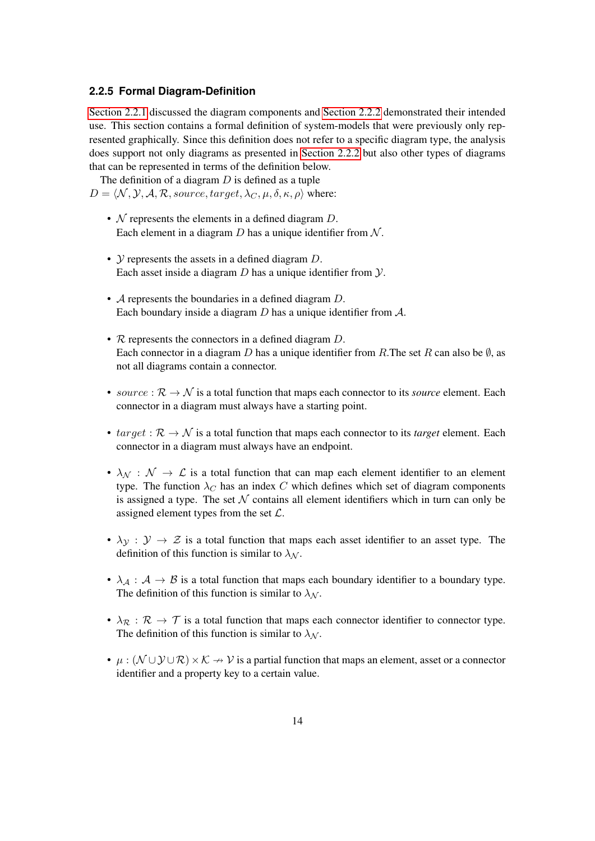#### <span id="page-13-0"></span>**2.2.5 Formal Diagram-Definition**

[Section 2.2.1](#page-5-1) discussed the diagram components and [Section 2.2.2](#page-7-0) demonstrated their intended use. This section contains a formal definition of system-models that were previously only represented graphically. Since this definition does not refer to a specific diagram type, the analysis does support not only diagrams as presented in [Section 2.2.2](#page-7-0) but also other types of diagrams that can be represented in terms of the definition below.

The definition of a diagram  $D$  is defined as a tuple  $D = \langle \mathcal{N}, \mathcal{Y}, \mathcal{A}, \mathcal{R}, source, target, \lambda_C, \mu, \delta, \kappa, \rho \rangle$  where:

- $\mathcal N$  represents the elements in a defined diagram  $D$ . Each element in a diagram  $D$  has a unique identifier from  $N$ .
- $\mathcal Y$  represents the assets in a defined diagram  $D$ . Each asset inside a diagram  $D$  has a unique identifier from  $Y$ .
- A represents the boundaries in a defined diagram D. Each boundary inside a diagram  $D$  has a unique identifier from  $\mathcal{A}$ .
- R represents the connectors in a defined diagram D. Each connector in a diagram D has a unique identifier from R.The set R can also be  $\emptyset$ , as not all diagrams contain a connector.
- *source* :  $\mathcal{R} \to \mathcal{N}$  is a total function that maps each connector to its *source* element. Each connector in a diagram must always have a starting point.
- $target: \mathcal{R} \rightarrow \mathcal{N}$  is a total function that maps each connector to its *target* element. Each connector in a diagram must always have an endpoint.
- $\lambda_{\mathcal{N}} : \mathcal{N} \to \mathcal{L}$  is a total function that can map each element identifier to an element type. The function  $\lambda_C$  has an index C which defines which set of diagram components is assigned a type. The set  $N$  contains all element identifiers which in turn can only be assigned element types from the set  $\mathcal{L}$ .
- $\lambda_y : y \to z$  is a total function that maps each asset identifier to an asset type. The definition of this function is similar to  $\lambda_N$ .
- $\lambda_A : A \to B$  is a total function that maps each boundary identifier to a boundary type. The definition of this function is similar to  $\lambda_N$ .
- $\lambda_{\mathcal{R}} : \mathcal{R} \to \mathcal{T}$  is a total function that maps each connector identifier to connector type. The definition of this function is similar to  $\lambda_N$ .
- $\mu : (\mathcal{N} \cup \mathcal{Y} \cup \mathcal{R}) \times \mathcal{K} \to \mathcal{V}$  is a partial function that maps an element, asset or a connector identifier and a property key to a certain value.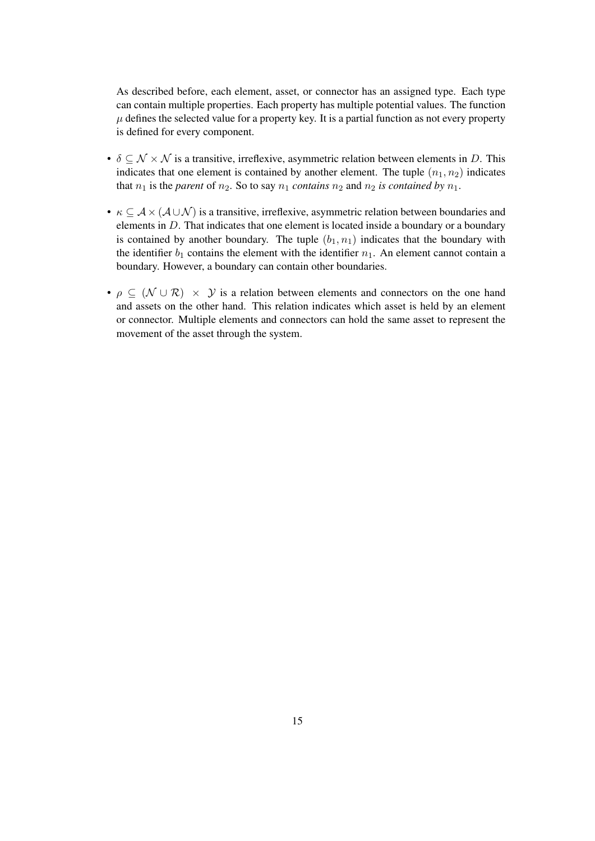As described before, each element, asset, or connector has an assigned type. Each type can contain multiple properties. Each property has multiple potential values. The function  $\mu$  defines the selected value for a property key. It is a partial function as not every property is defined for every component.

- $\delta \subseteq \mathcal{N} \times \mathcal{N}$  is a transitive, irreflexive, asymmetric relation between elements in D. This indicates that one element is contained by another element. The tuple  $(n_1, n_2)$  indicates that  $n_1$  is the *parent* of  $n_2$ . So to say  $n_1$  *contains*  $n_2$  and  $n_2$  *is contained by*  $n_1$ *.*
- $\kappa \subseteq A \times (A \cup \mathcal{N})$  is a transitive, irreflexive, asymmetric relation between boundaries and elements in D. That indicates that one element is located inside a boundary or a boundary is contained by another boundary. The tuple  $(b_1, n_1)$  indicates that the boundary with the identifier  $b_1$  contains the element with the identifier  $n_1$ . An element cannot contain a boundary. However, a boundary can contain other boundaries.
- $\rho \subseteq (N \cup \mathcal{R}) \times \mathcal{Y}$  is a relation between elements and connectors on the one hand and assets on the other hand. This relation indicates which asset is held by an element or connector. Multiple elements and connectors can hold the same asset to represent the movement of the asset through the system.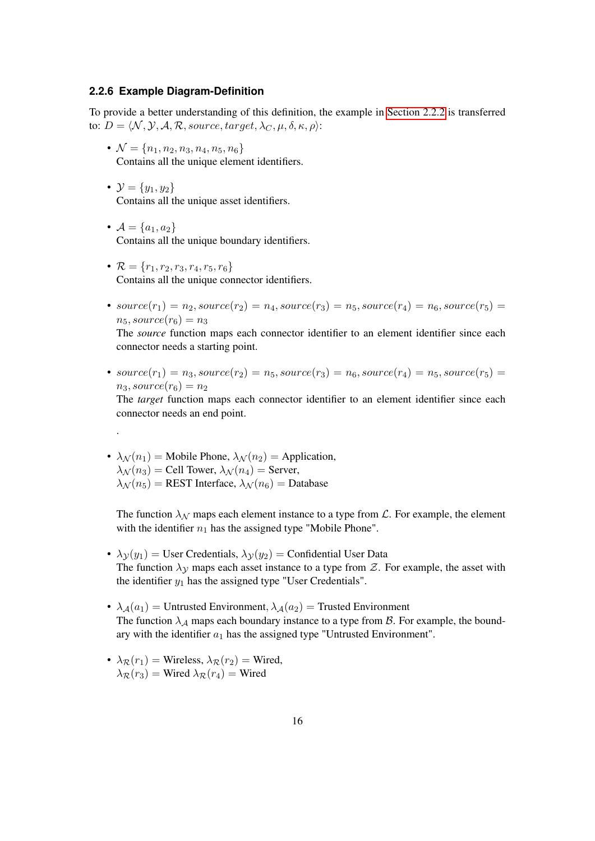#### <span id="page-15-0"></span>**2.2.6 Example Diagram-Definition**

To provide a better understanding of this definition, the example in [Section 2.2.2](#page-7-0) is transferred to:  $D = \langle N, \mathcal{Y}, \mathcal{A}, \mathcal{R}$ , source, target,  $\lambda_C, \mu, \delta, \kappa, \rho \rangle$ :

- $\mathcal{N} = \{n_1, n_2, n_3, n_4, n_5, n_6\}$ Contains all the unique element identifiers.
- $\mathcal{Y} = \{y_1, y_2\}$ Contains all the unique asset identifiers.
- $A = \{a_1, a_2\}$ Contains all the unique boundary identifiers.
- $\mathcal{R} = \{r_1, r_2, r_3, r_4, r_5, r_6\}$ Contains all the unique connector identifiers.
- $source(r_1) = n_2, source(r_2) = n_4, source(r_3) = n_5, source(r_4) = n_6, source(r_5) =$  $n_5$ , source( $r_6$ ) =  $n_3$

The *source* function maps each connector identifier to an element identifier since each connector needs a starting point.

•  $source(r_1) = n_3, source(r_2) = n_5, source(r_3) = n_6, source(r_4) = n_5, source(r_5) =$  $n_3, source(r_6) = n_2$ 

The *target* function maps each connector identifier to an element identifier since each connector needs an end point.

•  $\lambda_N(n_1)$  = Mobile Phone,  $\lambda_N(n_2)$  = Application,  $\lambda_N(n_3)$  = Cell Tower,  $\lambda_N(n_4)$  = Server,  $\lambda_{\mathcal{N}}(n_5)$  = REST Interface,  $\lambda_{\mathcal{N}}(n_6)$  = Database

.

The function  $\lambda_N$  maps each element instance to a type from  $\mathcal{L}$ . For example, the element with the identifier  $n_1$  has the assigned type "Mobile Phone".

- $\lambda y(y_1)$  = User Credentials,  $\lambda y(y_2)$  = Confidential User Data The function  $\lambda$ <sub>y</sub> maps each asset instance to a type from  $Z$ . For example, the asset with the identifier  $y_1$  has the assigned type "User Credentials".
- $\lambda_A(a_1)$  = Untrusted Environment,  $\lambda_A(a_2)$  = Trusted Environment The function  $\lambda_A$  maps each boundary instance to a type from  $\beta$ . For example, the boundary with the identifier  $a_1$  has the assigned type "Untrusted Environment".
- $\lambda_{\mathcal{R}}(r_1)$  = Wireless,  $\lambda_{\mathcal{R}}(r_2)$  = Wired,  $\lambda_{\mathcal{R}}(r_3)$  = Wired  $\lambda_{\mathcal{R}}(r_4)$  = Wired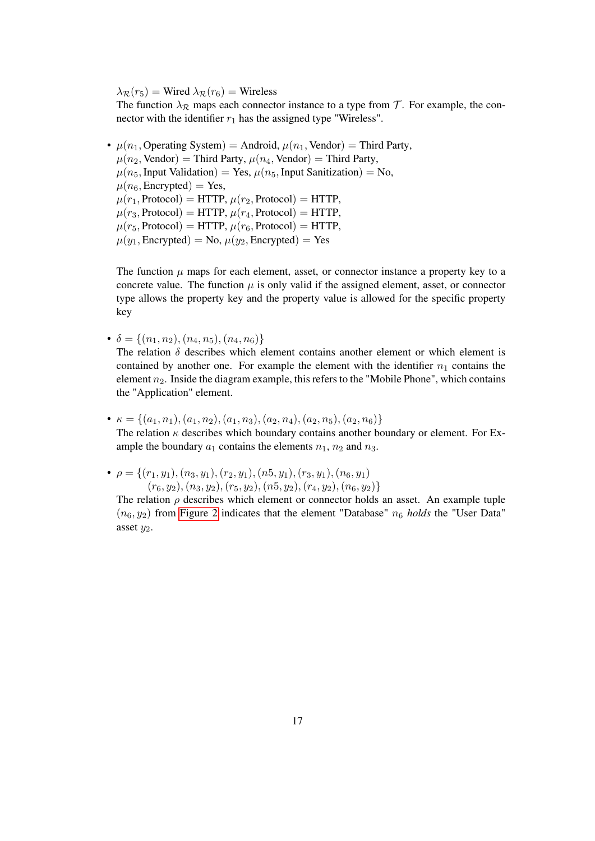$\lambda_{\mathcal{R}}(r_5)$  = Wired  $\lambda_{\mathcal{R}}(r_6)$  = Wireless

The function  $\lambda_{\mathcal{R}}$  maps each connector instance to a type from T. For example, the connector with the identifier  $r_1$  has the assigned type "Wireless".

•  $\mu(n_1, \text{Operating System}) = \text{Android}, \mu(n_1, \text{Vendor}) = \text{Third Party},$  $\mu(n_2, \text{Vendor}) = \text{Third Party}, \mu(n_4, \text{Vendor}) = \text{Third Party},$  $\mu(n_5, \text{Input Validation}) = \text{Yes}, \mu(n_5, \text{Input Sanitization}) = \text{No},$  $\mu(n_6,$  Encrypted) = Yes,  $\mu(r_1, \text{Protocol}) = \text{HTTP}, \mu(r_2, \text{Protocol}) = \text{HTTP},$  $\mu(r_3, \text{Protocol}) = \text{HTTP}, \mu(r_4, \text{Protocol}) = \text{HTTP},$  $\mu(r_5, \text{Protocol}) = \text{HTTP}, \mu(r_6, \text{Protocol}) = \text{HTTP},$  $\mu(y_1, \text{Encrypted}) = \text{No}, \mu(y_2, \text{Encrypted}) = \text{Yes}$ 

The function  $\mu$  maps for each element, asset, or connector instance a property key to a concrete value. The function  $\mu$  is only valid if the assigned element, asset, or connector type allows the property key and the property value is allowed for the specific property key

•  $\delta = \{(n_1, n_2), (n_4, n_5), (n_4, n_6)\}\$ 

The relation  $\delta$  describes which element contains another element or which element is contained by another one. For example the element with the identifier  $n_1$  contains the element  $n_2$ . Inside the diagram example, this refers to the "Mobile Phone", which contains the "Application" element.

- $\kappa = \{(a_1, n_1), (a_1, n_2), (a_1, n_3), (a_2, n_4), (a_2, n_5), (a_2, n_6)\}\$ The relation  $\kappa$  describes which boundary contains another boundary or element. For Example the boundary  $a_1$  contains the elements  $n_1$ ,  $n_2$  and  $n_3$ .
- $\rho = \{(r_1, y_1), (n_3, y_1), (r_2, y_1), (n_5, y_1), (r_3, y_1), (n_6, y_1)\}$  $(r_6, y_2), (n_3, y_2), (r_5, y_2), (n_5, y_2), (r_4, y_2), (n_6, y_2)\}$

The relation  $\rho$  describes which element or connector holds an asset. An example tuple  $(n_6, y_2)$  from [Figure 2](#page-7-1) indicates that the element "Database"  $n_6$  *holds* the "User Data" asset  $y_2$ .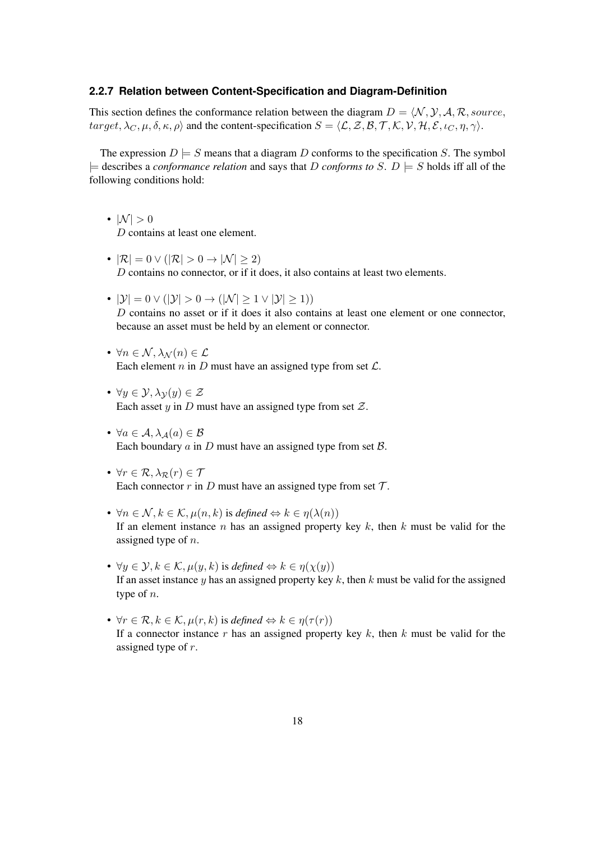#### <span id="page-17-0"></span>**2.2.7 Relation between Content-Specification and Diagram-Definition**

This section defines the conformance relation between the diagram  $D = \langle N, \mathcal{Y}, \mathcal{A}, \mathcal{R}, source,$ target,  $\lambda_C, \mu, \delta, \kappa, \rho$  and the content-specification  $S = \langle \mathcal{L}, \mathcal{Z}, \mathcal{B}, \mathcal{T}, \mathcal{K}, \mathcal{V}, \mathcal{H}, \mathcal{E}, \iota_C, \eta, \gamma \rangle$ .

The expression  $D \models S$  means that a diagram D conforms to the specification S. The symbol  $\models$  describes a *conformance relation* and says that D *conforms to* S. D  $\models$  S holds iff all of the following conditions hold:

- $|\mathcal{N}| > 0$ D contains at least one element.
- $|\mathcal{R}| = 0 \vee (|\mathcal{R}| > 0 \rightarrow |\mathcal{N}| \geq 2)$ D contains no connector, or if it does, it also contains at least two elements.
- $|\mathcal{Y}| = 0 \vee (|\mathcal{Y}| > 0 \rightarrow (|\mathcal{N}| \geq 1 \vee |\mathcal{Y}| \geq 1))$ D contains no asset or if it does it also contains at least one element or one connector. because an asset must be held by an element or connector.
- $\forall n \in \mathcal{N}, \lambda_{\mathcal{N}}(n) \in \mathcal{L}$ Each element n in D must have an assigned type from set  $\mathcal{L}$ .
- $\forall y \in \mathcal{Y}, \lambda_{\mathcal{V}}(y) \in \mathcal{Z}$ Each asset y in D must have an assigned type from set  $\mathcal{Z}$ .
- $\forall a \in \mathcal{A}, \lambda_{\mathcal{A}}(a) \in \mathcal{B}$ Each boundary  $a$  in  $D$  must have an assigned type from set  $B$ .
- $\forall r \in \mathcal{R}, \lambda_{\mathcal{R}}(r) \in \mathcal{T}$ Each connector  $r$  in  $D$  must have an assigned type from set  $T$ .
- $\forall n \in \mathcal{N}, k \in \mathcal{K}, \mu(n, k)$  is *defined*  $\Leftrightarrow k \in \eta(\lambda(n))$ If an element instance  $n$  has an assigned property key  $k$ , then  $k$  must be valid for the assigned type of *n*.
- $\forall y \in \mathcal{Y}, k \in \mathcal{K}, \mu(y, k)$  is *defined*  $\Leftrightarrow k \in \eta(\chi(y))$ If an asset instance y has an assigned property key k, then k must be valid for the assigned type of n.
- $\forall r \in \mathcal{R}, k \in \mathcal{K}, \mu(r, k)$  is *defined*  $\Leftrightarrow k \in \eta(\tau(r))$ If a connector instance r has an assigned property key  $k$ , then  $k$  must be valid for the assigned type of r.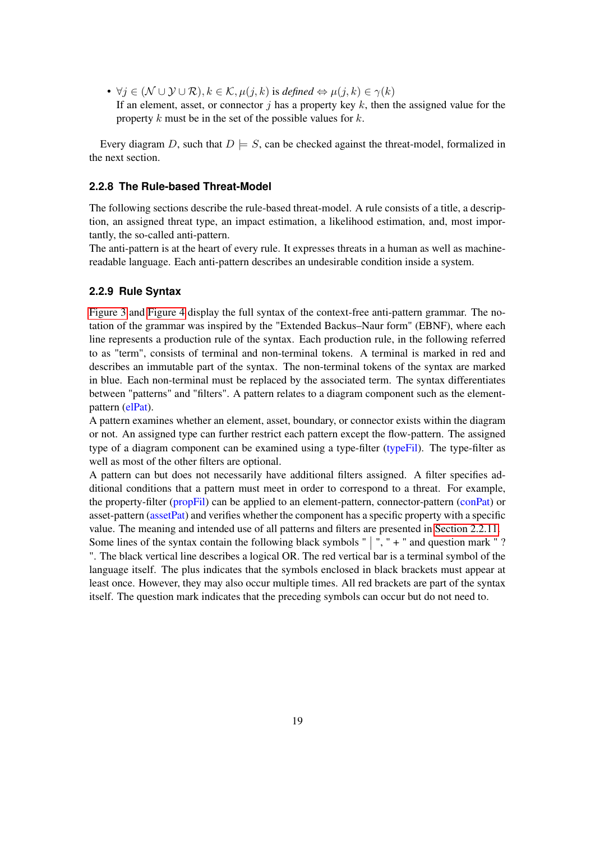•  $\forall j \in (\mathcal{N} \cup \mathcal{Y} \cup \mathcal{R}), k \in \mathcal{K}, \mu(j,k)$  is *defined*  $\Leftrightarrow \mu(j,k) \in \gamma(k)$ If an element, asset, or connector  $\dot{\gamma}$  has a property key k, then the assigned value for the property k must be in the set of the possible values for  $k$ .

Every diagram D, such that  $D \models S$ , can be checked against the threat-model, formalized in the next section.

#### <span id="page-18-0"></span>**2.2.8 The Rule-based Threat-Model**

The following sections describe the rule-based threat-model. A rule consists of a title, a description, an assigned threat type, an impact estimation, a likelihood estimation, and, most importantly, the so-called anti-pattern.

The anti-pattern is at the heart of every rule. It expresses threats in a human as well as machinereadable language. Each anti-pattern describes an undesirable condition inside a system.

#### <span id="page-18-1"></span>**2.2.9 Rule Syntax**

[Figure 3](#page-19-0) and [Figure 4](#page-20-0) display the full syntax of the context-free anti-pattern grammar. The notation of the grammar was inspired by the "Extended Backus–Naur form" (EBNF), where each line represents a production rule of the syntax. Each production rule, in the following referred to as "term", consists of terminal and non-terminal tokens. A terminal is marked in red and describes an immutable part of the syntax. The non-terminal tokens of the syntax are marked in blue. Each non-terminal must be replaced by the associated term. The syntax differentiates between "patterns" and "filters". A pattern relates to a diagram component such as the elementpattern (elPat).

A pattern examines whether an element, asset, boundary, or connector exists within the diagram or not. An assigned type can further restrict each pattern except the flow-pattern. The assigned type of a diagram component can be examined using a type-filter (typeFil). The type-filter as well as most of the other filters are optional.

A pattern can but does not necessarily have additional filters assigned. A filter specifies additional conditions that a pattern must meet in order to correspond to a threat. For example, the property-filter (propFil) can be applied to an element-pattern, connector-pattern (conPat) or asset-pattern (assetPat) and verifies whether the component has a specific property with a specific value. The meaning and intended use of all patterns and filters are presented in [Section 2.2.11.](#page-22-0)

Some lines of the syntax contain the following black symbols " $\vert$ ", " + " and question mark "? ". The black vertical line describes a logical OR. The red vertical bar is a terminal symbol of the language itself. The plus indicates that the symbols enclosed in black brackets must appear at least once. However, they may also occur multiple times. All red brackets are part of the syntax itself. The question mark indicates that the preceding symbols can occur but do not need to.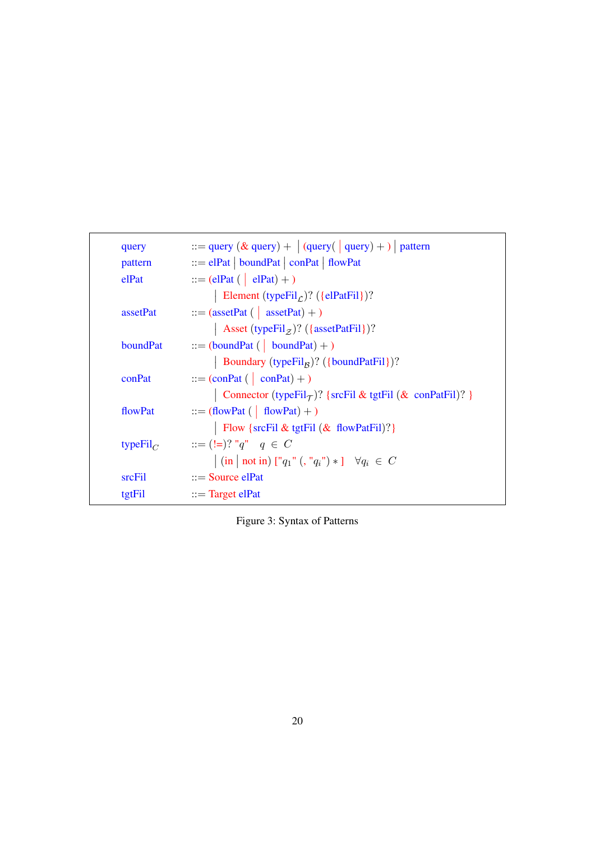<span id="page-19-0"></span>

| query               | $ ::= \text{query} (\& query) +   (query() query) +   )$ pattern                                                                                                                      |
|---------------------|---------------------------------------------------------------------------------------------------------------------------------------------------------------------------------------|
| pattern             | $ ::=$ elPat   boundPat   conPat   flowPat                                                                                                                                            |
| elPat               | $ ::= (elPat (   elPat) + )$                                                                                                                                                          |
|                     | Element (typeFil <sub>C</sub> )? ({elPatFil})?                                                                                                                                        |
| assetPat            | $ ::=$ (assetPat (   assetPat) + )                                                                                                                                                    |
|                     | Asset (typeFil <sub>z</sub> )? ({assetPatFil})?                                                                                                                                       |
| boundPat            | $ ::= (boundPat (   boundPat) + )$                                                                                                                                                    |
|                     | Boundary (typeFil <sub>B</sub> )? ({boundPatFil})?                                                                                                                                    |
| conPat              | $ ::= (conPat (conPat) + )$                                                                                                                                                           |
|                     | Connector (typeFil $_{\mathcal{T}}$ )? {srcFil & tgtFil (& conPatFil)? }                                                                                                              |
| flowPat             | $ ::= (flowPat (   flowPat) + )$                                                                                                                                                      |
|                     | Flow {srcFil & tgtFil $(\&$ flowPatFil)?}                                                                                                                                             |
| type $\text{Fil}_C$ | $ ::= (!=)? "q" q \in C$                                                                                                                                                              |
|                     | $\left  \left( \text{in} \mid \text{not in} \right) \left[ \left[ \left[ q_1 \right] \right] \left( \left[ \left[ q_i \right] \right] \right] \ast \right] \right  \forall q_i \in C$ |
| srcFil              | $ ::=$ Source elPat                                                                                                                                                                   |
| tgtFil              | $ ::=$ Target elPat                                                                                                                                                                   |

Figure 3: Syntax of Patterns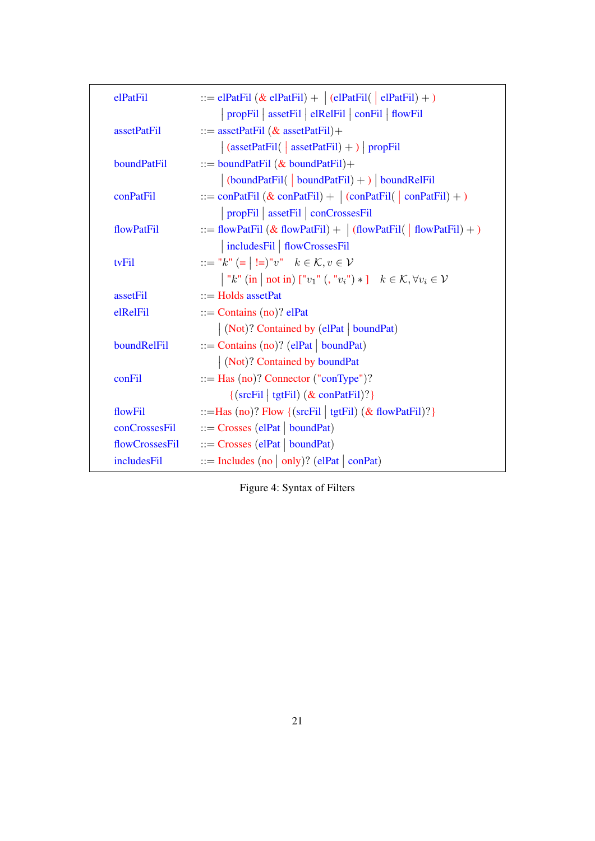<span id="page-20-0"></span>

| elPatFil      | ::= elPatFil $(\&$ elPatFil) + $ $ (elPatFil( $ $ elPatFil) + )                                 |
|---------------|-------------------------------------------------------------------------------------------------|
|               | propFil   assetFil   elRelFil   conFil   flowFil                                                |
| assetPatFil   | ::= assetPatFil $(\&$ assetPatFil)+                                                             |
|               | $\vert$ (assetPatFil( $\vert$ assetPatFil) + ) $\vert$ propFil                                  |
| boundPatFil   | ::= boundPatFil $(\&$ boundPatFil $)+$                                                          |
|               | $\vert$ (boundPatFil( $\vert$ boundPatFil) + $\rangle$ boundRelFil                              |
| conPatFil     | ::= conPatFil $(\&$ conPatFil) + $ $ (conPatFil( $ $ conPatFil) + )                             |
|               | propFil   assetFil   conCrossesFil                                                              |
| flowPatFil    | ::= flowPatFil (& flowPatFil) + $ $ (flowPatFil( $ $ flowPatFil) + )                            |
|               | includesFil   flowCrossesFil                                                                    |
| tvFil         | ::= "k" (=   !=)"v" $k \in K, v \in V$                                                          |
|               | "k" (in   not in) [" $v_1$ " (, " $v_i$ ") * ] $k \in \mathcal{K}, \forall v_i \in \mathcal{V}$ |
| assetFil      | $ ::=$ Holds assetPat                                                                           |
| elRelFil      | $ ::=$ Contains (no)? elPat                                                                     |
|               | (Not)? Contained by (elPat   boundPat)                                                          |
| boundRelFil   | $ ::=$ Contains (no)? (elPat   boundPat)                                                        |
|               | $\vert$ (Not)? Contained by boundPat                                                            |
| conFil        | $ ::=$ Has (no)? Connector ("conType")?                                                         |
|               | $\{(\text{srcFil}   \text{tgtFil}) (\& \text{conPatFil})?\}$                                    |
| flowFil       | ::=Has (no)? Flow { $(srefil   tgtFil)$ $(k$ flowPatFil)?}                                      |
| conCrossesFil | $ ::=$ Crosses (elPat   boundPat)                                                               |
|               | $flowCrossesFil$ ::= Crosses (elPat   boundPat)                                                 |
| includesFil   | $ ::=$ Includes (no   only)? (elPat   conPat)                                                   |

Figure 4: Syntax of Filters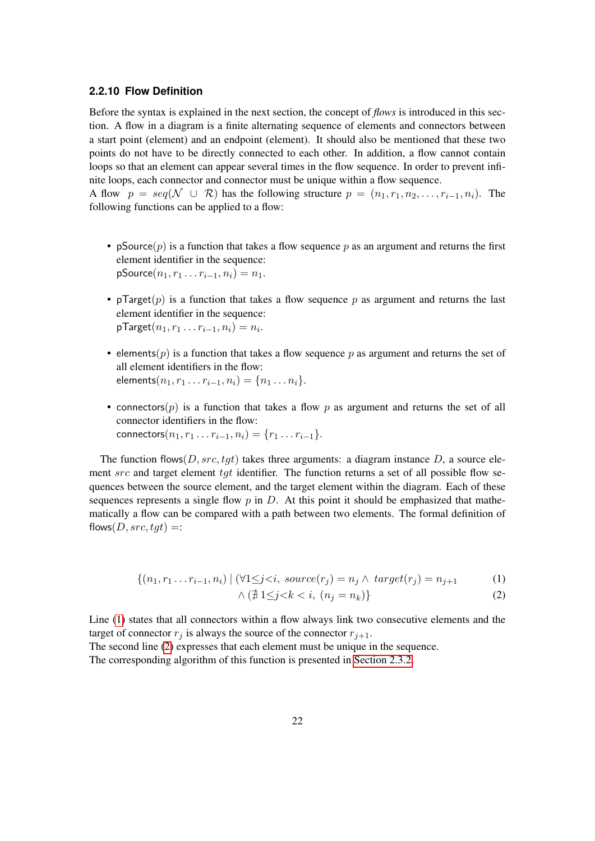#### <span id="page-21-0"></span>**2.2.10 Flow Definition**

Before the syntax is explained in the next section, the concept of *flows* is introduced in this section. A flow in a diagram is a finite alternating sequence of elements and connectors between a start point (element) and an endpoint (element). It should also be mentioned that these two points do not have to be directly connected to each other. In addition, a flow cannot contain loops so that an element can appear several times in the flow sequence. In order to prevent infinite loops, each connector and connector must be unique within a flow sequence.

A flow  $p = \text{seq}(\mathcal{N} \cup \mathcal{R})$  has the following structure  $p = (n_1, r_1, n_2, \dots, r_{i-1}, n_i)$ . The following functions can be applied to a flow:

- pSource(p) is a function that takes a flow sequence p as an argument and returns the first element identifier in the sequence:  $pSource(n_1, r_1 \ldots r_{i-1}, n_i) = n_1.$
- pTarget(p) is a function that takes a flow sequence p as argument and returns the last element identifier in the sequence:  $\mathsf{pTarget}(n_1,r_1\ldots r_{i-1},n_i)=n_i.$
- elements( $p$ ) is a function that takes a flow sequence p as argument and returns the set of all element identifiers in the flow: elements $(n_1, r_1 \ldots r_{i-1}, n_i) = \{n_1 \ldots n_i\}.$
- connectors(p) is a function that takes a flow p as argument and returns the set of all connector identifiers in the flow: connectors $(n_1, r_1 \ldots r_{i-1}, n_i) = \{r_1 \ldots r_{i-1}\}.$

The function flows( $D, src, tqt$ ) takes three arguments: a diagram instance D, a source element  $src$  and target element  $tgt$  identifier. The function returns a set of all possible flow sequences between the source element, and the target element within the diagram. Each of these sequences represents a single flow  $p$  in  $D$ . At this point it should be emphasized that mathematically a flow can be compared with a path between two elements. The formal definition of flows( $D, src, tqt$ ) =:

$$
\{(n_1, r_1 \dots r_{i-1}, n_i) \mid (\forall 1 \leq j < i, source(r_j) = n_j \land target(r_j) = n_{j+1} \tag{1}
$$

<span id="page-21-2"></span><span id="page-21-1"></span>
$$
\wedge \left(\nexists 1 \leq j < k < i, \ (n_j = n_k)\right\} \tag{2}
$$

Line [\(1\)](#page-21-1) states that all connectors within a flow always link two consecutive elements and the target of connector  $r_j$  is always the source of the connector  $r_{j+1}$ .

The second line [\(2\)](#page-21-2) expresses that each element must be unique in the sequence. The corresponding algorithm of this function is presented in [Section 2.3.2.](#page-42-0)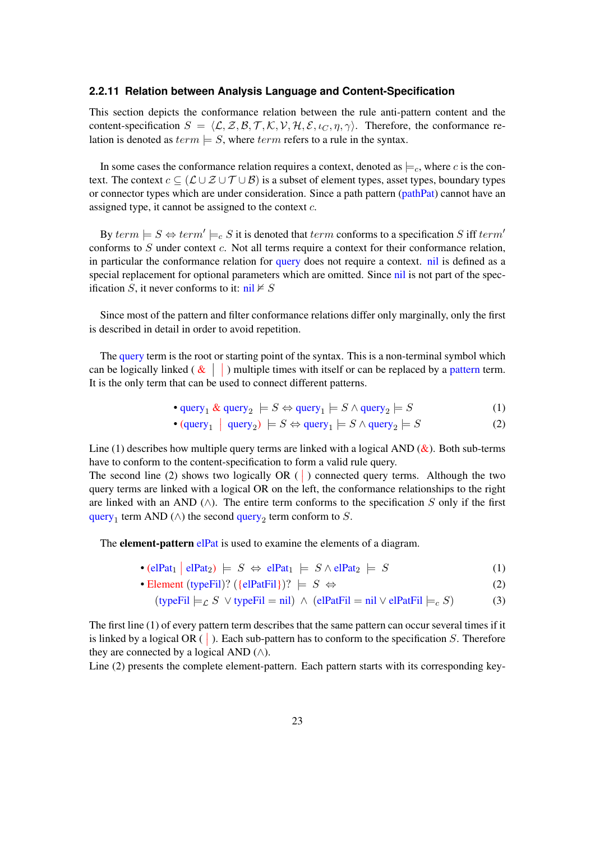#### <span id="page-22-0"></span>**2.2.11 Relation between Analysis Language and Content-Specification**

This section depicts the conformance relation between the rule anti-pattern content and the content-specification  $S = \langle \mathcal{L}, \mathcal{Z}, \mathcal{B}, \mathcal{T}, \mathcal{K}, \mathcal{V}, \mathcal{H}, \mathcal{E}, \iota_C, \eta, \gamma \rangle$ . Therefore, the conformance relation is denoted as  $term \models S$ , where  $term$  refers to a rule in the syntax.

In some cases the conformance relation requires a context, denoted as  $\models_c$ , where c is the context. The context  $c \subseteq (\mathcal{L} \cup \mathcal{Z} \cup \mathcal{T} \cup \mathcal{B})$  is a subset of element types, asset types, boundary types or connector types which are under consideration. Since a path pattern (pathPat) cannot have an assigned type, it cannot be assigned to the context c.

By  $term \models S \Leftrightarrow term' \models_c S$  it is denoted that  $term$  conforms to a specification S iff  $term'$ conforms to  $S$  under context  $c$ . Not all terms require a context for their conformance relation, in particular the conformance relation for query does not require a context. nil is defined as a special replacement for optional parameters which are omitted. Since nil is not part of the specification S, it never conforms to it:  $\text{nil} \not\vdash S$ 

Since most of the pattern and filter conformance relations differ only marginally, only the first is described in detail in order to avoid repetition.

The query term is the root or starting point of the syntax. This is a non-terminal symbol which can be logically linked ( $\&$   $\mid$  ) multiple times with itself or can be replaced by a pattern term. It is the only term that can be used to connect different patterns.

• query<sub>1</sub> & query<sub>2</sub> 
$$
\models S \Leftrightarrow
$$
 query<sub>1</sub>  $\models S \wedge$  query<sub>2</sub>  $\models S$  (1)

• 
$$
(query_1 | query_2) \models S \Leftrightarrow query_1 \models S \land query_2 \models S
$$
 (2)

Line (1) describes how multiple query terms are linked with a logical AND  $(\&)$ . Both sub-terms have to conform to the content-specification to form a valid rule query.

The second line (2) shows two logically  $OR$  ( $\vert$ ) connected query terms. Although the two query terms are linked with a logical OR on the left, the conformance relationships to the right are linked with an AND ( $\land$ ). The entire term conforms to the specification S only if the first query<sub>1</sub> term AND ( $\wedge$ ) the second query<sub>2</sub> term conform to S.

The **element-pattern** elpat is used to examine the elements of a diagram.

- (elPat<sub>1</sub> | elPat<sub>2</sub>)  $\models S \Leftrightarrow$  elPat<sub>1</sub>  $\models S \wedge$  elPat<sub>2</sub>  $\models S$  (1)
- Element (typeFil)? ( $\{elPatFil\}$ )?  $\models S \Leftrightarrow$  (2)

$$
(\text{typeFil}\models_{\mathcal{L}} S \lor \text{typeFil} = \text{nil}) \land (\text{elPatFil} = \text{nil} \lor \text{elPatFil}\models_c S) \tag{3}
$$

The first line (1) of every pattern term describes that the same pattern can occur several times if it is linked by a logical OR  $( )$ . Each sub-pattern has to conform to the specification S. Therefore they are connected by a logical AND  $($  $\wedge$ ).

Line (2) presents the complete element-pattern. Each pattern starts with its corresponding key-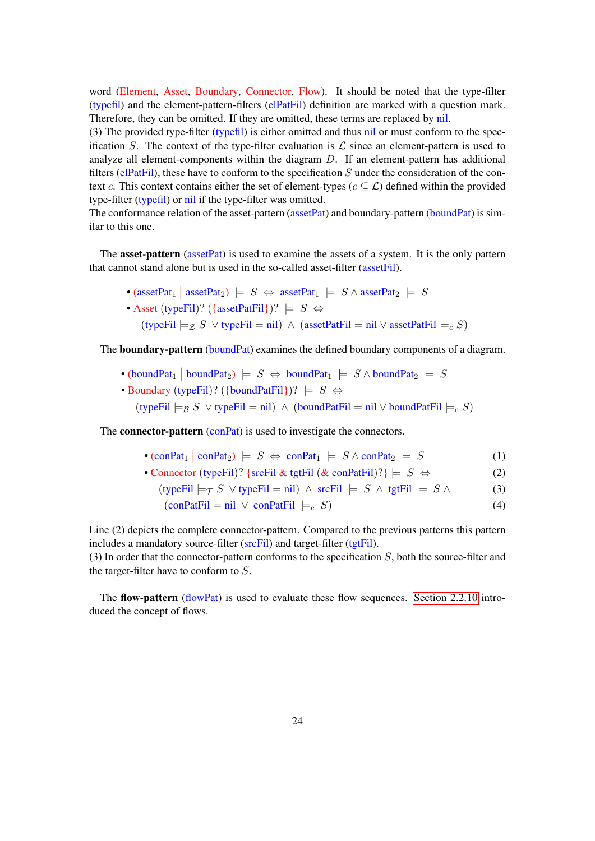word (Element, Asset, Boundary, Connector, Flow). It should be noted that the type-filter (typefil) and the element-pattern-filters (elPatFil) definition are marked with a question mark. Therefore, they can be omitted. If they are omitted, these terms are replaced by nil.

(3) The provided type-filter (typefil) is either omitted and thus nil or must conform to the specification S. The context of the type-filter evaluation is  $\mathcal L$  since an element-pattern is used to analyze all element-components within the diagram D. If an element-pattern has additional filters (elPatFil), these have to conform to the specification  $S$  under the consideration of the context c. This context contains either the set of element-types ( $c \subset \mathcal{L}$ ) defined within the provided type-filter (typefil) or nil if the type-filter was omitted.

The conformance relation of the asset-pattern (assetPat) and boundary-pattern (boundPat) is similar to this one.

The **asset-pattern** (assetPat) is used to examine the assets of a system. It is the only pattern that cannot stand alone but is used in the so-called asset-filter (assetFil).

• (assetPat<sub>1</sub> | assetPat<sub>2</sub>)  $\models S \Leftrightarrow$  assetPat<sub>1</sub>  $\models S \wedge$  assetPat<sub>2</sub>  $\models S$ • Asset (typeFil)? ( $\{assetPatFil\}$ )?  $\models S \Leftrightarrow$ (typeFil  $\models$  z S ∨ typeFil = nil) ∧ (assetPatFil = nil ∨ assetPatFil  $\models$  c S)

The **boundary-pattern** (boundPat) examines the defined boundary components of a diagram.

- (boundPat<sub>1</sub> | boundPat<sub>2</sub>)  $\models S \Leftrightarrow$  boundPat<sub>1</sub>  $\models S \wedge$  boundPat<sub>2</sub>  $\models S$
- Boundary (typeFil)? ({boundPatFil})?  $\models S \Leftrightarrow$ (typeFil  $\models$ <sub>B</sub> S ∨ typeFil = nil) ∧ (boundPatFil = nil ∨ boundPatFil  $\models$ <sub>c</sub> S)

The **connector-pattern** (conPat) is used to investigate the connectors.

- $(\text{conPat}_1 \mid \text{conPat}_2) \models S \Leftrightarrow \text{conPat}_1 \models S \wedge \text{conPat}_2 \models S$  (1)
- Connector (typeFil)? {srcFil & tgtFil (& conPatFil)?}  $\models S \Leftrightarrow$  (2)
	- (typeFil  $\models$  T S ∨ typeFil = nil) ∧ srcFil  $\models$  S ∧ tgtFil  $\models$  S ∧ (3)

$$
(\text{conPatFil} = \text{nil} \lor \text{conPatFil} \models_c S) \tag{4}
$$

Line (2) depicts the complete connector-pattern. Compared to the previous patterns this pattern includes a mandatory source-filter (srcFil) and target-filter (tgtFil).

(3) In order that the connector-pattern conforms to the specification  $S$ , both the source-filter and the target-filter have to conform to  $S$ .

The flow-pattern (flowPat) is used to evaluate these flow sequences. [Section 2.2.10](#page-21-0) introduced the concept of flows.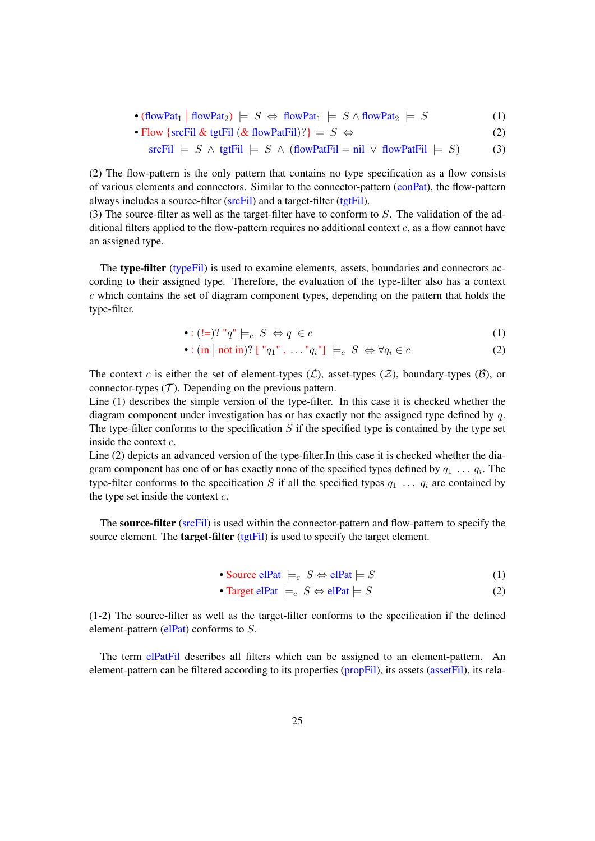• 
$$
(flowPat_1 | flowPat_2) \models S \Leftrightarrow flowPat_1 \models S \wedge flowPat_2 \models S
$$
 (1)

• Flow {srcFil & tgtFil ( $\&$  flowPatFil)?}  $\models S \Leftrightarrow$  (2)

$$
\text{srcFil} \models S \land \text{tgtFil} \models S \land (\text{flowPatFil} = \text{nil} \lor \text{flowPatFil} \models S) \tag{3}
$$

(2) The flow-pattern is the only pattern that contains no type specification as a flow consists of various elements and connectors. Similar to the connector-pattern (conPat), the flow-pattern always includes a source-filter (srcFil) and a target-filter (tgtFil).

(3) The source-filter as well as the target-filter have to conform to  $S$ . The validation of the additional filters applied to the flow-pattern requires no additional context  $c$ , as a flow cannot have an assigned type.

The type-filter (typeFil) is used to examine elements, assets, boundaries and connectors according to their assigned type. Therefore, the evaluation of the type-filter also has a context  $c$  which contains the set of diagram component types, depending on the pattern that holds the type-filter.

$$
\bullet : (\mathbf{l=})? \text{ "q" } \models_c S \Leftrightarrow q \in c \tag{1}
$$

$$
\bullet : (\text{in} \mid \text{not in})? \text{ } [\text{ } "q_1", \text{ } \dots"q_i"] \models_c S \Leftrightarrow \forall q_i \in c \tag{2}
$$

The context c is either the set of element-types  $(\mathcal{L})$ , asset-types  $(\mathcal{Z})$ , boundary-types  $(\mathcal{B})$ , or connector-types  $(T)$ . Depending on the previous pattern.

Line (1) describes the simple version of the type-filter. In this case it is checked whether the diagram component under investigation has or has exactly not the assigned type defined by  $q$ . The type-filter conforms to the specification  $S$  if the specified type is contained by the type set inside the context c.

Line (2) depicts an advanced version of the type-filter.In this case it is checked whether the diagram component has one of or has exactly none of the specified types defined by  $q_1 \ldots q_i$ . The type-filter conforms to the specification S if all the specified types  $q_1 \ldots q_i$  are contained by the type set inside the context  $c$ .

The source-filter (srcFil) is used within the connector-pattern and flow-pattern to specify the source element. The **target-filter** (tgtFil) is used to specify the target element.

• Source elPat 
$$
\models_c S \Leftrightarrow \text{elPat} \models S
$$
 (1)

• Target elPat 
$$
\models_c S \Leftrightarrow \text{elPat} \models S
$$
 (2)

(1-2) The source-filter as well as the target-filter conforms to the specification if the defined element-pattern ( $ellPat$ ) conforms to  $S$ .

The term elPatFil describes all filters which can be assigned to an element-pattern. An element-pattern can be filtered according to its properties (propFil), its assets (assetFil), its rela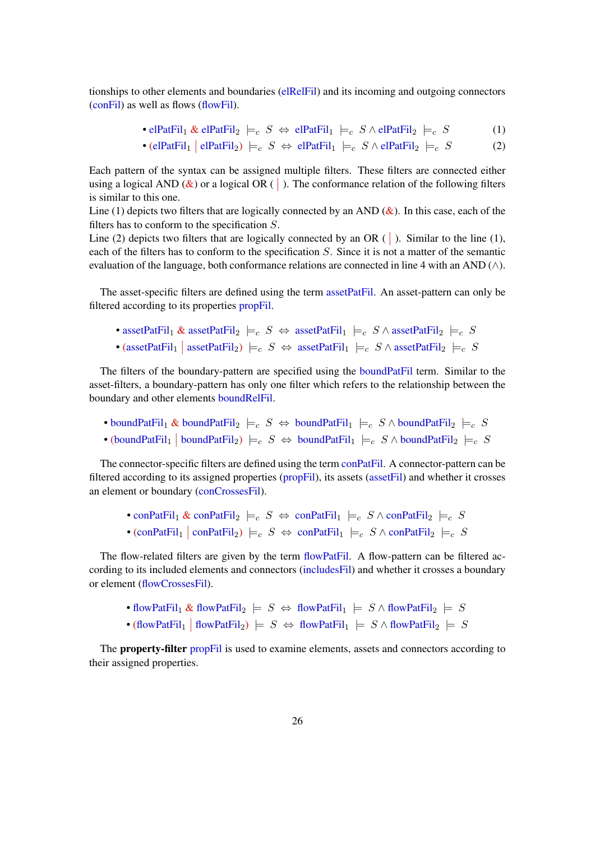tionships to other elements and boundaries (elRelFil) and its incoming and outgoing connectors (conFil) as well as flows (flowFil).

• 
$$
\text{elPatFil}_1 \& \text{elPatFil}_2 \models_c S \Leftrightarrow \text{elPatFil}_1 \models_c S \land \text{elPatFil}_2 \models_c S
$$
 (1)

• 
$$
(\text{elPatFil}_1 | \text{elPatFil}_2) \models_c S \Leftrightarrow \text{elPatFil}_1 \models_c S \wedge \text{elPatFil}_2 \models_c S
$$
 (2)

Each pattern of the syntax can be assigned multiple filters. These filters are connected either using a logical AND  $(\&)$  or a logical OR ( $\vert$ ). The conformance relation of the following filters is similar to this one.

Line (1) depicts two filters that are logically connected by an AND  $(\&)$ . In this case, each of the filters has to conform to the specification  $S$ .

Line (2) depicts two filters that are logically connected by an OR ( $\vert$ ). Similar to the line (1), each of the filters has to conform to the specification  $S$ . Since it is not a matter of the semantic evaluation of the language, both conformance relations are connected in line 4 with an AND  $(\wedge)$ .

The asset-specific filters are defined using the term assetPatFil. An asset-pattern can only be filtered according to its properties propFil.

```
• assetPatFil<sub>1</sub> & assetPatFil<sub>2</sub> \models_c S \Leftrightarrow assetPatFil<sub>1</sub> \models_c S \wedge assetPatFil<sub>2</sub> \models_c S
```
• (assetPatFil<sub>1</sub> | assetPatFil<sub>2</sub>)  $\models_c S \Leftrightarrow$  assetPatFil<sub>1</sub>  $\models_c S \wedge$  assetPatFil<sub>2</sub>  $\models_c S$ 

The filters of the boundary-pattern are specified using the boundPatFil term. Similar to the asset-filters, a boundary-pattern has only one filter which refers to the relationship between the boundary and other elements boundRelFil.

• boundPatFil<sub>1</sub> & boundPatFil<sub>2</sub>  $\models_c S \Leftrightarrow$  boundPatFil<sub>1</sub>  $\models_c S \wedge$  boundPatFil<sub>2</sub>  $\models_c S$ • (boundPatFil<sub>1</sub> | boundPatFil<sub>2</sub>)  $\models_c S \Leftrightarrow$  boundPatFil<sub>1</sub>  $\models_c S \wedge$  boundPatFil<sub>2</sub>  $\models_c S$ 

The connector-specific filters are defined using the term conPatFil. A connector-pattern can be filtered according to its assigned properties (propFil), its assets (assetFil) and whether it crosses an element or boundary (conCrossesFil).

```
• conPatFil<sub>1</sub> & conPatFil<sub>2</sub> \models_c S \Leftrightarrow conPatFil<sub>1</sub> \models_c S \wedge conPatFil<sub>2</sub> \models_c S• (conPatFil<sub>1</sub> | conPatFil<sub>2</sub>) \models_c S \Leftrightarrow \text{conPatFil}_1 \models_c S \wedge \text{conPatFil}_2 \models_c S
```
The flow-related filters are given by the term flowPatFil. A flow-pattern can be filtered according to its included elements and connectors (includesFil) and whether it crosses a boundary or element (flowCrossesFil).

• flowPatFil<sub>1</sub> & flowPatFil<sub>2</sub>  $\models S \Leftrightarrow$  flowPatFil<sub>1</sub>  $\models S \wedge$  flowPatFil<sub>2</sub>  $\models S$ • (flowPatFil<sub>1</sub> | flowPatFil<sub>2</sub>)  $\models S \Leftrightarrow \text{flowPatFil}_1 \models S \wedge \text{flowPatFil}_2 \models S$ 

The **property-filter** propFil is used to examine elements, assets and connectors according to their assigned properties.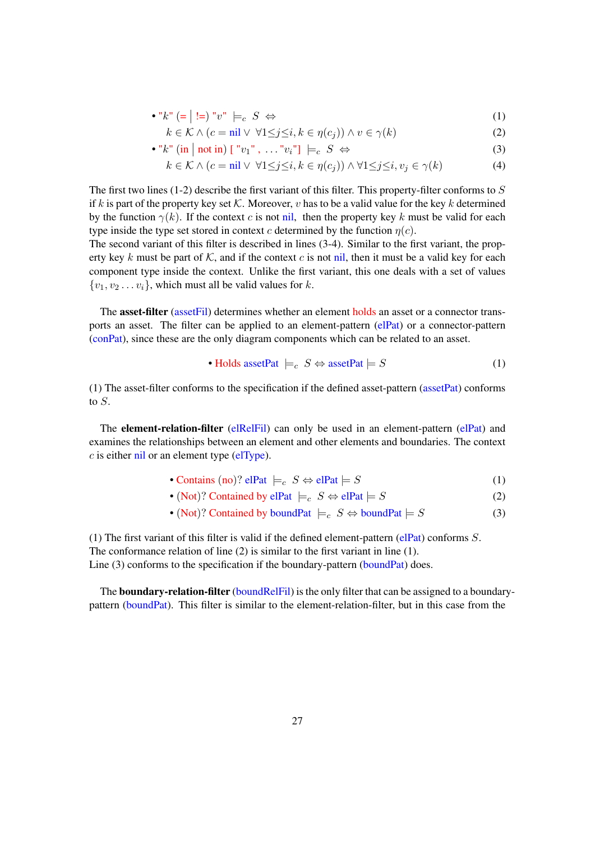• "
$$
k
$$
" (= | !=) " $v$ " |= $c$  S  $\Leftrightarrow$  (1)

$$
k \in \mathcal{K} \land (c = \text{nil} \lor \forall 1 \leq j \leq i, k \in \eta(c_j)) \land v \in \gamma(k)
$$
\n
$$
(2)
$$

• "
$$
k
$$
" (in | not in)  $["v_1", \ldots "v_i"] \models_c S \Leftrightarrow$  (3)

$$
k \in \mathcal{K} \land (c = \text{nil} \lor \forall 1 \leq j \leq i, k \in \eta(c_j)) \land \forall 1 \leq j \leq i, v_j \in \gamma(k)
$$
 (4)

The first two lines (1-2) describe the first variant of this filter. This property-filter conforms to  $S$ if k is part of the property key set K. Moreover, v has to be a valid value for the key k determined by the function  $\gamma(k)$ . If the context c is not nil, then the property key k must be valid for each type inside the type set stored in context c determined by the function  $\eta(c)$ .

The second variant of this filter is described in lines (3-4). Similar to the first variant, the property key k must be part of K, and if the context c is not nil, then it must be a valid key for each component type inside the context. Unlike the first variant, this one deals with a set of values  $\{v_1, v_2 \dots v_i\}$ , which must all be valid values for k.

The **asset-filter** (asset Fil) determines whether an element holds an asset or a connector transports an asset. The filter can be applied to an element-pattern (elPat) or a connector-pattern (conPat), since these are the only diagram components which can be related to an asset.

• **Holds assetPat** 
$$
\models_c
$$
  $S \Leftrightarrow$  assetPat  $\models S$  (1)

(1) The asset-filter conforms to the specification if the defined asset-pattern (assetPat) conforms to  $S$ .

The **element-relation-filter** (elRelFil) can only be used in an element-pattern (elPat) and examines the relationships between an element and other elements and boundaries. The context  $c$  is either nil or an element type (elType).

- Contains (no)? elPat  $\models_c S \Leftrightarrow$  elPat  $\models S$  (1)
- (Not)? Contained by elPat  $\models_c S \Leftrightarrow$  elPat  $\models S$  (2)
- (Not)? Contained by boundPat  $\models_c S \Leftrightarrow$  boundPat  $\models S$  (3)

(1) The first variant of this filter is valid if the defined element-pattern (elPat) conforms  $S$ . The conformance relation of line (2) is similar to the first variant in line (1). Line (3) conforms to the specification if the boundary-pattern (boundPat) does.

The **boundary-relation-filter** (boundRelFil) is the only filter that can be assigned to a boundarypattern (boundPat). This filter is similar to the element-relation-filter, but in this case from the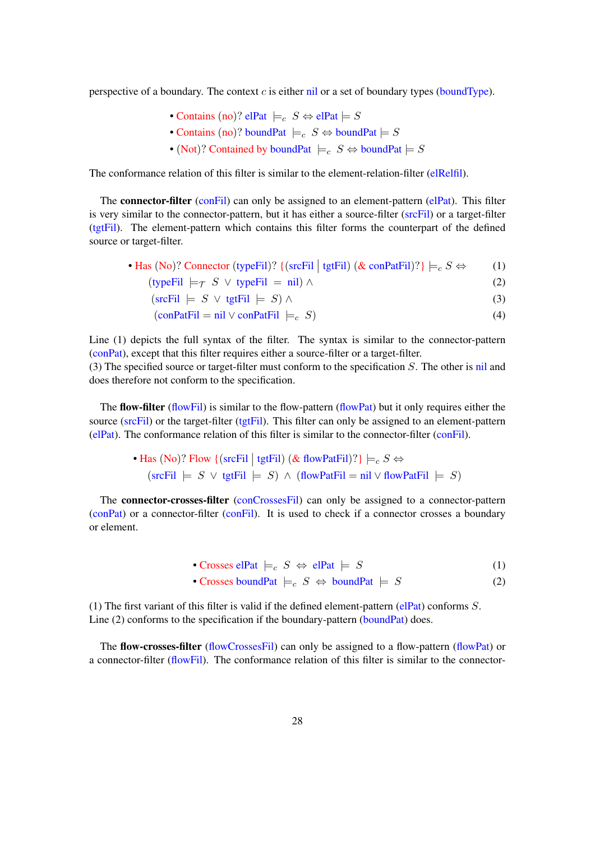perspective of a boundary. The context  $c$  is either nil or a set of boundary types (boundType).

- Contains (no)? elPat  $\models_c S \Leftrightarrow$  elPat  $\models S$
- Contains (no)? boundPat  $\models_c S \Leftrightarrow$  boundPat  $\models S$
- (Not)? Contained by boundPat  $\models_c S \Leftrightarrow$  boundPat  $\models S$

The conformance relation of this filter is similar to the element-relation-filter (elRelfil).

The **connector-filter** (conFil) can only be assigned to an element-pattern (elPat). This filter is very similar to the connector-pattern, but it has either a source-filter (srcFil) or a target-filter (tgtFil). The element-pattern which contains this filter forms the counterpart of the defined source or target-filter.

| • Has (No)? Connector (typeFil)? { (srcFil   tgtFil) ( $\&$ conPatFil)?} $\models_c S \Leftrightarrow$<br>(1) |
|---------------------------------------------------------------------------------------------------------------|
|---------------------------------------------------------------------------------------------------------------|

 $(typeFil \models \tau S \lor typeFil = nil) \land$  (2)

 $\text{(srcFil} \models S \lor \text{tgtFil} \models S) \land$  (3)

$$
(\text{conPatFil} = \text{nil} \lor \text{conPatFil} \models_c S) \tag{4}
$$

Line (1) depicts the full syntax of the filter. The syntax is similar to the connector-pattern (conPat), except that this filter requires either a source-filter or a target-filter.

(3) The specified source or target-filter must conform to the specification  $S$ . The other is nil and does therefore not conform to the specification.

The flow-filter (flowFil) is similar to the flow-pattern (flowPat) but it only requires either the source (srcFil) or the target-filter (tgtFil). This filter can only be assigned to an element-pattern (elPat). The conformance relation of this filter is similar to the connector-filter (conFil).

> • Has (No)? Flow { (srcFil | tgtFil) (& flowPatFil)?}  $\models_c S \Leftrightarrow$  $(\text{srcFil} \models S \lor \text{tgtFil} \models S) \land (\text{flowPatFil} = \text{nil} \lor \text{flowPatFil} \models S)$

The **connector-crosses-filter** (conCrossesFil) can only be assigned to a connector-pattern (conPat) or a connector-filter (conFil). It is used to check if a connector crosses a boundary or element.

• Crosses elPat  $\models c$   $S \Leftrightarrow$  elPat  $\models S$  (1)

• Crosses boundPat 
$$
\models_c S \Leftrightarrow \text{boundPat} \models S
$$
 (2)

(1) The first variant of this filter is valid if the defined element-pattern (elPat) conforms  $S$ . Line (2) conforms to the specification if the boundary-pattern (boundPat) does.

The flow-crosses-filter (flowCrossesFil) can only be assigned to a flow-pattern (flowPat) or a connector-filter (flowFil). The conformance relation of this filter is similar to the connector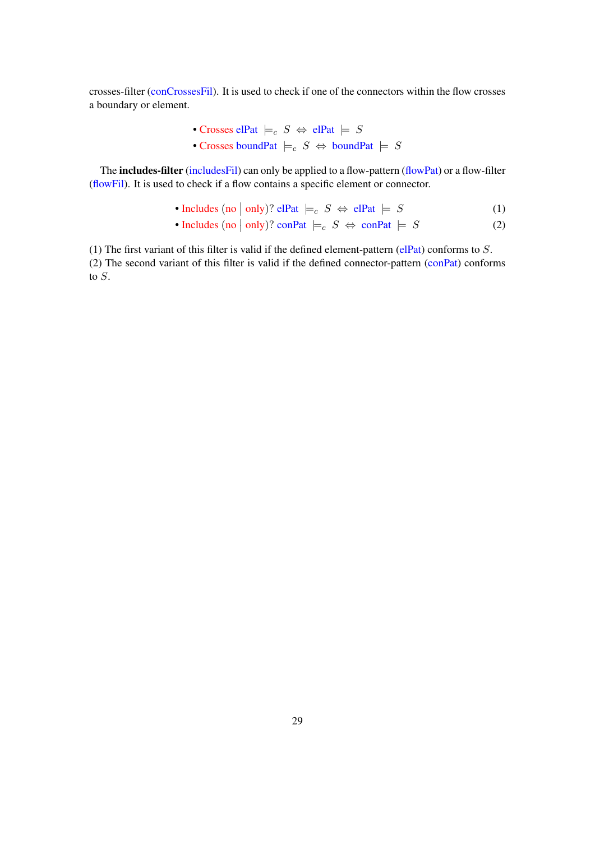crosses-filter (conCrossesFil). It is used to check if one of the connectors within the flow crosses a boundary or element.

\n- Crosses elPat 
$$
\models_c S \Leftrightarrow
$$
 elPat  $\models S$
\n- Crosses boundPat  $\models_c S \Leftrightarrow$  boundPat  $\models S$
\n

The **includes-filter** (includesFil) can only be applied to a flow-pattern (flowPat) or a flow-filter (flowFil). It is used to check if a flow contains a specific element or connector.

• Includes (no | only)? elPat  $\models_c S \Leftrightarrow$  elPat  $\models S$  (1)

• Includes (no | only)? conPat 
$$
\models_c S \Leftrightarrow \text{conPat} \models S
$$
 (2)

(1) The first variant of this filter is valid if the defined element-pattern (elPat) conforms to  $S$ . (2) The second variant of this filter is valid if the defined connector-pattern (conPat) conforms to S.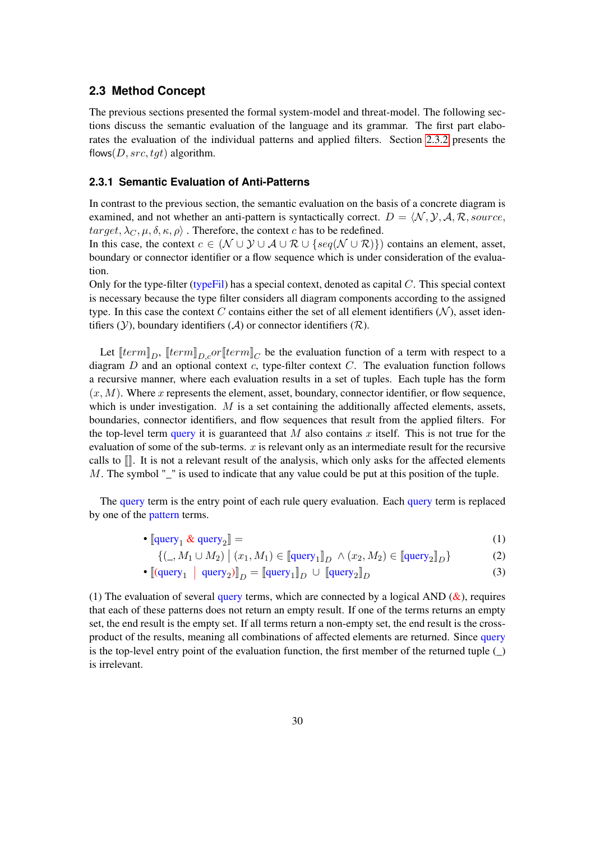#### <span id="page-29-0"></span>**2.3 Method Concept**

The previous sections presented the formal system-model and threat-model. The following sections discuss the semantic evaluation of the language and its grammar. The first part elaborates the evaluation of the individual patterns and applied filters. Section [2.3.2](#page-42-0) presents the flows( $D, src, tgt$ ) algorithm.

#### <span id="page-29-1"></span>**2.3.1 Semantic Evaluation of Anti-Patterns**

In contrast to the previous section, the semantic evaluation on the basis of a concrete diagram is examined, and not whether an anti-pattern is syntactically correct.  $D = \langle N, \mathcal{Y}, \mathcal{A}, \mathcal{R}$ , source,  $target, \lambda_C, \mu, \delta, \kappa, \rho$ . Therefore, the context c has to be redefined.

In this case, the context  $c \in (\mathcal{N} \cup \mathcal{Y} \cup \mathcal{A} \cup \mathcal{R} \cup \{seq(\mathcal{N} \cup \mathcal{R})\})$  contains an element, asset, boundary or connector identifier or a flow sequence which is under consideration of the evaluation.

Only for the type-filter (typeFil) has a special context, denoted as capital  $C$ . This special context is necessary because the type filter considers all diagram components according to the assigned type. In this case the context C contains either the set of all element identifiers  $(N)$ , asset identifiers  $(Y)$ , boundary identifiers  $(A)$  or connector identifiers  $(R)$ .

Let  $[\![term]\!]_D$ ,  $[\![term]\!]_{D,c}$  or  $[\![term]\!]_C$  be the evaluation function of a term with respect to a diagram  $D$  and an optional context  $c$ , type-filter context  $C$ . The evaluation function follows a recursive manner, where each evaluation results in a set of tuples. Each tuple has the form  $(x, M)$ . Where x represents the element, asset, boundary, connector identifier, or flow sequence, which is under investigation.  $M$  is a set containing the additionally affected elements, assets, boundaries, connector identifiers, and flow sequences that result from the applied filters. For the top-level term query it is guaranteed that M also contains x itself. This is not true for the evaluation of some of the sub-terms.  $x$  is relevant only as an intermediate result for the recursive calls to  $\mathbb{I}$ . It is not a relevant result of the analysis, which only asks for the affected elements M. The symbol "\_" is used to indicate that any value could be put at this position of the tuple.

The query term is the entry point of each rule query evaluation. Each query term is replaced by one of the pattern terms.

• 
$$
\llbracket \text{query}_1 \& \text{query}_2 \rrbracket = \tag{1}
$$

$$
\{(\_,M_1 \cup M_2) \mid (x_1, M_1) \in \llbracket \text{query}_1 \rrbracket_D \land (x_2, M_2) \in \llbracket \text{query}_2 \rrbracket_D \}
$$
 (2)

• 
$$
\left[ \left( \text{query}_1 \middle| \text{query}_2 \right) \right]_D = \left[ \text{query}_1 \right]_D \cup \left[ \text{query}_2 \right]_D \tag{3}
$$

(1) The evaluation of several query terms, which are connected by a logical AND  $(\&)$ , requires that each of these patterns does not return an empty result. If one of the terms returns an empty set, the end result is the empty set. If all terms return a non-empty set, the end result is the crossproduct of the results, meaning all combinations of affected elements are returned. Since query is the top-level entry point of the evaluation function, the first member of the returned tuple  $( )$ is irrelevant.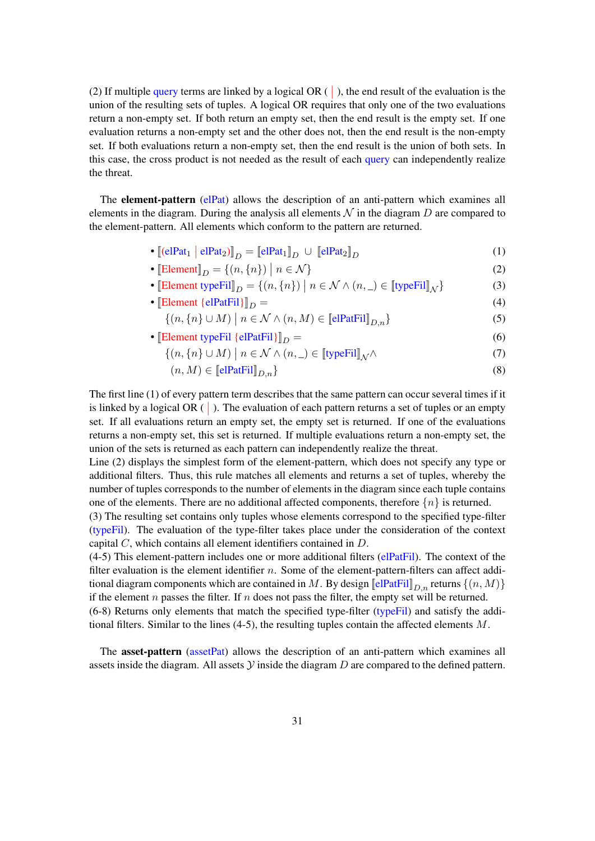(2) If multiple query terms are linked by a logical OR  $($   $)$ , the end result of the evaluation is the union of the resulting sets of tuples. A logical OR requires that only one of the two evaluations return a non-empty set. If both return an empty set, then the end result is the empty set. If one evaluation returns a non-empty set and the other does not, then the end result is the non-empty set. If both evaluations return a non-empty set, then the end result is the union of both sets. In this case, the cross product is not needed as the result of each query can independently realize the threat.

The **element-pattern** (elPat) allows the description of an anti-pattern which examines all elements in the diagram. During the analysis all elements  $\mathcal N$  in the diagram D are compared to the element-pattern. All elements which conform to the pattern are returned.

- $[(\text{elPat}_1 \mid \text{elPat}_2)]_D = [\text{elPat}_1]_D \cup [\text{elPat}_2]_D$  (1)
- [Element]  $_D = \{(n, \{n\}) \mid$  $n \in \mathcal{N}$  (2)
- [Element typeFil]  $D = \{(n, \{n\}) \mid n \in \mathcal{N} \wedge (n, \_) \in [\text{typeFil}]_{\mathcal{N}} \}$  (3)
- [Element  $\{elPatFil\}$ ] $_D =$  (4)
	- $\{(n, \{n\} \cup M) \mid n \in \mathcal{N} \land (n, M) \in \llbracket \text{elPatFill} \rrbracket_{D,n} \}$  (5)
- [Element typeFil {elPatFil}] $D =$  (6)
	- $\{(n, \{n\} \cup M) \mid n \in \mathcal{N} \land (n, \_) \in [\![\text{typeFil}]\!]_{\mathcal{N}} \land$  (7)
		- $(n, M) \in \llbracket \text{elPatFill}_{D,n} \rrbracket$  (8)

The first line (1) of every pattern term describes that the same pattern can occur several times if it is linked by a logical OR  $( )$ . The evaluation of each pattern returns a set of tuples or an empty set. If all evaluations return an empty set, the empty set is returned. If one of the evaluations returns a non-empty set, this set is returned. If multiple evaluations return a non-empty set, the union of the sets is returned as each pattern can independently realize the threat.

Line (2) displays the simplest form of the element-pattern, which does not specify any type or additional filters. Thus, this rule matches all elements and returns a set of tuples, whereby the number of tuples corresponds to the number of elements in the diagram since each tuple contains one of the elements. There are no additional affected components, therefore  $\{n\}$  is returned.

(3) The resulting set contains only tuples whose elements correspond to the specified type-filter (typeFil). The evaluation of the type-filter takes place under the consideration of the context capital C, which contains all element identifiers contained in D.

(4-5) This element-pattern includes one or more additional filters (elPatFil). The context of the filter evaluation is the element identifier n. Some of the element-pattern-filters can affect additional diagram components which are contained in M. By design  $\llbracket \text{elPatFil} \rrbracket_{D,n}$  returns  $\{(n, M)\}$ if the element n passes the filter. If n does not pass the filter, the empty set will be returned. (6-8) Returns only elements that match the specified type-filter (typeFil) and satisfy the additional filters. Similar to the lines  $(4-5)$ , the resulting tuples contain the affected elements M.

The asset-pattern (assetPat) allows the description of an anti-pattern which examines all assets inside the diagram. All assets  $Y$  inside the diagram  $D$  are compared to the defined pattern.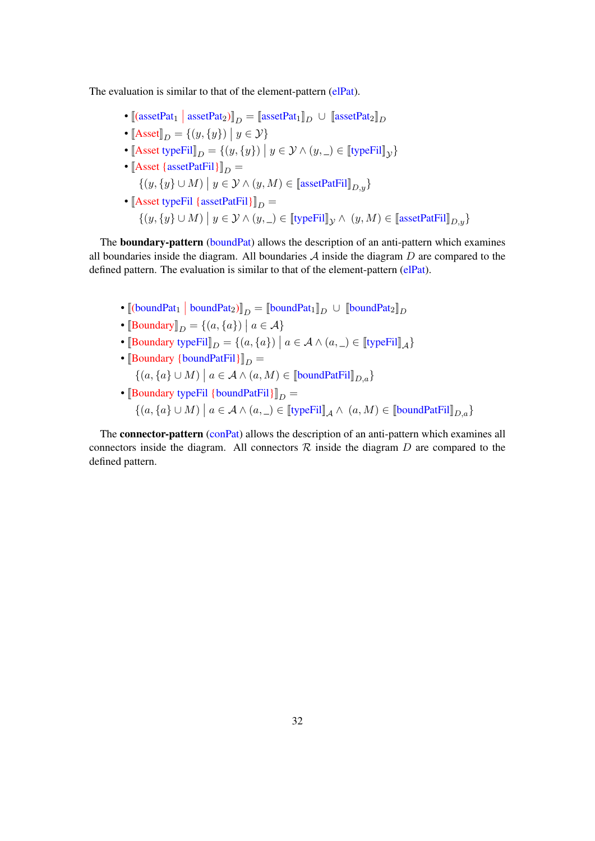The evaluation is similar to that of the element-pattern (elPat).

- [[assetPat<sub>1</sub> | assetPat<sub>2</sub>)]<sub>D</sub> = [assetPat<sub>1</sub>]<sub>D</sub> ∪ [assetPat<sub>2</sub>]<sub>D</sub>
- $[\text{Asset}]_D = \{(y, \{y\}) \mid y \in \mathcal{Y}\}\$
- [[Asset typeFil] $_D = \{(y, \{y\}) \mid y \in \mathcal{Y} \land (y, \_) \in [\![\text{typeFil}]\!]_{\mathcal{Y}}\}$
- $[{\rm Asset} {\{assetPatFil\}}]_D =$  $\{(y, \{y\} \cup M) \mid y \in \mathcal{Y} \land (y, M) \in [\text{assetPatFil}]_{D,y}\}$ • [Asset typeFil {assetPatFil}] $_D =$ 
	- $\{(y, \{y\} \cup M) \mid y \in \mathcal{Y} \land (y, \_) \in [\![\text{typeFil}]\!]_{\mathcal{Y}} \land (y, M) \in [\![\text{assetPatFil}]\!]_{D,y}\}$

The **boundary-pattern** (boundPat) allows the description of an anti-pattern which examines all boundaries inside the diagram. All boundaries  $A$  inside the diagram  $D$  are compared to the defined pattern. The evaluation is similar to that of the element-pattern (elPat).

- [[(boundPat<sub>1</sub> | boundPat<sub>2</sub>)]<sub>D</sub> = [[boundPat<sub>1</sub>]<sub>D</sub> ∪ [[boundPat<sub>2</sub>]<sub>D</sub>
- [Boundary] $_D = \{(a, \{a\}) \mid a \in \mathcal{A}\}\$
- [Boundary typeFil]  $_D = \{(a, \{a\}) \mid a \in A \land (a, \_) \in [\text{typeFil}]_A\}$
- [Boundary {boundPatFil}] $_D =$  $\{(a, \{a\} \cup M) \mid a \in \mathcal{A} \land (a, M) \in \llbracket$ boundPatFil $\rrbracket_{D,a}$
- [Boundary typeFil {boundPatFil}] $_D =$  $\{(a, \{a\} \cup M) \mid a \in \mathcal{A} \land (a, \_) \in [\![\text{typeFil}]\!]_{\mathcal{A}} \land (a, M) \in [\![\text{boundPatFil}]\!]_{D,a}\}$

The **connector-pattern** (conPat) allows the description of an anti-pattern which examines all connectors inside the diagram. All connectors  $R$  inside the diagram  $D$  are compared to the defined pattern.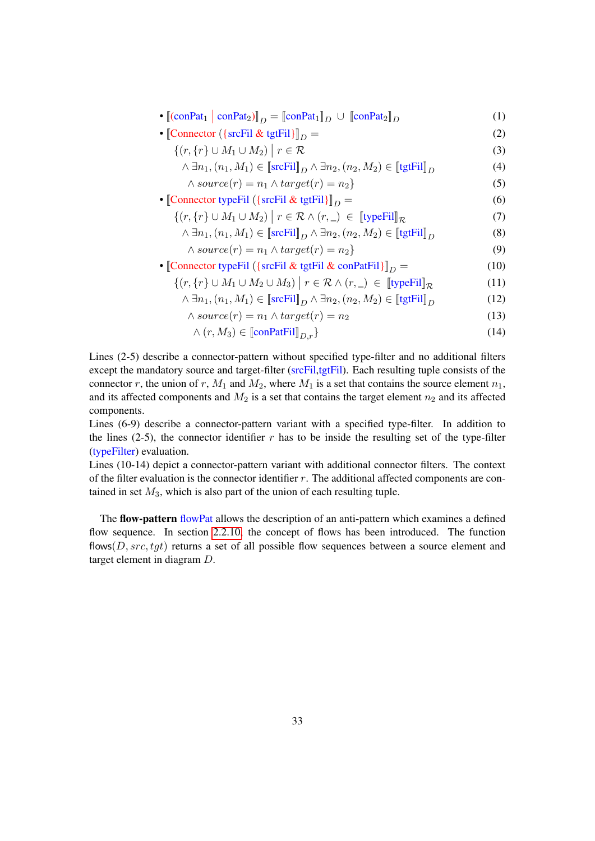| $\bullet \left[ (\text{conPat}_1 \mid \text{conPat}_2) \right]_D = \left[ \text{conPat}_1 \right]_D \cup \left[ \text{conPat}_2 \right]_D$ | (1)  |
|--------------------------------------------------------------------------------------------------------------------------------------------|------|
| • Connector ({srcFil & tgtFil} $\ _D =$                                                                                                    | (2)  |
| $\{(r, \{r\} \cup M_1 \cup M_2) \mid r \in \mathcal{R}\}$                                                                                  | (3)  |
| $\wedge \exists n_1, (n_1, M_1) \in [\text{srcFil}]_D \wedge \exists n_2, (n_2, M_2) \in [\text{tgtFil}]_D$                                | (4)  |
| $\wedge source(r) = n_1 \wedge target(r) = n_2$                                                                                            | (5)  |
| • Connector type Fil ({src Fil & tgt Fil} $\ _D =$                                                                                         | (6)  |
| $\{(r, \{r\} \cup M_1 \cup M_2) \mid r \in \mathcal{R} \wedge (r, \_) \in [\text{typeFil}]_{\mathcal{R}}\}$                                | (7)  |
| $\wedge \exists n_1, (n_1, M_1) \in [\text{srcFil}]_D \wedge \exists n_2, (n_2, M_2) \in [\text{tgtFil}]_D$                                | (8)  |
| $\wedge source(r) = n_1 \wedge target(r) = n_2$                                                                                            | (9)  |
| • Connector type Fil ({srcFil & tgtFil & conPatFil} $\ _D =$                                                                               | (10) |
| $\{(r, \{r\} \cup M_1 \cup M_2 \cup M_3) \mid r \in \mathcal{R} \wedge (r, \_) \in [\text{typeFil}]_{\mathcal{R}}\}$                       | (11) |
| $\wedge \exists n_1, (n_1, M_1) \in [\text{srcFil}]_D \wedge \exists n_2, (n_2, M_2) \in [\text{tgtFil}]_D$                                | (12) |
| $\wedge source(r) = n_1 \wedge target(r) = n_2$                                                                                            | (13) |
| $\wedge (r, M_3) \in [\text{conPatFil}]_{D,r}$                                                                                             | (14) |

Lines (2-5) describe a connector-pattern without specified type-filter and no additional filters except the mandatory source and target-filter (srcFil,tgtFil). Each resulting tuple consists of the connector r, the union of r,  $M_1$  and  $M_2$ , where  $M_1$  is a set that contains the source element  $n_1$ , and its affected components and  $M_2$  is a set that contains the target element  $n_2$  and its affected components.

Lines (6-9) describe a connector-pattern variant with a specified type-filter. In addition to the lines (2-5), the connector identifier  $r$  has to be inside the resulting set of the type-filter (typeFilter) evaluation.

Lines (10-14) depict a connector-pattern variant with additional connector filters. The context of the filter evaluation is the connector identifier  $r$ . The additional affected components are contained in set  $M_3$ , which is also part of the union of each resulting tuple.

The flow-pattern flowPat allows the description of an anti-pattern which examines a defined flow sequence. In section [2.2.10,](#page-21-0) the concept of flows has been introduced. The function flows( $D, src, tgt$ ) returns a set of all possible flow sequences between a source element and target element in diagram D.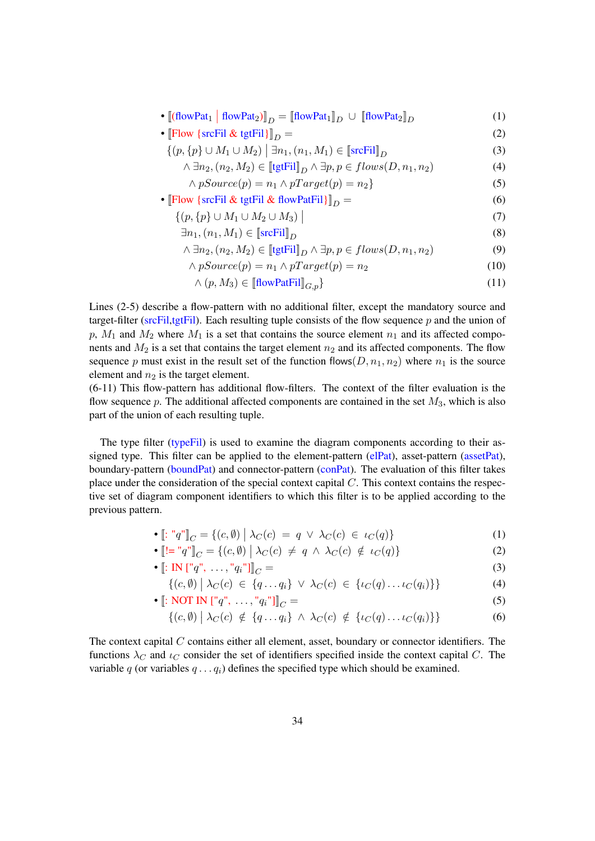- $[(flowPat_1 | flowPat_2)]_D = [[flowPat_1]]_D \cup [[flowPat_2]]_D$  (1)
- $\lbrack \lbrack \rbrack \rbrack$   $\lbrack \rbrack$   $\lbrack \rbrack$   $\lbrack \rbrack$   $\lbrack \rbrack$   $\lbrack \rbrack$   $\lbrack \rbrack$   $\lbrack \rbrack$   $\lbrack \rbrack$   $\lbrack \rbrack$   $\lbrack \rbrack$   $\lbrack \rbrack$   $\lbrack \rbrack$   $\lbrack \rbrack$   $\lbrack \rbrack$   $\lbrack \rbrack$   $\lbrack \rbrack$   $\lbrack \rbrack$   $\lbrack \rbrack$   $\$ 
	- $\{(p, \{p\} \cup M_1 \cup M_2) \mid \exists n_1, (n_1, M_1) \in [\text{srcFil}]_D$  (3)
		- $\land \exists n_2, (n_2, M_2) \in \llbracket \text{tgtFill} \rrbracket_D \land \exists p, p \in flows(D, n_1, n_2)$  (4)
			- $\land pSource(p) = n_1 \land pTarget(p) = n_2$  (5)
- $\left[\text{Flow }\{\text{srcFil}\ \& \text{ tgtFil}\ \& \text{ flowPatFil}\}\right]_D =$  (6)
	- $\{(p, \{p\} \cup M_1 \cup M_2 \cup M_3)\mid$ (7)
	- $\exists n_1, (n_1, M_1) \in [\text{srcFil}]_D$  (8)

$$
\wedge \exists n_2, (n_2, M_2) \in \llbracket \text{tgtFil} \rrbracket_D \wedge \exists p, p \in flows(D, n_1, n_2) \tag{9}
$$

- $\wedge pSource(p) = n_1 \wedge pTarget(p) = n_2$  (10)
- $\wedge$   $(p, M_3) \in \left[ \text{flowPatFil} \right]_{C,n}$  (11)

Lines (2-5) describe a flow-pattern with no additional filter, except the mandatory source and target-filter ( $srcFil, tgtFil$ ). Each resulting tuple consists of the flow sequence p and the union of p,  $M_1$  and  $M_2$  where  $M_1$  is a set that contains the source element  $n_1$  and its affected components and  $M_2$  is a set that contains the target element  $n_2$  and its affected components. The flow sequence p must exist in the result set of the function flows( $D, n_1, n_2$ ) where  $n_1$  is the source element and  $n_2$  is the target element.

(6-11) This flow-pattern has additional flow-filters. The context of the filter evaluation is the flow sequence p. The additional affected components are contained in the set  $M_3$ , which is also part of the union of each resulting tuple.

The type filter (typeFil) is used to examine the diagram components according to their assigned type. This filter can be applied to the element-pattern (elPat), asset-pattern (assetPat), boundary-pattern (boundPat) and connector-pattern (conPat). The evaluation of this filter takes place under the consideration of the special context capital  $C$ . This context contains the respective set of diagram component identifiers to which this filter is to be applied according to the previous pattern.

• 
$$
[\![\colon "q"]_C = \{(c, \emptyset) \mid \lambda_C(c) = q \lor \lambda_C(c) \in \iota_C(q)\}\]
$$
 (1)

$$
\bullet \left[ \left[ \left[ \begin{array}{c} \vdots \\ \vdots \end{array} \right] \right]_C = \{ (c, \emptyset) \mid \lambda_C(c) \neq q \land \lambda_C(c) \notin \iota_C(q) \} \tag{2}
$$

•  $\[\cdot\]$ : IN  $\[\cdot\]^{q}$ ", ...,  $\]^{q}$ <sub>i</sub>"]] $\]_{C} =$  (3)

$$
\{(c,\emptyset) \mid \lambda_C(c) \in \{q \dots q_i\} \lor \lambda_C(c) \in \{\iota_C(q) \dots \iota_C(q_i)\}\}\
$$
\n(4)

$$
\bullet \left[ : \text{NOT IN } \left[ "q", \ldots, "q_i" \right] \right]_C = \tag{5}
$$

$$
\{(c,\emptyset) \mid \lambda_C(c) \notin \{q \dots q_i\} \land \lambda_C(c) \notin \{\iota_C(q) \dots \iota_C(q_i)\}\}\
$$
\n(6)

The context capital  $C$  contains either all element, asset, boundary or connector identifiers. The functions  $\lambda_C$  and  $\iota_C$  consider the set of identifiers specified inside the context capital C. The variable q (or variables  $q \dots q_i$ ) defines the specified type which should be examined.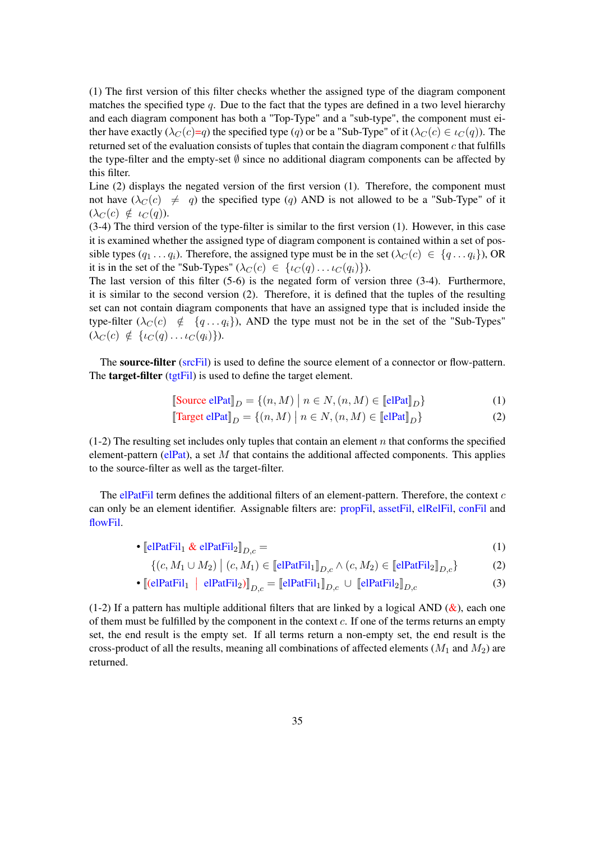(1) The first version of this filter checks whether the assigned type of the diagram component matches the specified type  $q$ . Due to the fact that the types are defined in a two level hierarchy and each diagram component has both a "Top-Type" and a "sub-type", the component must either have exactly  $(\lambda_C(c)=q)$  the specified type  $(q)$  or be a "Sub-Type" of it  $(\lambda_C(c) \in \iota_C(q))$ . The returned set of the evaluation consists of tuples that contain the diagram component c that fulfills the type-filter and the empty-set ∅ since no additional diagram components can be affected by this filter.

Line (2) displays the negated version of the first version (1). Therefore, the component must not have  $(\lambda_C(c) \neq q)$  the specified type (q) AND is not allowed to be a "Sub-Type" of it  $(\lambda_C(c) \notin \iota_C(q)).$ 

(3-4) The third version of the type-filter is similar to the first version (1). However, in this case it is examined whether the assigned type of diagram component is contained within a set of possible types  $(q_1 \ldots q_i)$ . Therefore, the assigned type must be in the set  $(\lambda_C(c) \in \{q \ldots q_i\})$ , OR it is in the set of the "Sub-Types"  $(\lambda_C(c) \in \{ \iota_C(q) \dots \iota_C(q_i) \}).$ 

The last version of this filter (5-6) is the negated form of version three (3-4). Furthermore, it is similar to the second version (2). Therefore, it is defined that the tuples of the resulting set can not contain diagram components that have an assigned type that is included inside the type-filter  $(\lambda_C(c) \notin \{q \dots q_i\})$ , AND the type must not be in the set of the "Sub-Types"  $(\lambda_C(c) \notin \{ \iota_C(q) \dots \iota_C(q_i) \}).$ 

The source-filter (srcFil) is used to define the source element of a connector or flow-pattern. The **target-filter** (tgtFil) is used to define the target element.

$$
\llbracket \text{Source elPat} \rrbracket_D = \{ (n, M) \mid n \in N, (n, M) \in \llbracket \text{elPat} \rrbracket_D \} \tag{1}
$$

$$
\llbracket \text{Target elPat} \rrbracket_D = \{ (n, M) \mid n \in N, (n, M) \in \llbracket \text{elPat} \rrbracket_D \} \tag{2}
$$

 $(1-2)$  The resulting set includes only tuples that contain an element n that conforms the specified element-pattern (elPat), a set M that contains the additional affected components. This applies to the source-filter as well as the target-filter.

The elPatFil term defines the additional filters of an element-pattern. Therefore, the context  $c$ can only be an element identifier. Assignable filters are: propFil, assetFil, elRelFil, conFil and flowFil.

• 
$$
\left[ \text{elPatFil}_1 \& \text{elPatFil}_2 \right]_{D,c} =
$$
 (1)

$$
\{(c, M_1 \cup M_2) \mid (c, M_1) \in \llbracket \text{elPatFil}_1 \rrbracket_{D,c} \land (c, M_2) \in \llbracket \text{elPatFil}_2 \rrbracket_{D,c} \} \tag{2}
$$

$$
\bullet \left[ \left( \text{elPatFil}_1 \; \middle| \; \text{elPatFil}_2 \right) \right]_{D,c} = \left[ \text{elPatFil}_1 \right]_{D,c} \cup \left[ \text{elPatFil}_2 \right]_{D,c} \tag{3}
$$

(1-2) If a pattern has multiple additional filters that are linked by a logical AND ( $\&$ ), each one of them must be fulfilled by the component in the context  $c$ . If one of the terms returns an empty set, the end result is the empty set. If all terms return a non-empty set, the end result is the cross-product of all the results, meaning all combinations of affected elements ( $M_1$  and  $M_2$ ) are returned.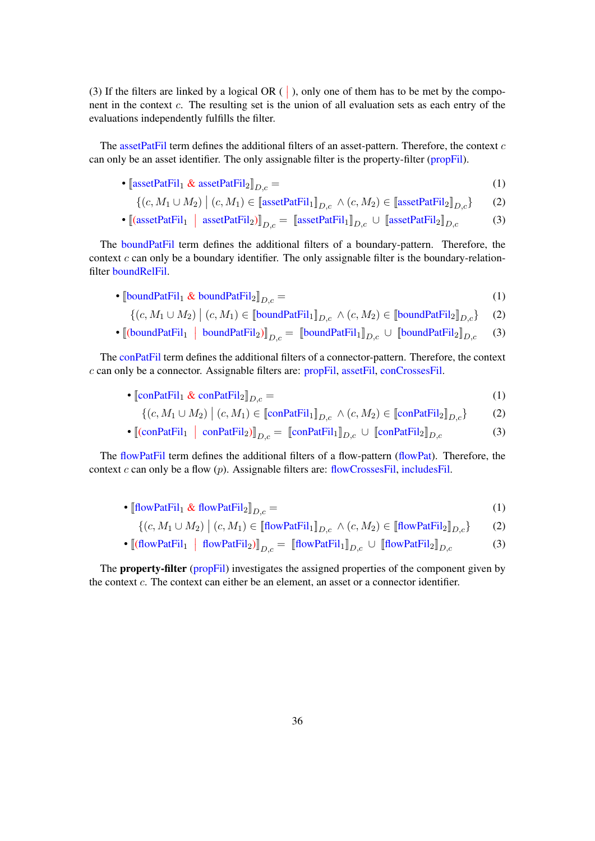(3) If the filters are linked by a logical OR  $( \cdot )$ , only one of them has to be met by the component in the context  $c$ . The resulting set is the union of all evaluation sets as each entry of the evaluations independently fulfills the filter.

The assetPatFil term defines the additional filters of an asset-pattern. Therefore, the context  $c$ can only be an asset identifier. The only assignable filter is the property-filter (propFil).

- $\left[ \text{assetPatFil}_1 \& \text{assetPatFil}_2 \right]_{D,c} =$  (1)
	- $\{(c, M_1 \cup M_2) \mid (c, M_1) \in [\text{assetPatFil}_1]_{D,c} \land (c, M_2) \in [\text{assetPatFil}_2]_{D,c}\}$  (2)
- $[(\text{assetPatFil}_1 \mid \text{assetPatFil}_2)]_{D,c} = [\text{assetPatFil}_1]_{D,c} \cup [\text{assetPatFil}_2]_{D,c}$  (3)

The boundPatFil term defines the additional filters of a boundary-pattern. Therefore, the context  $c$  can only be a boundary identifier. The only assignable filter is the boundary-relationfilter boundRelFil.

•  $\left[\text{boundPatFil}_1 \& \text{boundPatFil}_2\right]_{D,c} =$  (1)

$$
\{(c, M_1 \cup M_2) \mid (c, M_1) \in \llbracket \text{boundPatFil}_1 \rrbracket_{D,c} \land (c, M_2) \in \llbracket \text{boundPatFil}_2 \rrbracket_{D,c} \} \tag{2}
$$

•  $[(boundPath[i] \mid boundPath[i]_{D,c} = [[boundPath[i]_{D,c} \cup [[boundPath[i]_{D,c} (3)$ 

The conPatFil term defines the additional filters of a connector-pattern. Therefore, the context c can only be a connector. Assignable filters are: propFil, assetFil, conCrossesFil.

•  $\text{conPatFil}_1 \& \text{conPatFil}_2\big|_{D,c} =$  (1)

$$
\{(c, M_1 \cup M_2) \mid (c, M_1) \in \llbracket \text{conPatFil}_1 \rrbracket_{D,c} \land (c, M_2) \in \llbracket \text{conPatFil}_2 \rrbracket_{D,c} \} \tag{2}
$$

•  $[(\text{conPatFil}_1 \mid \text{conPatFil}_2)]_{D,c} = [\text{conPatFil}_1]_{D,c} \cup [\text{conPatFil}_2]_{D,c}$  (3)

The flowPatFil term defines the additional filters of a flow-pattern (flowPat). Therefore, the context c can only be a flow  $(p)$ . Assignable filters are: flowCrossesFil, includesFil.

- $\left[\text{flowPatFil}_1 \& \text{flowPatFil}_2\right]_{D,c} =$  (1)
	- $\{(c, M_1 \cup M_2) \mid (c, M_1) \in [\text{flowPatFil}_1]_{D,c} \land (c, M_2) \in [\text{flowPatFil}_2]_{D,c}\}$  (2)
- $[(flowPatFil_1 \mid flowPatFil_2)]_{D,c} = [[flowPatFil_1]]_{D,c} \cup [[flowPatFil_2]]_{D,c}$  (3)

The **property-filter** (propFil) investigates the assigned properties of the component given by the context c. The context can either be an element, an asset or a connector identifier.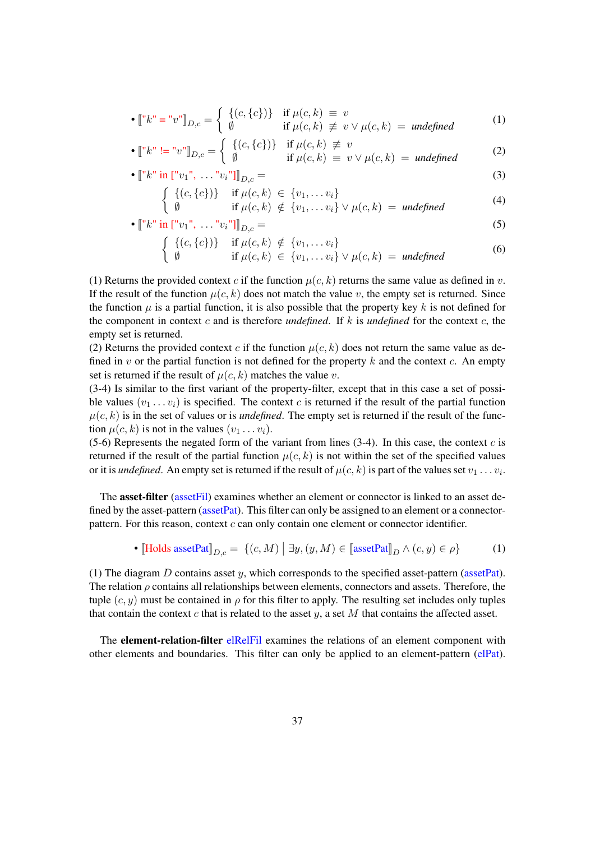• 
$$
[\ulcorner k \urcorner = \urcorner v \urcorner]_{D,c} = \begin{cases} \{(c, \{c\})\} & \text{if } \mu(c, k) \equiv v \\ \emptyset & \text{if } \mu(c, k) \not\equiv v \lor \mu(c, k) = \text{undefined} \end{cases}
$$
 (1)

• 
$$
[\n \ulcorner k \urcorner := \urcorner v \urcorner]_{D,c} = \begin{cases} \{(c, \{c\})\} & \text{if } \mu(c,k) \not\equiv v \\ \emptyset & \text{if } \mu(c,k) \equiv v \lor \mu(c,k) = \text{undefined} \end{cases}
$$
 (2)

• 
$$
[["k" in ["v_1", \ldots "v_i"]]_{D,c} =
$$
 (3)

$$
\begin{cases} \{(c,\{c\})\} & \text{if } \mu(c,k) \in \{v_1,\ldots v_i\} \\ \emptyset & \text{if } \mu(c,k) \notin \{v_1,\ldots v_i\} \vee \mu(c,k) = \text{undefined} \end{cases} \tag{4}
$$

$$
\begin{aligned}\n\left[ \begin{array}{cc} \emptyset & \text{if } \mu(c,k) \notin \{v_1,\ldots v_i\} \lor \mu(c,k) = \text{undefined} \\
\bullet \left[ \begin{array}{cc} \n\text{if } v_1 \text{', } \ldots \text{', } v_i \text{''} \end{array} \right] \right]_{D,c} =\n\end{aligned}
$$
\n(5)

$$
\begin{cases} \{(c,\{c\})\} & \text{if } \mu(c,k) \notin \{v_1,\ldots v_i\} \\ \emptyset & \text{if } \mu(c,k) \in \{v_1,\ldots v_i\} \lor \mu(c,k) = \text{undefined} \end{cases} \tag{6}
$$

(1) Returns the provided context c if the function  $\mu(c, k)$  returns the same value as defined in v. If the result of the function  $\mu(c, k)$  does not match the value v, the empty set is returned. Since the function  $\mu$  is a partial function, it is also possible that the property key k is not defined for the component in context c and is therefore *undefined*. If k is *undefined* for the context c, the empty set is returned.

(2) Returns the provided context c if the function  $\mu(c, k)$  does not return the same value as defined in v or the partial function is not defined for the property k and the context c. An empty set is returned if the result of  $\mu(c, k)$  matches the value v.

(3-4) Is similar to the first variant of the property-filter, except that in this case a set of possible values  $(v_1 \ldots v_i)$  is specified. The context c is returned if the result of the partial function  $\mu(c, k)$  is in the set of values or is *undefined*. The empty set is returned if the result of the function  $\mu(c, k)$  is not in the values  $(v_1 \dots v_i)$ .

(5-6) Represents the negated form of the variant from lines  $(3-4)$ . In this case, the context c is returned if the result of the partial function  $\mu(c, k)$  is not within the set of the specified values or it is *undefined*. An empty set is returned if the result of  $\mu(c, k)$  is part of the values set  $v_1 \dots v_i$ .

The asset-filter (assetFil) examines whether an element or connector is linked to an asset defined by the asset-pattern (asset Pat). This filter can only be assigned to an element or a connectorpattern. For this reason, context  $c$  can only contain one element or connector identifier.

• [Holds assetPat] 
$$
D_{,c} = \{(c, M) | \exists y, (y, M) \in [\text{assetPat}]_D \land (c, y) \in \rho\}
$$
 (1)

(1) The diagram  $D$  contains asset  $y$ , which corresponds to the specified asset-pattern (assetPat). The relation  $\rho$  contains all relationships between elements, connectors and assets. Therefore, the tuple  $(c, y)$  must be contained in  $\rho$  for this filter to apply. The resulting set includes only tuples that contain the context  $c$  that is related to the asset  $y$ , a set  $M$  that contains the affected asset.

The element-relation-filter elRelFil examines the relations of an element component with other elements and boundaries. This filter can only be applied to an element-pattern (elPat).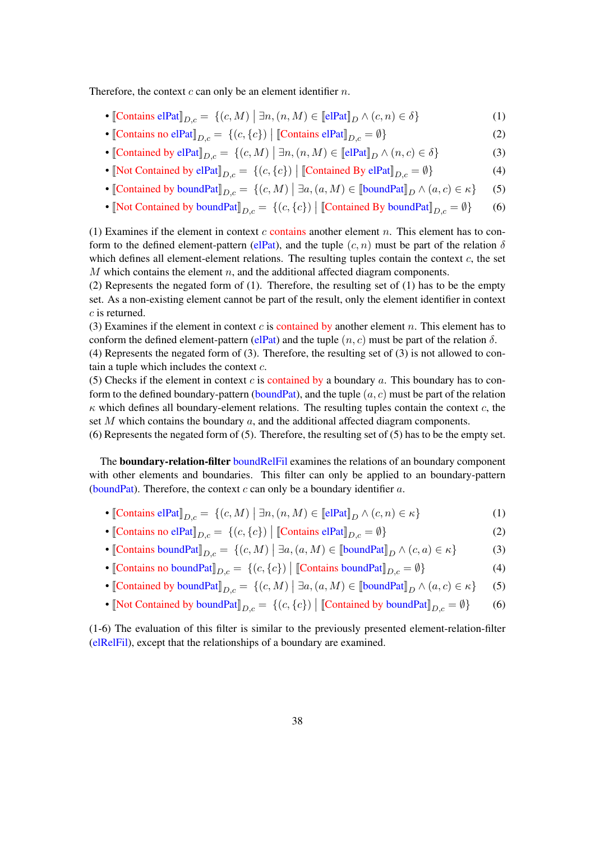Therefore, the context  $c$  can only be an element identifier  $n$ .

- [Contains elPat] $_{D,c} = \{(c, M) | \exists n, (n, M) \in [\text{elPat}]_{D} \land (c, n) \in \delta \}$  (1)
- [Contains no elPat] $_{D,c} = \{(c, \{c\}) \mid$  [Contains elPat] $_{D,c} = \emptyset\}$  (2)
- [Contained by elPat] $_{D,c} = \{(c, M) | \exists n, (n, M) \in [\text{elPat}]_{D} \land (n, c) \in \delta \}$  (3)
- [Not Contained by elPat] $D_{,c} = \{(c, \{c\}) \mid \text{[Continued By elPat]}_{D,c} = \emptyset\}$  (4)
- [Contained by boundPat] $D_{,c} = \{(c, M) | \exists a, (a, M) \in [\text{boundPat}]_{D} \land (a, c) \in \kappa\}$  (5)
- [Not Contained by boundPat] $_{D,c} = \{(c, \{c\}) \mid \text{[Continued By boundPat]}_{D,c} = \emptyset\}$  (6)

(1) Examines if the element in context c contains another element n. This element has to conform to the defined element-pattern (elPat), and the tuple  $(c, n)$  must be part of the relation  $\delta$ which defines all element-element relations. The resulting tuples contain the context  $c$ , the set  $M$  which contains the element  $n$ , and the additional affected diagram components.

(2) Represents the negated form of (1). Therefore, the resulting set of (1) has to be the empty set. As a non-existing element cannot be part of the result, only the element identifier in context c is returned.

(3) Examines if the element in context  $c$  is contained by another element  $n$ . This element has to conform the defined element-pattern (elPat) and the tuple  $(n, c)$  must be part of the relation  $\delta$ .

(4) Represents the negated form of (3). Therefore, the resulting set of (3) is not allowed to contain a tuple which includes the context  $c$ .

(5) Checks if the element in context c is contained by a boundary a. This boundary has to conform to the defined boundary-pattern (boundPat), and the tuple  $(a, c)$  must be part of the relation  $\kappa$  which defines all boundary-element relations. The resulting tuples contain the context c, the set  $M$  which contains the boundary  $a$ , and the additional affected diagram components.

(6) Represents the negated form of (5). Therefore, the resulting set of (5) has to be the empty set.

The boundary-relation-filter boundRelFil examines the relations of an boundary component with other elements and boundaries. This filter can only be applied to an boundary-pattern (boundPat). Therefore, the context  $c$  can only be a boundary identifier  $a$ .

- [Contains elPat] $_{D,c} = \{(c, M) | \exists n, (n, M) \in [\text{elPat}]_{D} \land (c, n) \in \kappa \}$  (1)
- [Contains no elPat] $_{D,c} = \{(c, \{c\}) \mid [\text{contains elPat}]_{D,c} = \emptyset\}$  (2)
- [Contains boundPat] $_{D,c} = \{(c, M) | \exists a, (a, M) \in [\text{boundPat}]_{D} \land (c, a) \in \kappa \}$  (3)
- [Contains no boundPat] $D_{,c} = \{(c, \{c\}) \mid \text{[contains boundPat]}_{D,c} = \emptyset\}$  (4)
- [Contained by boundPat] $D_{,c} = \{(c, M) | \exists a, (a, M) \in [\text{boundPat}]_{D} \land (a, c) \in \kappa\}$  (5)
- [Not Contained by boundPat] $_{D,c} = \{(c, \{c\}) \mid \text{[Continued by boundPat]}_{D,c} = \emptyset\}$  (6)

(1-6) The evaluation of this filter is similar to the previously presented element-relation-filter (elRelFil), except that the relationships of a boundary are examined.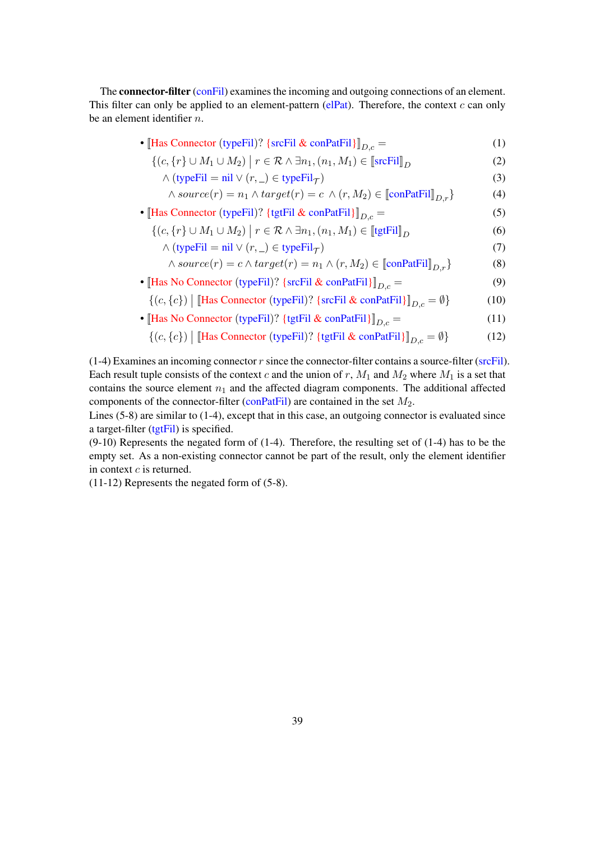The **connector-filter** (conFil) examines the incoming and outgoing connections of an element. This filter can only be applied to an element-pattern ( $e$ IPat). Therefore, the context c can only be an element identifier n.

| • [Has Connector (typeFil)? {srcFil & conPatFil} $]_{D,c}$ =                                                                                                                               | (1) |
|--------------------------------------------------------------------------------------------------------------------------------------------------------------------------------------------|-----|
| $\left( \begin{array}{cc} \epsilon & 1 \end{array} \right) + M + M \right) = \epsilon \mathcal{D} + \mathbb{R}$ $\left( \begin{array}{cc} \epsilon & M \end{array} \right) \in \mathbb{R}$ | (^) |

$$
\{(c, \{r\} \cup M_1 \cup M_2) \mid r \in \mathcal{R} \land \exists n_1, (n_1, M_1) \in \llbracket \text{srcFil} \rrbracket_D \tag{2}
$$

$$
\wedge \left(\text{typeFil} = \text{nil} \vee (r, \_) \in \text{typeFil}_{\mathcal{T}}\right) \tag{3}
$$

$$
\wedge source(r) = n_1 \wedge target(r) = c \wedge (r, M_2) \in \llbracket \text{conPatFill} \rrbracket_{D,r} \} \tag{4}
$$

• [Has Connector (typeFil)? {tgtFil & conPatFil}] $D_{c}$  = (5)

$$
\{(c, \{r\} \cup M_1 \cup M_2) \mid r \in \mathcal{R} \land \exists n_1, (n_1, M_1) \in [\![\text{tgtFil}]\!]_D \tag{6}
$$

$$
\wedge \text{(typeFil} = \text{nil} \vee (r, \_) \in \text{typeFil}_{\mathcal{T}} \text{)}
$$
\n
$$
\qquad (7)
$$

$$
\wedge source(r) = c \wedge target(r) = n_1 \wedge (r, M_2) \in \llbracket \text{conPatFill} \rrbracket_{D,r} \}
$$
 (8)

- [Has No Connector (typeFil)? { $\text{srcFil} \& \text{conPatFil}$ }] $_{D,c} =$  (9)
	- $\{(c, \{c\}) \mid [\text{Has Connector (typeFil})? \ \{\text{srcFil} \ \& \ \text{conPatFil}\} ]_{D,c} = \emptyset\}$  (10)
- [Has No Connector (typeFil)? {tgtFil & conPatFil}] $D_{c}$  = (11)

$$
\{(c, \{c\}) \mid [\text{Has Connector (typeFil})? \text{ {tgtFil & conPatFil}}]_{D,c} = \emptyset\} \tag{12}
$$

 $(1-4)$  Examines an incoming connector r since the connector-filter contains a source-filter (srcFil). Each result tuple consists of the context c and the union of r,  $M_1$  and  $M_2$  where  $M_1$  is a set that contains the source element  $n_1$  and the affected diagram components. The additional affected components of the connector-filter (conPatFil) are contained in the set  $M_2$ .

Lines (5-8) are similar to (1-4), except that in this case, an outgoing connector is evaluated since a target-filter (tgtFil) is specified.

(9-10) Represents the negated form of (1-4). Therefore, the resulting set of (1-4) has to be the empty set. As a non-existing connector cannot be part of the result, only the element identifier in context  $c$  is returned.

(11-12) Represents the negated form of (5-8).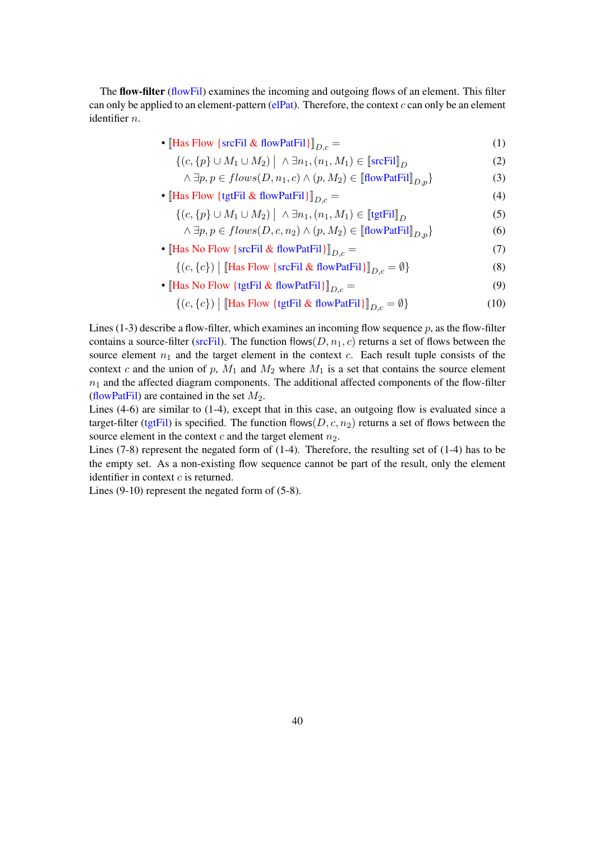The flow-filter (flowFil) examines the incoming and outgoing flows of an element. This filter can only be applied to an element-pattern ( $e$ IPat). Therefore, the context  $c$  can only be an element identifier n.

• [Has Flow {srcFil & flowPatFil}] $D_{c} =$  (1)

$$
\{(c, \{p\} \cup M_1 \cup M_2) \mid \wedge \exists n_1, (n_1, M_1) \in \llbracket \text{srcFil} \rrbracket_D \tag{2}
$$

$$
\wedge \exists p, p \in flows(D, n_1, c) \wedge (p, M_2) \in [\![\text{flowPatFil}]\!]_{D,p} \}
$$
\n(3)

- [Has Flow {tgtFil & flowPatFil}] $D_c =$  (4)
	- $\{(c, \{p\} \cup M_1 \cup M_2) \mid \land \exists n_1, (n_1, M_1) \in [\text{tgtFil}]_D$  (5)

$$
\wedge \exists p, p \in flows(D, c, n_2) \wedge (p, M_2) \in [\text{flowPatFil}]_{D, p} \}
$$
\n(6)

- [Has No Flow {srcFil & flowPatFil}] $D_c =$  (7)
	- $\{(c, \{c\}) \mid \llbracket$ Has Flow {srcFil & flowPatFil} $\rrbracket_{D,c} = \emptyset\}$  (8)
- [Has No Flow {tgtFil & flowPatFil}] $D_{c} =$  (9)

$$
\{(c, \{c\}) \mid [\text{Has Flow } \{\text{tgtFil } \& \text{ flowPatFil}\}]_{D,c} = \emptyset\}
$$
 (10)

Lines (1-3) describe a flow-filter, which examines an incoming flow sequence  $p$ , as the flow-filter contains a source-filter (srcFil). The function flows( $D, n_1, c$ ) returns a set of flows between the source element  $n_1$  and the target element in the context c. Each result tuple consists of the context c and the union of p,  $M_1$  and  $M_2$  where  $M_1$  is a set that contains the source element  $n_1$  and the affected diagram components. The additional affected components of the flow-filter (flowPatFil) are contained in the set  $M_2$ .

Lines (4-6) are similar to (1-4), except that in this case, an outgoing flow is evaluated since a target-filter (tgtFil) is specified. The function flows(D, c,  $n_2$ ) returns a set of flows between the source element in the context c and the target element  $n_2$ .

Lines  $(7-8)$  represent the negated form of  $(1-4)$ . Therefore, the resulting set of  $(1-4)$  has to be the empty set. As a non-existing flow sequence cannot be part of the result, only the element identifier in context  $c$  is returned.

Lines (9-10) represent the negated form of (5-8).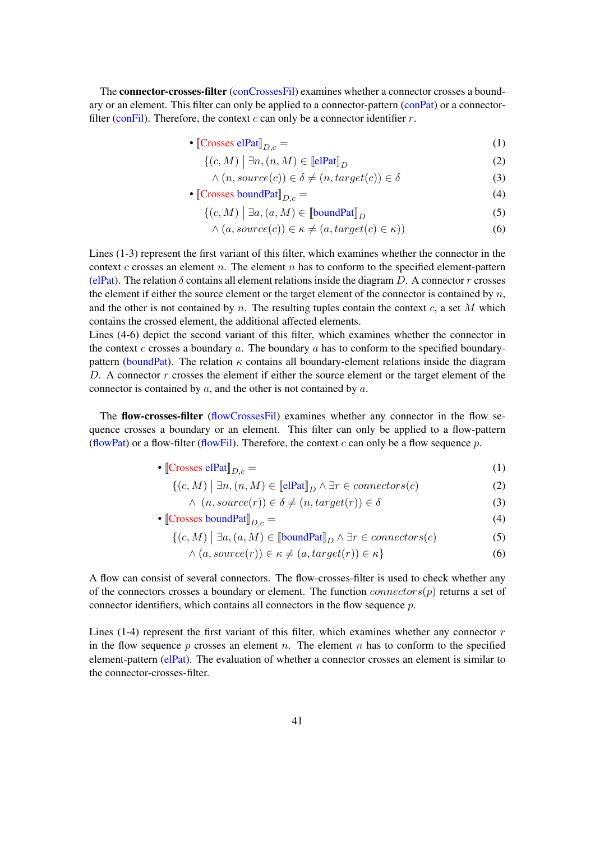The connector-crosses-filter (conCrossesFil) examines whether a connector crosses a boundary or an element. This filter can only be applied to a connector-pattern (conPat) or a connectorfilter (conFil). Therefore, the context  $c$  can only be a connector identifier  $r$ .

•  $[Crosses$  elPat $]_{D,c} =$  (1)

$$
\{(c, M) \mid \exists n, (n, M) \in \llbracket \text{elPat} \rrbracket_D \tag{2}
$$

$$
\land (n, source(c)) \in \delta \neq (n, target(c)) \in \delta \tag{3}
$$

• [Crosses boundPat] $_{D,c} =$  (4)

$$
\{(c, M) \mid \exists a, (a, M) \in \llbracket \text{boundPat} \rrbracket_D \tag{5}
$$

$$
\land (a, source(c)) \in \kappa \neq (a, target(c) \in \kappa))
$$
\n(6)

Lines (1-3) represent the first variant of this filter, which examines whether the connector in the context  $c$  crosses an element  $n$ . The element  $n$  has to conform to the specified element-pattern (elPat). The relation  $\delta$  contains all element relations inside the diagram D. A connector r crosses the element if either the source element or the target element of the connector is contained by  $n$ , and the other is not contained by n. The resulting tuples contain the context  $c$ , a set M which contains the crossed element, the additional affected elements.

Lines (4-6) depict the second variant of this filter, which examines whether the connector in the context c crosses a boundary  $a$ . The boundary  $a$  has to conform to the specified boundarypattern (boundPat). The relation  $\kappa$  contains all boundary-element relations inside the diagram D. A connector  $r$  crosses the element if either the source element or the target element of the connector is contained by a, and the other is not contained by a.

The flow-crosses-filter (flowCrossesFil) examines whether any connector in the flow sequence crosses a boundary or an element. This filter can only be applied to a flow-pattern (flowPat) or a flow-filter (flowFil). Therefore, the context c can only be a flow sequence p.

• 
$$
\llbracket \text{Crosses elPat} \rrbracket_{D,c} = (1)
$$

$$
\{(c, M) \mid \exists n, (n, M) \in \llbracket \text{elPat} \rrbracket_D \land \exists r \in \mathit{connectors}(c) \tag{2}
$$

$$
\wedge \ (n, source(r)) \in \delta \neq (n, target(r)) \in \delta \tag{3}
$$

• [Crosses boundPat] 
$$
D_{,c} = (4)
$$

$$
\{(c, M) \mid \exists a, (a, M) \in \llbracket \text{boundPat} \rrbracket_D \land \exists r \in \mathit{connectors}(c) \tag{5}
$$

$$
\land (a, source(r)) \in \kappa \neq (a, target(r)) \in \kappa \}
$$
\n
$$
(6)
$$

A flow can consist of several connectors. The flow-crosses-filter is used to check whether any of the connectors crosses a boundary or element. The function  $connectors(p)$  returns a set of connector identifiers, which contains all connectors in the flow sequence p.

Lines (1-4) represent the first variant of this filter, which examines whether any connector  $r$ in the flow sequence p crosses an element n. The element n has to conform to the specified element-pattern (elPat). The evaluation of whether a connector crosses an element is similar to the connector-crosses-filter.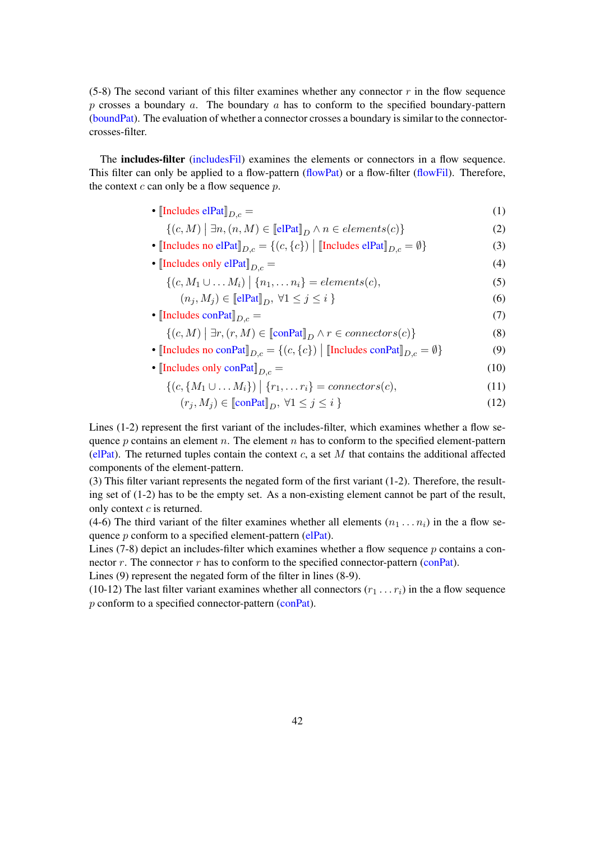(5-8) The second variant of this filter examines whether any connector  $r$  in the flow sequence p crosses a boundary a. The boundary a has to conform to the specified boundary-pattern (boundPat). The evaluation of whether a connector crosses a boundary is similar to the connectorcrosses-filter.

The includes-filter (includesFil) examines the elements or connectors in a flow sequence. This filter can only be applied to a flow-pattern (flowPat) or a flow-filter (flowFil). Therefore, the context  $c$  can only be a flow sequence  $p$ .

- $[Includes \text{ elPat}]_{D,c} =$  (1)
	- $\{(c, M) \mid \exists n, (n, M) \in \llbracket \text{elPat} \rrbracket_D \land n \in elements(c)\}$  (2)
- [Includes no elPat] $_{D,c} = \{(c, \{c\}) \mid \text{[Includes elPat]}_{D,c} = \emptyset\}$  (3)
- $[Includes only e] Pat$  $D_c =$  (4)
	- $\{(c, M_1 \cup ... M_i) \mid \{n_1, ... n_i\} = elements(c),$  (5)
		- $(n_i, M_i) \in \llbracket \text{elPat} \rrbracket_D, \forall 1 \leq j \leq i \}$  (6)
- $[Includes conPat]_{D,c} =$  (7)
	- $\{(c, M) \mid \exists r, (r, M) \in \llbracket \text{conPat} \rrbracket_D \land r \in \text{connectors}(c) \}$  (8)
- [Includes no conPat] $_{D,c} = \{(c, \{c\}) \mid \text{[Includes conPat]}_{D,c} = \emptyset\}$  (9)
- $[Includes only conPat]_{D,c} =$  (10)

$$
\{(c, \{M_1 \cup \ldots M_i\}) \mid \{r_1, \ldots r_i\} = {connectors}(c), \tag{11}
$$

$$
(r_j, M_j) \in \llbracket \text{conPat} \rrbracket_D, \ \forall 1 \le j \le i \ \}
$$
\n
$$
(12)
$$

Lines (1-2) represent the first variant of the includes-filter, which examines whether a flow sequence  $p$  contains an element  $n$ . The element  $n$  has to conform to the specified element-pattern (elPat). The returned tuples contain the context c, a set M that contains the additional affected components of the element-pattern.

(3) This filter variant represents the negated form of the first variant (1-2). Therefore, the resulting set of (1-2) has to be the empty set. As a non-existing element cannot be part of the result, only context  $c$  is returned.

(4-6) The third variant of the filter examines whether all elements  $(n_1 \ldots n_i)$  in the a flow sequence  $p$  conform to a specified element-pattern (elPat).

Lines  $(7-8)$  depict an includes-filter which examines whether a flow sequence p contains a connector  $r$ . The connector  $r$  has to conform to the specified connector-pattern (conPat).

Lines (9) represent the negated form of the filter in lines (8-9).

(10-12) The last filter variant examines whether all connectors  $(r_1 \ldots r_i)$  in the a flow sequence p conform to a specified connector-pattern (conPat).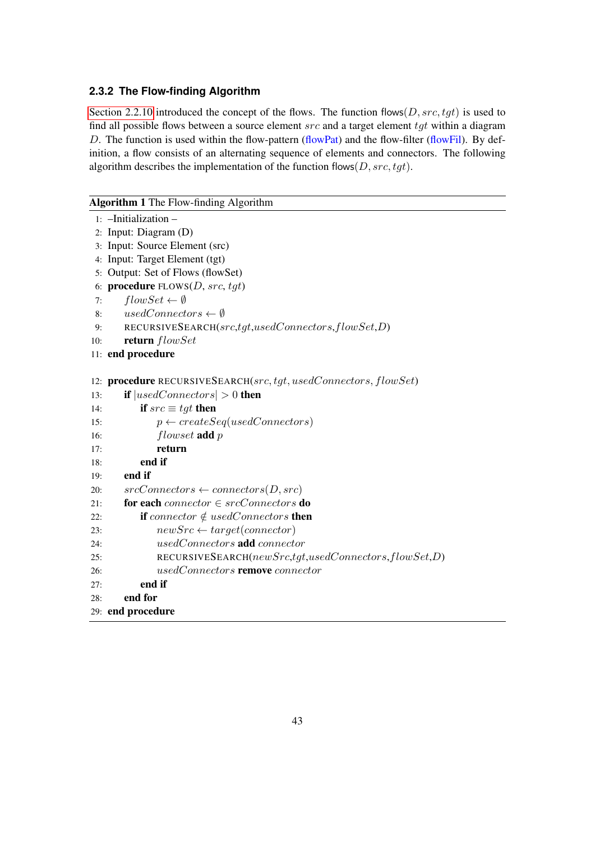#### <span id="page-42-0"></span>**2.3.2 The Flow-finding Algorithm**

[Section 2.2.10](#page-21-0) introduced the concept of the flows. The function flows( $D, src, tgt$ ) is used to find all possible flows between a source element  $src$  and a target element  $tgt$  within a diagram D. The function is used within the flow-pattern (flowPat) and the flow-filter (flowFil). By definition, a flow consists of an alternating sequence of elements and connectors. The following algorithm describes the implementation of the function flows( $D, src, tgt$ ).

#### Algorithm 1 The Flow-finding Algorithm

```
1: –Initialization –
2: Input: Diagram (D)
3: Input: Source Element (src)
4: Input: Target Element (tgt)
5: Output: Set of Flows (flowSet)
6: procedure FLOWS(D, src, tgt)7: flowSet \leftarrow \emptyset8: usedConnectors \leftarrow \emptyset9: RECURSIVESEARCH(src,tgt,usedConnectors,flowSet,D)
10: return flowSet
11: end procedure
12: procedure RECURSIVESEARCH(src, tgt, usedConnectors, flowSet)
13: if |usedConnectors| > 0 then
14: if src \equiv tgt then
15: p \leftarrow createSeq(usedConnectors)16: flowset add p
17: return
18: end if
19: end if
20: srcConnectors \leftarrow connectors(D, src)21: for each connector \in srcConnectors do
22: if connector \notin usedConnectors then
23: newSrc \leftarrow target(connector)24: usedConnectors add connector
25: RECURSIVESEARCH(newSrc,tgt,usedConnectors,flowSet,D)
26: usedConnectors remove connector
27: end if
28: end for
29: end procedure
```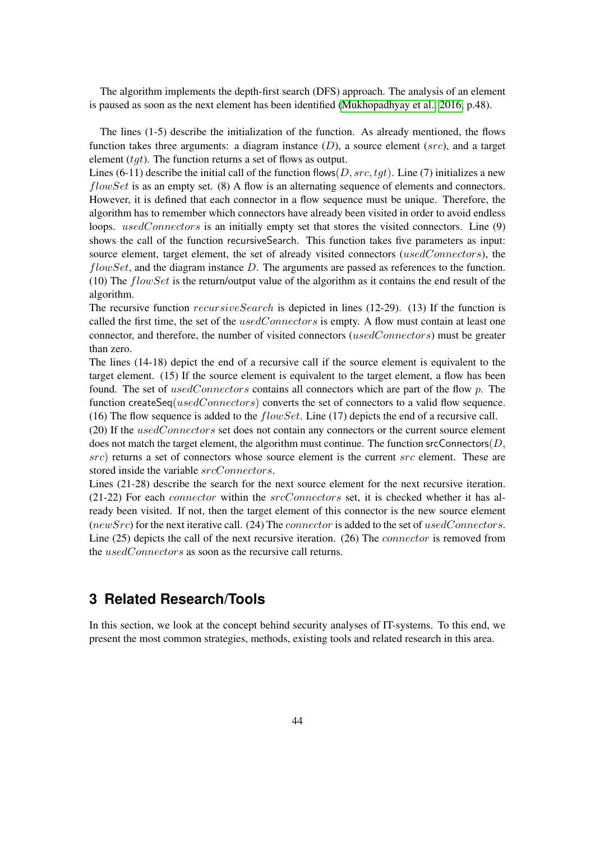The algorithm implements the depth-first search (DFS) approach. The analysis of an element is paused as soon as the next element has been identified [\(Mukhopadhyay et al., 2016,](#page-55-8) p.48).

The lines (1-5) describe the initialization of the function. As already mentioned, the flows function takes three arguments: a diagram instance  $(D)$ , a source element (src), and a target element  $(tqt)$ . The function returns a set of flows as output.

Lines (6-11) describe the initial call of the function flows  $(D, src, tot)$ . Line (7) initializes a new  $flowSet$  is as an empty set. (8) A flow is an alternating sequence of elements and connectors. However, it is defined that each connector in a flow sequence must be unique. Therefore, the algorithm has to remember which connectors have already been visited in order to avoid endless loops. usedConnectors is an initially empty set that stores the visited connectors. Line (9) shows the call of the function recursiveSearch. This function takes five parameters as input: source element, target element, the set of already visited connectors (usedConnectors), the  $flowSet$ , and the diagram instance  $D$ . The arguments are passed as references to the function. (10) The  $flowSet$  is the return/output value of the algorithm as it contains the end result of the algorithm.

The recursive function  $recursiveSearch$  is depicted in lines (12-29). (13) If the function is called the first time, the set of the  $usedConnectors$  is empty. A flow must contain at least one connector, and therefore, the number of visited connectors (usedConnectors) must be greater than zero.

The lines (14-18) depict the end of a recursive call if the source element is equivalent to the target element. (15) If the source element is equivalent to the target element, a flow has been found. The set of usedConnectors contains all connectors which are part of the flow  $p$ . The function createSeq( $usedConnectors$ ) converts the set of connectors to a valid flow sequence. (16) The flow sequence is added to the  $flowSet$ . Line (17) depicts the end of a recursive call.

(20) If the usedConnectors set does not contain any connectors or the current source element does not match the target element, the algorithm must continue. The function srcConnectors( $D$ ,  $src$ ) returns a set of connectors whose source element is the current  $src$  element. These are stored inside the variable  $srcConnectors$ .

Lines (21-28) describe the search for the next source element for the next recursive iteration.  $(21-22)$  For each *connector* within the *srcConnectors* set, it is checked whether it has already been visited. If not, then the target element of this connector is the new source element ( $newSrc$ ) for the next iterative call. (24) The *connector* is added to the set of usedConnectors. Line (25) depicts the call of the next recursive iteration. (26) The *connector* is removed from the *usedConnectors* as soon as the recursive call returns.

# <span id="page-43-0"></span>**3 Related Research/Tools**

In this section, we look at the concept behind security analyses of IT-systems. To this end, we present the most common strategies, methods, existing tools and related research in this area.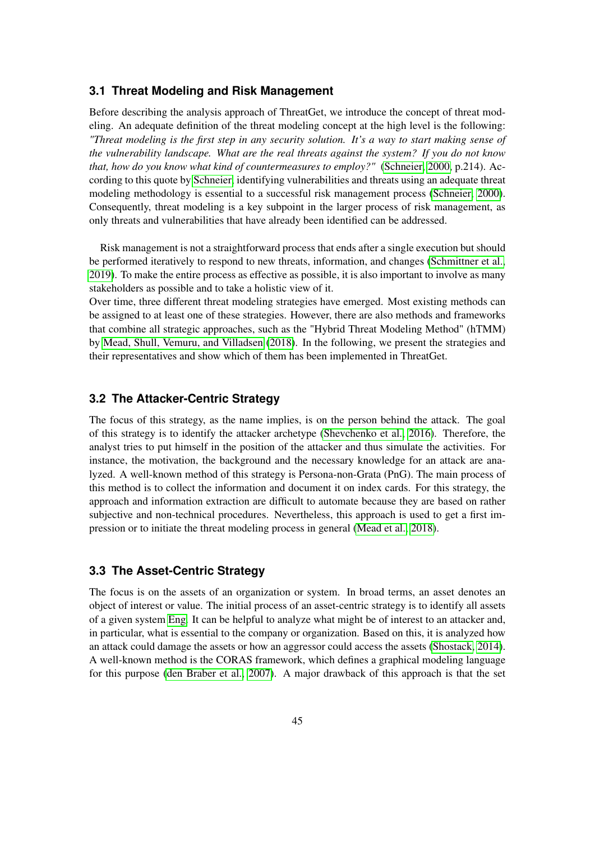#### <span id="page-44-0"></span>**3.1 Threat Modeling and Risk Management**

Before describing the analysis approach of ThreatGet, we introduce the concept of threat modeling. An adequate definition of the threat modeling concept at the high level is the following: *"Threat modeling is the first step in any security solution. It's a way to start making sense of the vulnerability landscape. What are the real threats against the system? If you do not know that, how do you know what kind of countermeasures to employ?"* [\(Schneier, 2000,](#page-56-5) p.214). According to this quote by [Schneier,](#page-56-5) identifying vulnerabilities and threats using an adequate threat modeling methodology is essential to a successful risk management process [\(Schneier, 2000\)](#page-56-5). Consequently, threat modeling is a key subpoint in the larger process of risk management, as only threats and vulnerabilities that have already been identified can be addressed.

Risk management is not a straightforward process that ends after a single execution but should be performed iteratively to respond to new threats, information, and changes [\(Schmittner et al.,](#page-56-6) [2019\)](#page-56-6). To make the entire process as effective as possible, it is also important to involve as many stakeholders as possible and to take a holistic view of it.

Over time, three different threat modeling strategies have emerged. Most existing methods can be assigned to at least one of these strategies. However, there are also methods and frameworks that combine all strategic approaches, such as the "Hybrid Threat Modeling Method" (hTMM) by [Mead, Shull, Vemuru, and Villadsen](#page-55-9) [\(2018\)](#page-55-9). In the following, we present the strategies and their representatives and show which of them has been implemented in ThreatGet.

## <span id="page-44-1"></span>**3.2 The Attacker-Centric Strategy**

The focus of this strategy, as the name implies, is on the person behind the attack. The goal of this strategy is to identify the attacker archetype [\(Shevchenko et al., 2016\)](#page-56-7). Therefore, the analyst tries to put himself in the position of the attacker and thus simulate the activities. For instance, the motivation, the background and the necessary knowledge for an attack are analyzed. A well-known method of this strategy is Persona-non-Grata (PnG). The main process of this method is to collect the information and document it on index cards. For this strategy, the approach and information extraction are difficult to automate because they are based on rather subjective and non-technical procedures. Nevertheless, this approach is used to get a first impression or to initiate the threat modeling process in general [\(Mead et al., 2018\)](#page-55-9).

#### <span id="page-44-2"></span>**3.3 The Asset-Centric Strategy**

The focus is on the assets of an organization or system. In broad terms, an asset denotes an object of interest or value. The initial process of an asset-centric strategy is to identify all assets of a given system [Eng.](#page-54-7) It can be helpful to analyze what might be of interest to an attacker and, in particular, what is essential to the company or organization. Based on this, it is analyzed how an attack could damage the assets or how an aggressor could access the assets [\(Shostack, 2014\)](#page-56-0). A well-known method is the CORAS framework, which defines a graphical modeling language for this purpose [\(den Braber et al., 2007\)](#page-54-8). A major drawback of this approach is that the set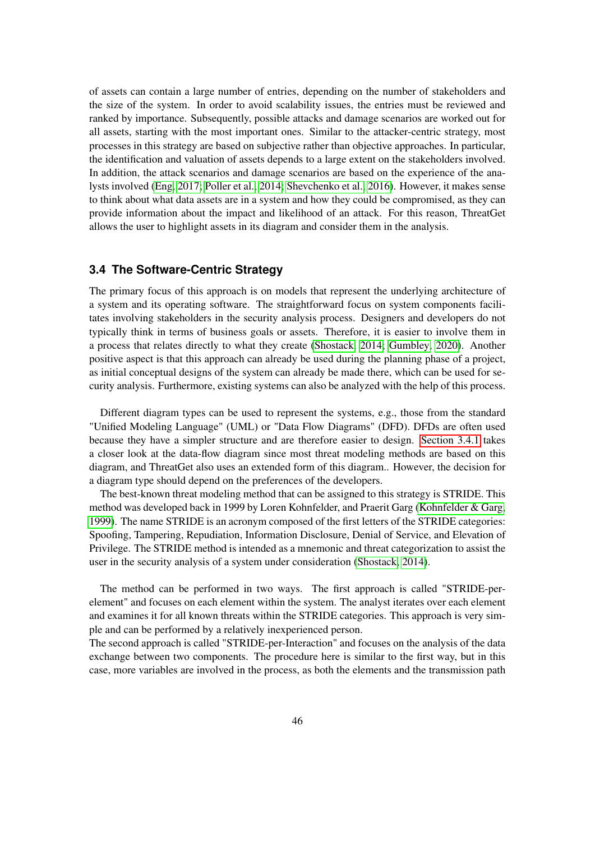of assets can contain a large number of entries, depending on the number of stakeholders and the size of the system. In order to avoid scalability issues, the entries must be reviewed and ranked by importance. Subsequently, possible attacks and damage scenarios are worked out for all assets, starting with the most important ones. Similar to the attacker-centric strategy, most processes in this strategy are based on subjective rather than objective approaches. In particular, the identification and valuation of assets depends to a large extent on the stakeholders involved. In addition, the attack scenarios and damage scenarios are based on the experience of the analysts involved [\(Eng, 2017;](#page-54-7) [Poller et al., 2014;](#page-55-10) [Shevchenko et al., 2016\)](#page-56-7). However, it makes sense to think about what data assets are in a system and how they could be compromised, as they can provide information about the impact and likelihood of an attack. For this reason, ThreatGet allows the user to highlight assets in its diagram and consider them in the analysis.

#### <span id="page-45-0"></span>**3.4 The Software-Centric Strategy**

The primary focus of this approach is on models that represent the underlying architecture of a system and its operating software. The straightforward focus on system components facilitates involving stakeholders in the security analysis process. Designers and developers do not typically think in terms of business goals or assets. Therefore, it is easier to involve them in a process that relates directly to what they create [\(Shostack, 2014;](#page-56-0) [Gumbley, 2020\)](#page-54-9). Another positive aspect is that this approach can already be used during the planning phase of a project, as initial conceptual designs of the system can already be made there, which can be used for security analysis. Furthermore, existing systems can also be analyzed with the help of this process.

Different diagram types can be used to represent the systems, e.g., those from the standard "Unified Modeling Language" (UML) or "Data Flow Diagrams" (DFD). DFDs are often used because they have a simpler structure and are therefore easier to design. [Section 3.4.1](#page-46-0) takes a closer look at the data-flow diagram since most threat modeling methods are based on this diagram, and ThreatGet also uses an extended form of this diagram.. However, the decision for a diagram type should depend on the preferences of the developers.

The best-known threat modeling method that can be assigned to this strategy is STRIDE. This method was developed back in 1999 by Loren Kohnfelder, and Praerit Garg [\(Kohnfelder & Garg,](#page-54-10) [1999\)](#page-54-10). The name STRIDE is an acronym composed of the first letters of the STRIDE categories: Spoofing, Tampering, Repudiation, Information Disclosure, Denial of Service, and Elevation of Privilege. The STRIDE method is intended as a mnemonic and threat categorization to assist the user in the security analysis of a system under consideration [\(Shostack, 2014\)](#page-56-0).

The method can be performed in two ways. The first approach is called "STRIDE-perelement" and focuses on each element within the system. The analyst iterates over each element and examines it for all known threats within the STRIDE categories. This approach is very simple and can be performed by a relatively inexperienced person.

The second approach is called "STRIDE-per-Interaction" and focuses on the analysis of the data exchange between two components. The procedure here is similar to the first way, but in this case, more variables are involved in the process, as both the elements and the transmission path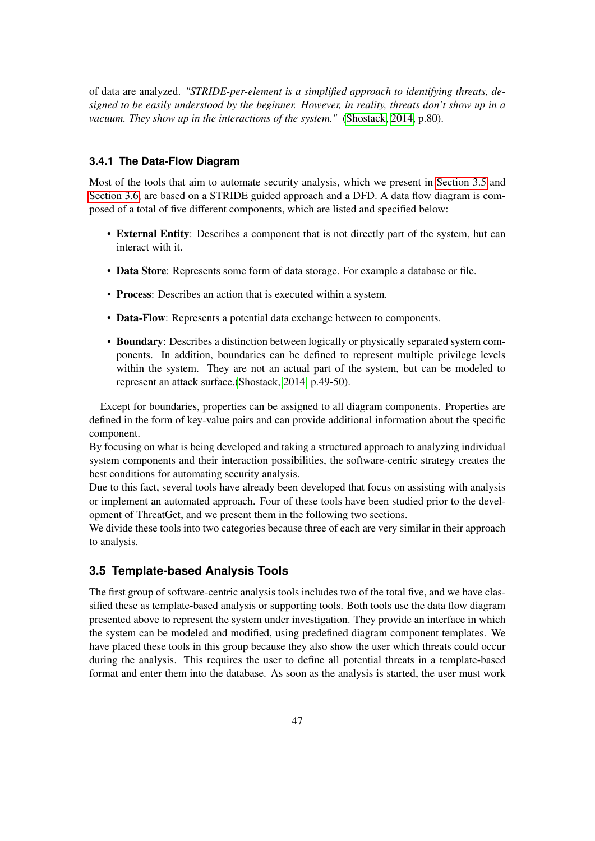of data are analyzed. *"STRIDE-per-element is a simplified approach to identifying threats, designed to be easily understood by the beginner. However, in reality, threats don't show up in a vacuum. They show up in the interactions of the system."* [\(Shostack, 2014,](#page-56-0) p.80).

#### <span id="page-46-0"></span>**3.4.1 The Data-Flow Diagram**

Most of the tools that aim to automate security analysis, which we present in [Section 3.5](#page-46-1) and [Section 3.6,](#page-47-0) are based on a STRIDE guided approach and a DFD. A data flow diagram is composed of a total of five different components, which are listed and specified below:

- External Entity: Describes a component that is not directly part of the system, but can interact with it.
- Data Store: Represents some form of data storage. For example a database or file.
- Process: Describes an action that is executed within a system.
- Data-Flow: Represents a potential data exchange between to components.
- Boundary: Describes a distinction between logically or physically separated system components. In addition, boundaries can be defined to represent multiple privilege levels within the system. They are not an actual part of the system, but can be modeled to represent an attack surface.[\(Shostack, 2014,](#page-56-0) p.49-50).

Except for boundaries, properties can be assigned to all diagram components. Properties are defined in the form of key-value pairs and can provide additional information about the specific component.

By focusing on what is being developed and taking a structured approach to analyzing individual system components and their interaction possibilities, the software-centric strategy creates the best conditions for automating security analysis.

Due to this fact, several tools have already been developed that focus on assisting with analysis or implement an automated approach. Four of these tools have been studied prior to the development of ThreatGet, and we present them in the following two sections.

We divide these tools into two categories because three of each are very similar in their approach to analysis.

#### <span id="page-46-1"></span>**3.5 Template-based Analysis Tools**

The first group of software-centric analysis tools includes two of the total five, and we have classified these as template-based analysis or supporting tools. Both tools use the data flow diagram presented above to represent the system under investigation. They provide an interface in which the system can be modeled and modified, using predefined diagram component templates. We have placed these tools in this group because they also show the user which threats could occur during the analysis. This requires the user to define all potential threats in a template-based format and enter them into the database. As soon as the analysis is started, the user must work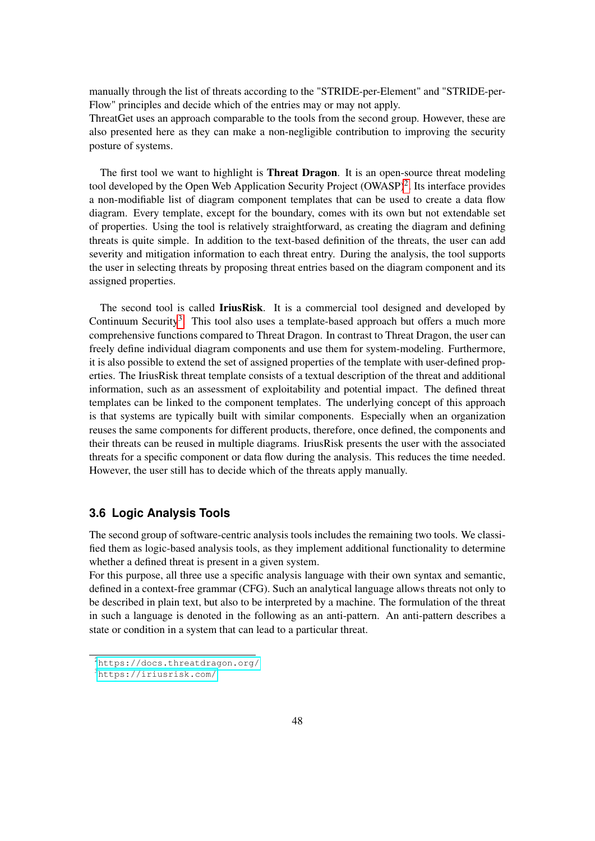manually through the list of threats according to the "STRIDE-per-Element" and "STRIDE-per-Flow" principles and decide which of the entries may or may not apply.

ThreatGet uses an approach comparable to the tools from the second group. However, these are also presented here as they can make a non-negligible contribution to improving the security posture of systems.

The first tool we want to highlight is **Threat Dragon**. It is an open-source threat modeling tool developed by the Open Web Application Security Project  $(OWASP)^2$  $(OWASP)^2$ . Its interface provides a non-modifiable list of diagram component templates that can be used to create a data flow diagram. Every template, except for the boundary, comes with its own but not extendable set of properties. Using the tool is relatively straightforward, as creating the diagram and defining threats is quite simple. In addition to the text-based definition of the threats, the user can add severity and mitigation information to each threat entry. During the analysis, the tool supports the user in selecting threats by proposing threat entries based on the diagram component and its assigned properties.

The second tool is called **IriusRisk**. It is a commercial tool designed and developed by Continuum Security<sup>[3](#page-0-0)</sup>. This tool also uses a template-based approach but offers a much more comprehensive functions compared to Threat Dragon. In contrast to Threat Dragon, the user can freely define individual diagram components and use them for system-modeling. Furthermore, it is also possible to extend the set of assigned properties of the template with user-defined properties. The IriusRisk threat template consists of a textual description of the threat and additional information, such as an assessment of exploitability and potential impact. The defined threat templates can be linked to the component templates. The underlying concept of this approach is that systems are typically built with similar components. Especially when an organization reuses the same components for different products, therefore, once defined, the components and their threats can be reused in multiple diagrams. IriusRisk presents the user with the associated threats for a specific component or data flow during the analysis. This reduces the time needed. However, the user still has to decide which of the threats apply manually.

#### <span id="page-47-0"></span>**3.6 Logic Analysis Tools**

The second group of software-centric analysis tools includes the remaining two tools. We classified them as logic-based analysis tools, as they implement additional functionality to determine whether a defined threat is present in a given system.

For this purpose, all three use a specific analysis language with their own syntax and semantic, defined in a context-free grammar (CFG). Such an analytical language allows threats not only to be described in plain text, but also to be interpreted by a machine. The formulation of the threat in such a language is denoted in the following as an anti-pattern. An anti-pattern describes a state or condition in a system that can lead to a particular threat.

<sup>2</sup><https://docs.threatdragon.org/>

<sup>3</sup><https://iriusrisk.com/>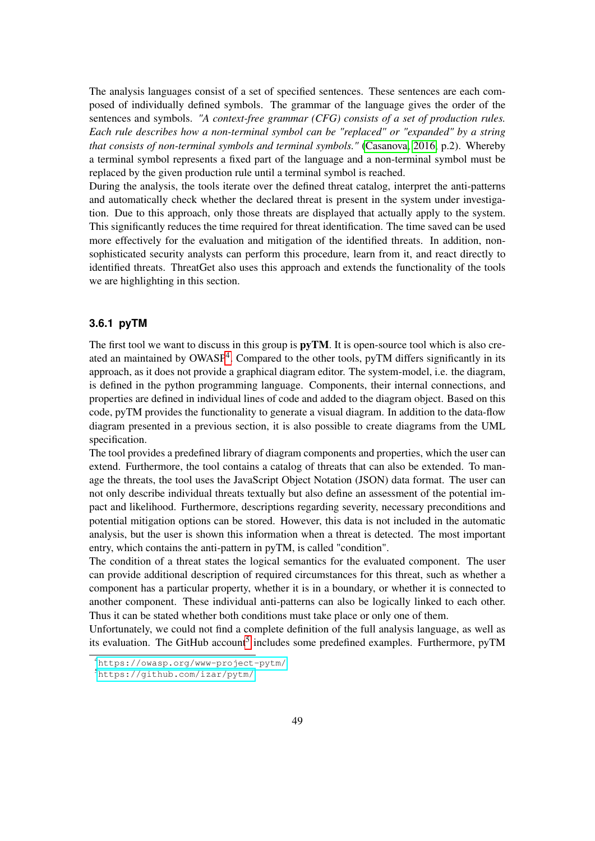The analysis languages consist of a set of specified sentences. These sentences are each composed of individually defined symbols. The grammar of the language gives the order of the sentences and symbols. *"A context-free grammar (CFG) consists of a set of production rules. Each rule describes how a non-terminal symbol can be "replaced" or "expanded" by a string that consists of non-terminal symbols and terminal symbols."* [\(Casanova, 2016,](#page-54-11) p.2). Whereby a terminal symbol represents a fixed part of the language and a non-terminal symbol must be replaced by the given production rule until a terminal symbol is reached.

During the analysis, the tools iterate over the defined threat catalog, interpret the anti-patterns and automatically check whether the declared threat is present in the system under investigation. Due to this approach, only those threats are displayed that actually apply to the system. This significantly reduces the time required for threat identification. The time saved can be used more effectively for the evaluation and mitigation of the identified threats. In addition, nonsophisticated security analysts can perform this procedure, learn from it, and react directly to identified threats. ThreatGet also uses this approach and extends the functionality of the tools we are highlighting in this section.

#### <span id="page-48-0"></span>**3.6.1 pyTM**

The first tool we want to discuss in this group is  $\bf{p}yTM$ . It is open-source tool which is also cre-ated an maintained by OWASP<sup>[4](#page-0-0)</sup>. Compared to the other tools, pyTM differs significantly in its approach, as it does not provide a graphical diagram editor. The system-model, i.e. the diagram, is defined in the python programming language. Components, their internal connections, and properties are defined in individual lines of code and added to the diagram object. Based on this code, pyTM provides the functionality to generate a visual diagram. In addition to the data-flow diagram presented in a previous section, it is also possible to create diagrams from the UML specification.

The tool provides a predefined library of diagram components and properties, which the user can extend. Furthermore, the tool contains a catalog of threats that can also be extended. To manage the threats, the tool uses the JavaScript Object Notation (JSON) data format. The user can not only describe individual threats textually but also define an assessment of the potential impact and likelihood. Furthermore, descriptions regarding severity, necessary preconditions and potential mitigation options can be stored. However, this data is not included in the automatic analysis, but the user is shown this information when a threat is detected. The most important entry, which contains the anti-pattern in pyTM, is called "condition".

The condition of a threat states the logical semantics for the evaluated component. The user can provide additional description of required circumstances for this threat, such as whether a component has a particular property, whether it is in a boundary, or whether it is connected to another component. These individual anti-patterns can also be logically linked to each other. Thus it can be stated whether both conditions must take place or only one of them.

Unfortunately, we could not find a complete definition of the full analysis language, as well as its evaluation. The GitHub account<sup>[5](#page-0-0)</sup> includes some predefined examples. Furthermore, pyTM

<sup>4</sup><https://owasp.org/www-project-pytm/>

<sup>5</sup><https://github.com/izar/pytm/>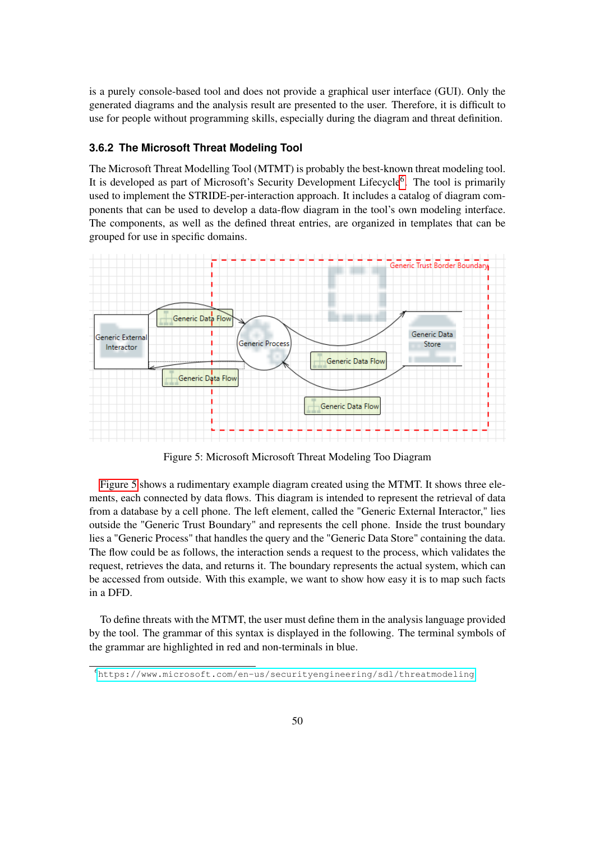is a purely console-based tool and does not provide a graphical user interface (GUI). Only the generated diagrams and the analysis result are presented to the user. Therefore, it is difficult to use for people without programming skills, especially during the diagram and threat definition.

#### <span id="page-49-0"></span>**3.6.2 The Microsoft Threat Modeling Tool**

The Microsoft Threat Modelling Tool (MTMT) is probably the best-known threat modeling tool. It is developed as part of Microsoft's Security Development Lifecycle<sup>[6](#page-0-0)</sup>. The tool is primarily used to implement the STRIDE-per-interaction approach. It includes a catalog of diagram components that can be used to develop a data-flow diagram in the tool's own modeling interface. The components, as well as the defined threat entries, are organized in templates that can be grouped for use in specific domains.

<span id="page-49-1"></span>

Figure 5: Microsoft Microsoft Threat Modeling Too Diagram

[Figure 5](#page-49-1) shows a rudimentary example diagram created using the MTMT. It shows three elements, each connected by data flows. This diagram is intended to represent the retrieval of data from a database by a cell phone. The left element, called the "Generic External Interactor," lies outside the "Generic Trust Boundary" and represents the cell phone. Inside the trust boundary lies a "Generic Process" that handles the query and the "Generic Data Store" containing the data. The flow could be as follows, the interaction sends a request to the process, which validates the request, retrieves the data, and returns it. The boundary represents the actual system, which can be accessed from outside. With this example, we want to show how easy it is to map such facts in a DFD.

To define threats with the MTMT, the user must define them in the analysis language provided by the tool. The grammar of this syntax is displayed in the following. The terminal symbols of the grammar are highlighted in red and non-terminals in blue.

<sup>6</sup><https://www.microsoft.com/en-us/securityengineering/sdl/threatmodeling>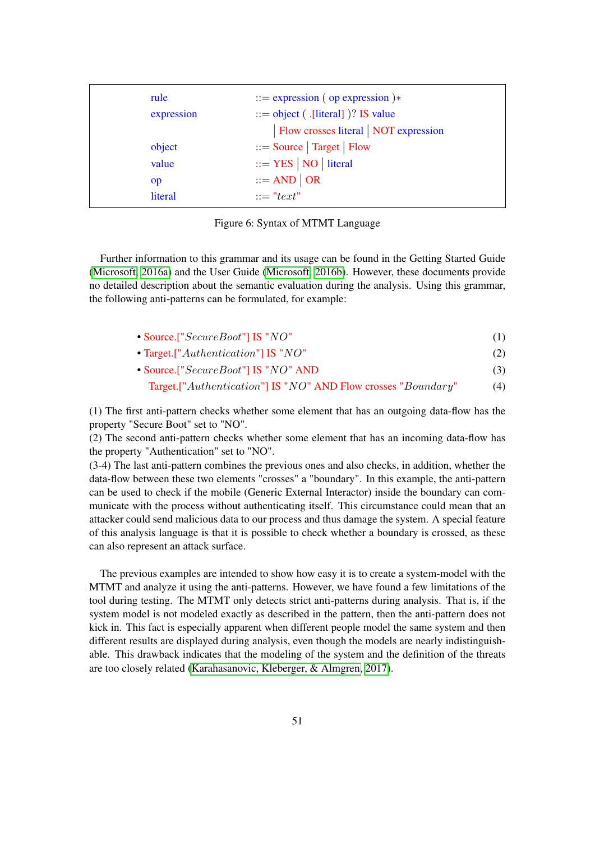| rule       | $ ::=$ expression (op expression) $*$  |
|------------|----------------------------------------|
| expression | $ ::=$ object ( .[literal] )? IS value |
|            | Flow crosses literal   NOT expression  |
| object     | $ ::= Source   Target   Flow$          |
| value      | $ ::=$ YES   NO   literal              |
| op         | $ ::= AND   OR$                        |
| literal    | $\dddot{v} = "text"$                   |

Figure 6: Syntax of MTMT Language

Further information to this grammar and its usage can be found in the Getting Started Guide [\(Microsoft, 2016a\)](#page-55-11) and the User Guide [\(Microsoft, 2016b\)](#page-55-12). However, these documents provide no detailed description about the semantic evaluation during the analysis. Using this grammar, the following anti-patterns can be formulated, for example:

| • Source.["SecureBoot"] IS "NO"                     |     |
|-----------------------------------------------------|-----|
| • Target. [" $\text{Authentication}$ "] IS "NO"     | (2) |
| $\bullet$ Source.[" $SecureBoot$ "] IS " $NO$ " AND |     |

Target.["Authentication"] IS "NO" AND Flow crosses "Boundary" (4)

(1) The first anti-pattern checks whether some element that has an outgoing data-flow has the property "Secure Boot" set to "NO".

(2) The second anti-pattern checks whether some element that has an incoming data-flow has the property "Authentication" set to "NO".

(3-4) The last anti-pattern combines the previous ones and also checks, in addition, whether the data-flow between these two elements "crosses" a "boundary". In this example, the anti-pattern can be used to check if the mobile (Generic External Interactor) inside the boundary can communicate with the process without authenticating itself. This circumstance could mean that an attacker could send malicious data to our process and thus damage the system. A special feature of this analysis language is that it is possible to check whether a boundary is crossed, as these can also represent an attack surface.

The previous examples are intended to show how easy it is to create a system-model with the MTMT and analyze it using the anti-patterns. However, we have found a few limitations of the tool during testing. The MTMT only detects strict anti-patterns during analysis. That is, if the system model is not modeled exactly as described in the pattern, then the anti-pattern does not kick in. This fact is especially apparent when different people model the same system and then different results are displayed during analysis, even though the models are nearly indistinguishable. This drawback indicates that the modeling of the system and the definition of the threats are too closely related [\(Karahasanovic, Kleberger, & Almgren, 2017\)](#page-54-12).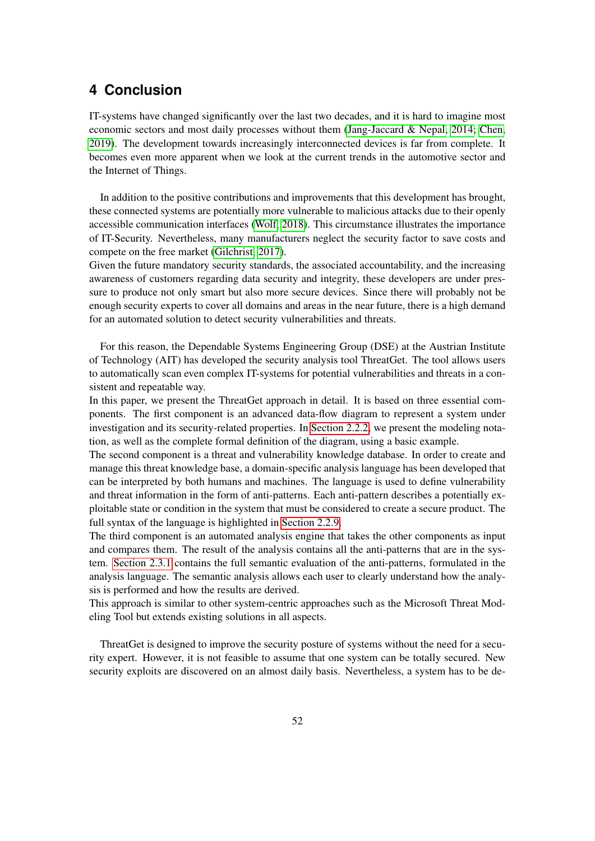# <span id="page-51-0"></span>**4 Conclusion**

IT-systems have changed significantly over the last two decades, and it is hard to imagine most economic sectors and most daily processes without them [\(Jang-Jaccard & Nepal, 2014;](#page-54-2) [Chen,](#page-54-13) [2019\)](#page-54-13). The development towards increasingly interconnected devices is far from complete. It becomes even more apparent when we look at the current trends in the automotive sector and the Internet of Things.

In addition to the positive contributions and improvements that this development has brought, these connected systems are potentially more vulnerable to malicious attacks due to their openly accessible communication interfaces [\(Wolf, 2018\)](#page-56-8). This circumstance illustrates the importance of IT-Security. Nevertheless, many manufacturers neglect the security factor to save costs and compete on the free market [\(Gilchrist, 2017\)](#page-54-1).

Given the future mandatory security standards, the associated accountability, and the increasing awareness of customers regarding data security and integrity, these developers are under pressure to produce not only smart but also more secure devices. Since there will probably not be enough security experts to cover all domains and areas in the near future, there is a high demand for an automated solution to detect security vulnerabilities and threats.

For this reason, the Dependable Systems Engineering Group (DSE) at the Austrian Institute of Technology (AIT) has developed the security analysis tool ThreatGet. The tool allows users to automatically scan even complex IT-systems for potential vulnerabilities and threats in a consistent and repeatable way.

In this paper, we present the ThreatGet approach in detail. It is based on three essential components. The first component is an advanced data-flow diagram to represent a system under investigation and its security-related properties. In [Section 2.2.2,](#page-7-0) we present the modeling notation, as well as the complete formal definition of the diagram, using a basic example.

The second component is a threat and vulnerability knowledge database. In order to create and manage this threat knowledge base, a domain-specific analysis language has been developed that can be interpreted by both humans and machines. The language is used to define vulnerability and threat information in the form of anti-patterns. Each anti-pattern describes a potentially exploitable state or condition in the system that must be considered to create a secure product. The full syntax of the language is highlighted in [Section 2.2.9.](#page-18-1)

The third component is an automated analysis engine that takes the other components as input and compares them. The result of the analysis contains all the anti-patterns that are in the system. [Section 2.3.1](#page-29-1) contains the full semantic evaluation of the anti-patterns, formulated in the analysis language. The semantic analysis allows each user to clearly understand how the analysis is performed and how the results are derived.

This approach is similar to other system-centric approaches such as the Microsoft Threat Modeling Tool but extends existing solutions in all aspects.

ThreatGet is designed to improve the security posture of systems without the need for a security expert. However, it is not feasible to assume that one system can be totally secured. New security exploits are discovered on an almost daily basis. Nevertheless, a system has to be de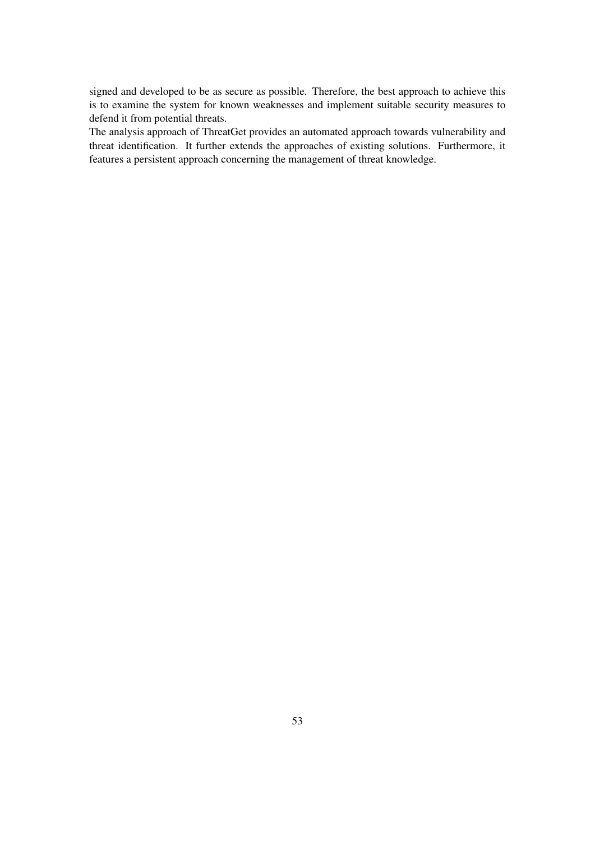signed and developed to be as secure as possible. Therefore, the best approach to achieve this is to examine the system for known weaknesses and implement suitable security measures to defend it from potential threats.

The analysis approach of ThreatGet provides an automated approach towards vulnerability and threat identification. It further extends the approaches of existing solutions. Furthermore, it features a persistent approach concerning the management of threat knowledge.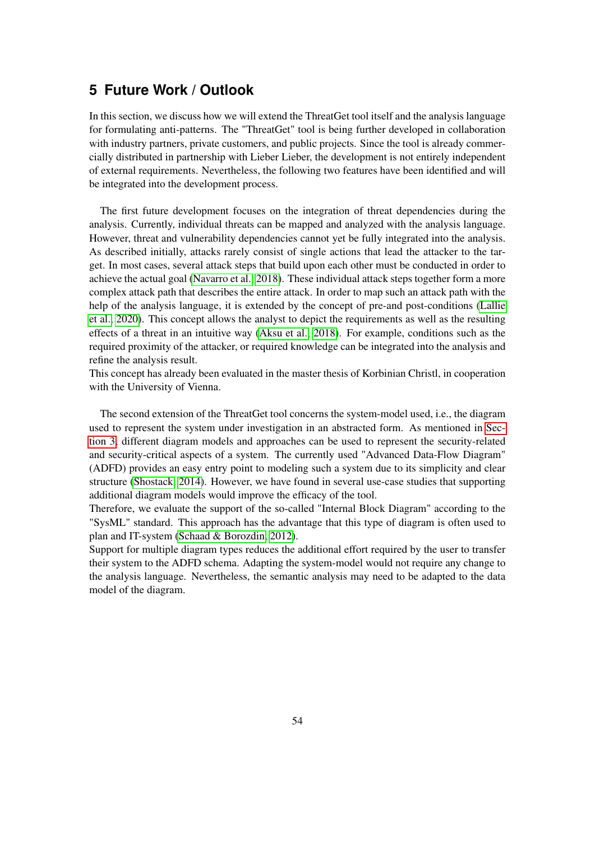# <span id="page-53-0"></span>**5 Future Work / Outlook**

In this section, we discuss how we will extend the ThreatGet tool itself and the analysis language for formulating anti-patterns. The "ThreatGet" tool is being further developed in collaboration with industry partners, private customers, and public projects. Since the tool is already commercially distributed in partnership with Lieber Lieber, the development is not entirely independent of external requirements. Nevertheless, the following two features have been identified and will be integrated into the development process.

The first future development focuses on the integration of threat dependencies during the analysis. Currently, individual threats can be mapped and analyzed with the analysis language. However, threat and vulnerability dependencies cannot yet be fully integrated into the analysis. As described initially, attacks rarely consist of single actions that lead the attacker to the target. In most cases, several attack steps that build upon each other must be conducted in order to achieve the actual goal [\(Navarro et al., 2018\)](#page-55-13). These individual attack steps together form a more complex attack path that describes the entire attack. In order to map such an attack path with the help of the analysis language, it is extended by the concept of pre-and post-conditions [\(Lallie](#page-55-14) [et al., 2020\)](#page-55-14). This concept allows the analyst to depict the requirements as well as the resulting effects of a threat in an intuitive way [\(Aksu et al., 2018\)](#page-54-14). For example, conditions such as the required proximity of the attacker, or required knowledge can be integrated into the analysis and refine the analysis result.

This concept has already been evaluated in the master thesis of Korbinian Christl, in cooperation with the University of Vienna.

The second extension of the ThreatGet tool concerns the system-model used, i.e., the diagram used to represent the system under investigation in an abstracted form. As mentioned in [Sec](#page-43-0)[tion 3,](#page-43-0) different diagram models and approaches can be used to represent the security-related and security-critical aspects of a system. The currently used "Advanced Data-Flow Diagram" (ADFD) provides an easy entry point to modeling such a system due to its simplicity and clear structure [\(Shostack, 2014\)](#page-56-0). However, we have found in several use-case studies that supporting additional diagram models would improve the efficacy of the tool.

Therefore, we evaluate the support of the so-called "Internal Block Diagram" according to the "SysML" standard. This approach has the advantage that this type of diagram is often used to plan and IT-system [\(Schaad & Borozdin, 2012\)](#page-55-15).

Support for multiple diagram types reduces the additional effort required by the user to transfer their system to the ADFD schema. Adapting the system-model would not require any change to the analysis language. Nevertheless, the semantic analysis may need to be adapted to the data model of the diagram.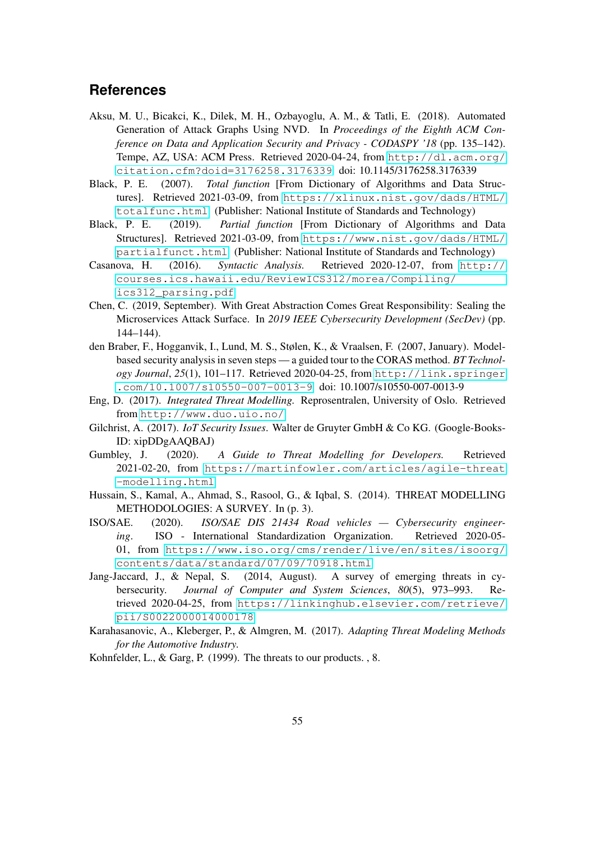# <span id="page-54-0"></span>**References**

- <span id="page-54-14"></span>Aksu, M. U., Bicakci, K., Dilek, M. H., Ozbayoglu, A. M., & Tatli, E. (2018). Automated Generation of Attack Graphs Using NVD. In *Proceedings of the Eighth ACM Conference on Data and Application Security and Privacy - CODASPY '18* (pp. 135–142). Tempe, AZ, USA: ACM Press. Retrieved 2020-04-24, from [http://dl.acm.org/](http://dl.acm.org/citation.cfm?doid=3176258.3176339) [citation.cfm?doid=3176258.3176339](http://dl.acm.org/citation.cfm?doid=3176258.3176339) doi: 10.1145/3176258.3176339
- <span id="page-54-5"></span>Black, P. E. (2007). *Total function* [From Dictionary of Algorithms and Data Structures]. Retrieved 2021-03-09, from [https://xlinux.nist.gov/dads/HTML/](https://xlinux.nist.gov/dads/HTML/totalfunc.html) [totalfunc.html](https://xlinux.nist.gov/dads/HTML/totalfunc.html) (Publisher: National Institute of Standards and Technology)
- <span id="page-54-6"></span>Black, P. E. (2019). *Partial function* [From Dictionary of Algorithms and Data Structures]. Retrieved 2021-03-09, from [https://www.nist.gov/dads/HTML/](https://www.nist.gov/dads/HTML/partialfunct.html) [partialfunct.html](https://www.nist.gov/dads/HTML/partialfunct.html) (Publisher: National Institute of Standards and Technology)
- <span id="page-54-11"></span>Casanova, H. (2016). *Syntactic Analysis.* Retrieved 2020-12-07, from [http://](http://courses.ics.hawaii.edu/ReviewICS312/morea/Compiling/ics312_parsing.pdf) [courses.ics.hawaii.edu/ReviewICS312/morea/Compiling/](http://courses.ics.hawaii.edu/ReviewICS312/morea/Compiling/ics312_parsing.pdf) [ics312\\_parsing.pdf](http://courses.ics.hawaii.edu/ReviewICS312/morea/Compiling/ics312_parsing.pdf)
- <span id="page-54-13"></span>Chen, C. (2019, September). With Great Abstraction Comes Great Responsibility: Sealing the Microservices Attack Surface. In *2019 IEEE Cybersecurity Development (SecDev)* (pp. 144–144).
- <span id="page-54-8"></span>den Braber, F., Hogganvik, I., Lund, M. S., Stølen, K., & Vraalsen, F. (2007, January). Modelbased security analysis in seven steps — a guided tour to the CORAS method. *BT Technology Journal*, *25*(1), 101–117. Retrieved 2020-04-25, from [http://link.springer](http://link.springer.com/10.1007/s10550-007-0013-9) [.com/10.1007/s10550-007-0013-9](http://link.springer.com/10.1007/s10550-007-0013-9) doi: 10.1007/s10550-007-0013-9
- <span id="page-54-7"></span>Eng, D. (2017). *Integrated Threat Modelling.* Reprosentralen, University of Oslo. Retrieved from <http://www.duo.uio.no/>
- <span id="page-54-1"></span>Gilchrist, A. (2017). *IoT Security Issues*. Walter de Gruyter GmbH & Co KG. (Google-Books-ID: xipDDgAAQBAJ)
- <span id="page-54-9"></span>Gumbley, J. (2020). *A Guide to Threat Modelling for Developers.* Retrieved 2021-02-20, from [https://martinfowler.com/articles/agile-threat](https://martinfowler.com/articles/agile-threat-modelling.html) [-modelling.html](https://martinfowler.com/articles/agile-threat-modelling.html)
- <span id="page-54-4"></span>Hussain, S., Kamal, A., Ahmad, S., Rasool, G., & Iqbal, S. (2014). THREAT MODELLING METHODOLOGIES: A SURVEY. In (p. 3).
- <span id="page-54-3"></span>ISO/SAE. (2020). *ISO/SAE DIS 21434 Road vehicles — Cybersecurity engineering*. ISO - International Standardization Organization. Retrieved 2020-05- 01, from [https://www.iso.org/cms/render/live/en/sites/isoorg/](https://www.iso.org/cms/render/live/en/sites/isoorg/contents/data/standard/07/09/70918.html) [contents/data/standard/07/09/70918.html](https://www.iso.org/cms/render/live/en/sites/isoorg/contents/data/standard/07/09/70918.html)
- <span id="page-54-2"></span>Jang-Jaccard, J., & Nepal, S. (2014, August). A survey of emerging threats in cybersecurity. *Journal of Computer and System Sciences*, *80*(5), 973–993. Retrieved 2020-04-25, from [https://linkinghub.elsevier.com/retrieve/](https://linkinghub.elsevier.com/retrieve/pii/S0022000014000178) [pii/S0022000014000178](https://linkinghub.elsevier.com/retrieve/pii/S0022000014000178)
- <span id="page-54-12"></span>Karahasanovic, A., Kleberger, P., & Almgren, M. (2017). *Adapting Threat Modeling Methods for the Automotive Industry.*
- <span id="page-54-10"></span>Kohnfelder, L., & Garg, P. (1999). The threats to our products. , 8.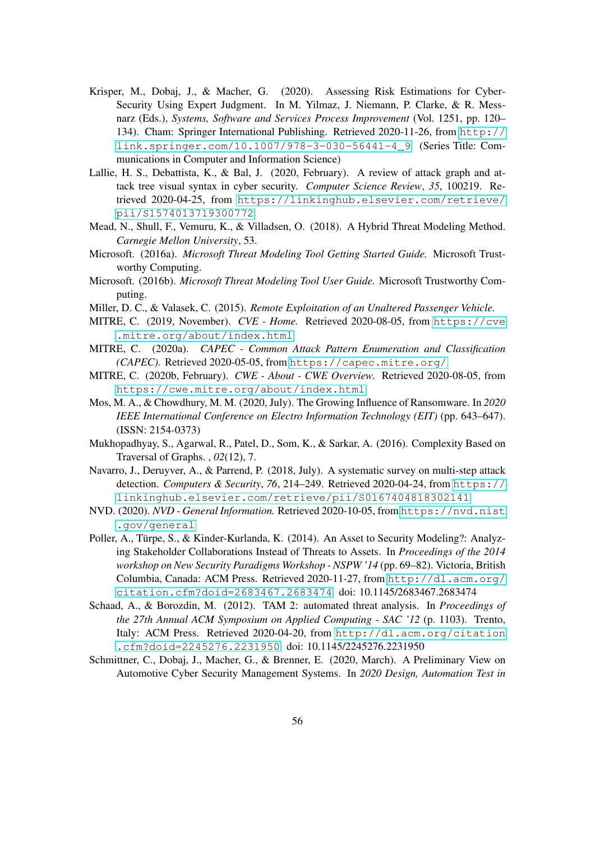- <span id="page-55-2"></span>Krisper, M., Dobaj, J., & Macher, G. (2020). Assessing Risk Estimations for Cyber-Security Using Expert Judgment. In M. Yilmaz, J. Niemann, P. Clarke, & R. Messnarz (Eds.), *Systems, Software and Services Process Improvement* (Vol. 1251, pp. 120– 134). Cham: Springer International Publishing. Retrieved 2020-11-26, from [http://](http://link.springer.com/10.1007/978-3-030-56441-4_9) [link.springer.com/10.1007/978-3-030-56441-4\\_9](http://link.springer.com/10.1007/978-3-030-56441-4_9) (Series Title: Communications in Computer and Information Science)
- <span id="page-55-14"></span>Lallie, H. S., Debattista, K., & Bal, J. (2020, February). A review of attack graph and attack tree visual syntax in cyber security. *Computer Science Review*, *35*, 100219. Retrieved 2020-04-25, from [https://linkinghub.elsevier.com/retrieve/](https://linkinghub.elsevier.com/retrieve/pii/S1574013719300772) [pii/S1574013719300772](https://linkinghub.elsevier.com/retrieve/pii/S1574013719300772)
- <span id="page-55-9"></span>Mead, N., Shull, F., Vemuru, K., & Villadsen, O. (2018). A Hybrid Threat Modeling Method. *Carnegie Mellon University*, 53.
- <span id="page-55-11"></span>Microsoft. (2016a). *Microsoft Threat Modeling Tool Getting Started Guide.* Microsoft Trustworthy Computing.
- <span id="page-55-12"></span>Microsoft. (2016b). *Microsoft Threat Modeling Tool User Guide.* Microsoft Trustworthy Computing.
- <span id="page-55-1"></span>Miller, D. C., & Valasek, C. (2015). *Remote Exploitation of an Unaltered Passenger Vehicle.*
- <span id="page-55-4"></span>MITRE, C. (2019, November). *CVE - Home.* Retrieved 2020-08-05, from [https://cve](https://cve.mitre.org/about/index.html) [.mitre.org/about/index.html](https://cve.mitre.org/about/index.html)
- <span id="page-55-5"></span>MITRE, C. (2020a). *CAPEC - Common Attack Pattern Enumeration and Classification (CAPEC).* Retrieved 2020-05-05, from <https://capec.mitre.org/>
- <span id="page-55-6"></span>MITRE, C. (2020b, February). *CWE - About - CWE Overview.* Retrieved 2020-08-05, from <https://cwe.mitre.org/about/index.html>
- <span id="page-55-0"></span>Mos, M. A., & Chowdhury, M. M. (2020, July). The Growing Influence of Ransomware. In *2020 IEEE International Conference on Electro Information Technology (EIT)* (pp. 643–647). (ISSN: 2154-0373)
- <span id="page-55-8"></span>Mukhopadhyay, S., Agarwal, R., Patel, D., Som, K., & Sarkar, A. (2016). Complexity Based on Traversal of Graphs. , *02*(12), 7.
- <span id="page-55-13"></span>Navarro, J., Deruyver, A., & Parrend, P. (2018, July). A systematic survey on multi-step attack detection. *Computers & Security*, *76*, 214–249. Retrieved 2020-04-24, from [https://](https://linkinghub.elsevier.com/retrieve/pii/S0167404818302141) [linkinghub.elsevier.com/retrieve/pii/S0167404818302141](https://linkinghub.elsevier.com/retrieve/pii/S0167404818302141)
- <span id="page-55-3"></span>NVD. (2020). *NVD - General Information.* Retrieved 2020-10-05, from [https://nvd.nist](https://nvd.nist.gov/general) [.gov/general](https://nvd.nist.gov/general)
- <span id="page-55-10"></span>Poller, A., Türpe, S., & Kinder-Kurlanda, K. (2014). An Asset to Security Modeling?: Analyzing Stakeholder Collaborations Instead of Threats to Assets. In *Proceedings of the 2014 workshop on New Security Paradigms Workshop - NSPW '14* (pp. 69–82). Victoria, British Columbia, Canada: ACM Press. Retrieved 2020-11-27, from [http://dl.acm.org/](http://dl.acm.org/citation.cfm?doid=2683467.2683474) [citation.cfm?doid=2683467.2683474](http://dl.acm.org/citation.cfm?doid=2683467.2683474) doi: 10.1145/2683467.2683474
- <span id="page-55-15"></span>Schaad, A., & Borozdin, M. (2012). TAM 2: automated threat analysis. In *Proceedings of the 27th Annual ACM Symposium on Applied Computing - SAC '12* (p. 1103). Trento, Italy: ACM Press. Retrieved 2020-04-20, from [http://dl.acm.org/citation](http://dl.acm.org/citation.cfm?doid=2245276.2231950) [.cfm?doid=2245276.2231950](http://dl.acm.org/citation.cfm?doid=2245276.2231950) doi: 10.1145/2245276.2231950
- <span id="page-55-7"></span>Schmittner, C., Dobaj, J., Macher, G., & Brenner, E. (2020, March). A Preliminary View on Automotive Cyber Security Management Systems. In *2020 Design, Automation Test in*